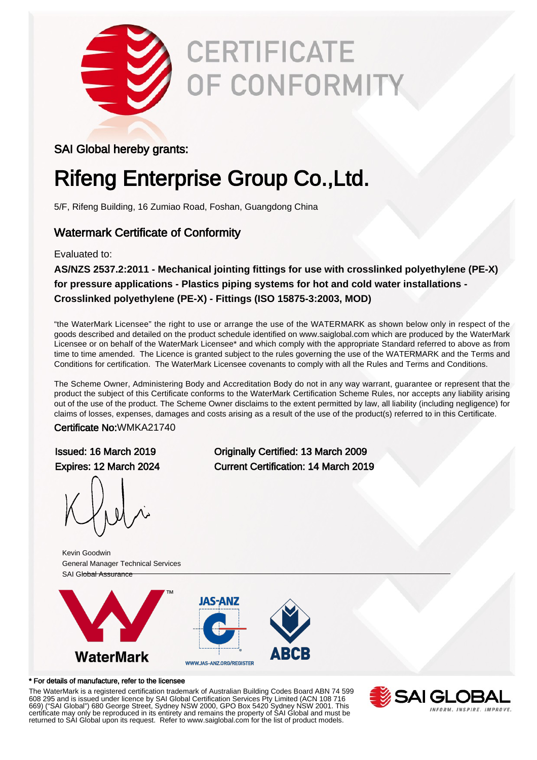

# **CERTIFICATE** *OF CONFORMITY*

#### SAI Global hereby grants:

# Rifeng Enterprise Group Co.,Ltd.

5/F, Rifeng Building, 16 Zumiao Road, Foshan, Guangdong China

### Watermark Certificate of Conformity

#### Evaluated to:

**AS/NZS 2537.2:2011 - Mechanical jointing fittings for use with crosslinked polyethylene (PE-X) for pressure applications - Plastics piping systems for hot and cold water installations - Crosslinked polyethylene (PE-X) - Fittings (ISO 15875-3:2003, MOD)**

"the WaterMark Licensee" the right to use or arrange the use of the WATERMARK as shown below only in respect of the goods described and detailed on the product schedule identified on www.saiglobal.com which are produced by the WaterMark Licensee or on behalf of the WaterMark Licensee\* and which comply with the appropriate Standard referred to above as from time to time amended. The Licence is granted subject to the rules governing the use of the WATERMARK and the Terms and Conditions for certification. The WaterMark Licensee covenants to comply with all the Rules and Terms and Conditions.

The Scheme Owner, Administering Body and Accreditation Body do not in any way warrant, guarantee or represent that the product the subject of this Certificate conforms to the WaterMark Certification Scheme Rules, nor accepts any liability arising out of the use of the product. The Scheme Owner disclaims to the extent permitted by law, all liability (including negligence) for claims of losses, expenses, damages and costs arising as a result of the use of the product(s) referred to in this Certificate.

#### Certificate No:WMKA21740

Issued: 16 March 2019 Originally Certified: 13 March 2009 Expires: 12 March 2024 Current Certification: 14 March 2019

Kevin Goodwin General Manager Technical Services SAI Global Assurance



#### \* For details of manufacture, refer to the licensee

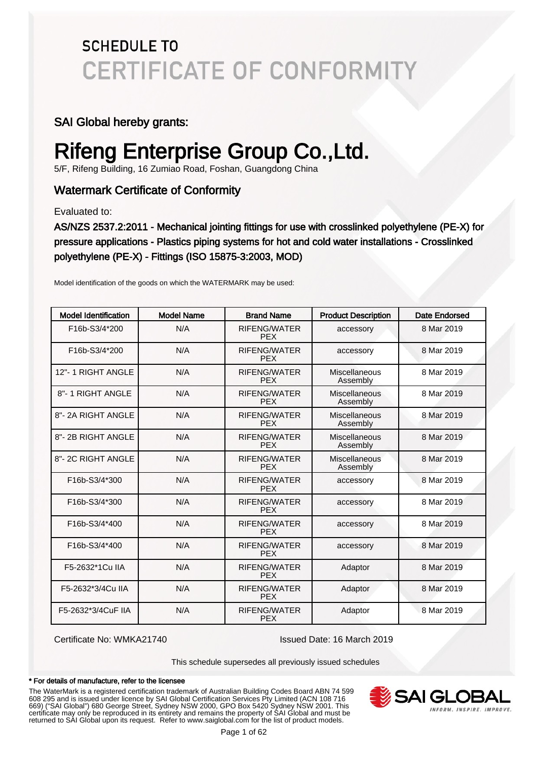#### SAI Global hereby grants:

# Rifeng Enterprise Group Co.,Ltd.

5/F, Rifeng Building, 16 Zumiao Road, Foshan, Guangdong China

### Watermark Certificate of Conformity

Evaluated to:

AS/NZS 2537.2:2011 - Mechanical jointing fittings for use with crosslinked polyethylene (PE-X) for pressure applications - Plastics piping systems for hot and cold water installations - Crosslinked polyethylene (PE-X) - Fittings (ISO 15875-3:2003, MOD)

| <b>Model Identification</b> | <b>Model Name</b> | <b>Brand Name</b>                 | <b>Product Description</b> | <b>Date Endorsed</b> |
|-----------------------------|-------------------|-----------------------------------|----------------------------|----------------------|
| F16b-S3/4*200               | N/A               | <b>RIFENG/WATER</b><br><b>PEX</b> | accessory                  | 8 Mar 2019           |
| F16b-S3/4*200               | N/A               | <b>RIFENG/WATER</b><br><b>PEX</b> | accessory                  | 8 Mar 2019           |
| 12"-1 RIGHT ANGLE           | N/A               | <b>RIFENG/WATER</b><br><b>PEX</b> | Miscellaneous<br>Assembly  | 8 Mar 2019           |
| 8"-1 RIGHT ANGLE            | N/A               | <b>RIFENG/WATER</b><br><b>PEX</b> | Miscellaneous<br>Assembly  | 8 Mar 2019           |
| 8"-2A RIGHT ANGLE           | N/A               | <b>RIFENG/WATER</b><br><b>PEX</b> | Miscellaneous<br>Assembly  | 8 Mar 2019           |
| 8"-2B RIGHT ANGLE           | N/A               | <b>RIFENG/WATER</b><br><b>PEX</b> | Miscellaneous<br>Assembly  | 8 Mar 2019           |
| 8"-2C RIGHT ANGLE           | N/A               | <b>RIFENG/WATER</b><br><b>PEX</b> | Miscellaneous<br>Assembly  | 8 Mar 2019           |
| F16b-S3/4*300               | N/A               | <b>RIFENG/WATER</b><br><b>PEX</b> | accessory                  | 8 Mar 2019           |
| F16b-S3/4*300               | N/A               | <b>RIFENG/WATER</b><br><b>PEX</b> | accessory                  | 8 Mar 2019           |
| F16b-S3/4*400               | N/A               | <b>RIFENG/WATER</b><br><b>PEX</b> | accessory                  | 8 Mar 2019           |
| F16b-S3/4*400               | N/A               | <b>RIFENG/WATER</b><br><b>PEX</b> | accessory                  | 8 Mar 2019           |
| F5-2632*1Cu IIA             | N/A               | RIFENG/WATER<br><b>PEX</b>        | Adaptor                    | 8 Mar 2019           |
| F5-2632*3/4Cu IIA           | N/A               | <b>RIFENG/WATER</b><br><b>PEX</b> | Adaptor                    | 8 Mar 2019           |
| F5-2632*3/4CuF IIA          | N/A               | <b>RIFENG/WATER</b><br><b>PEX</b> | Adaptor                    | 8 Mar 2019           |

Model identification of the goods on which the WATERMARK may be used:

Certificate No: WMKA21740 Issued Date: 16 March 2019

This schedule supersedes all previously issued schedules

#### \* For details of manufacture, refer to the licensee

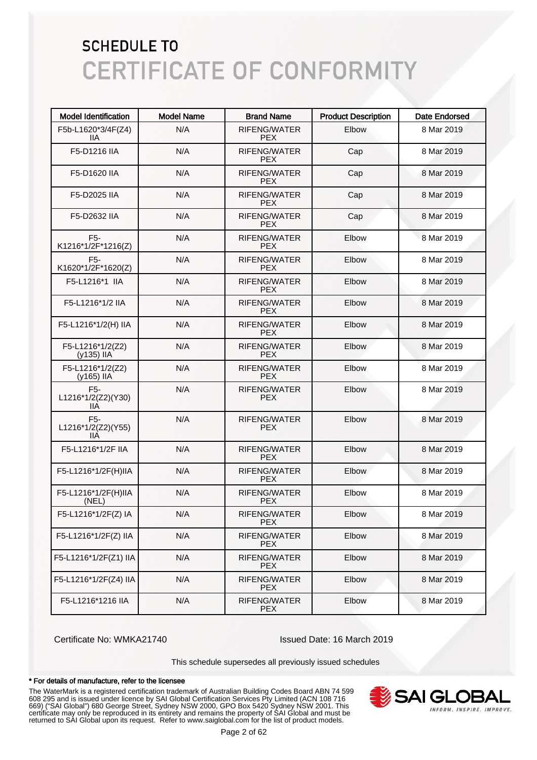| <b>Model Identification</b>                   | <b>Model Name</b> | <b>Brand Name</b>          | <b>Product Description</b> | <b>Date Endorsed</b> |
|-----------------------------------------------|-------------------|----------------------------|----------------------------|----------------------|
| F5b-L1620*3/4F(Z4)<br>11A                     | N/A               | RIFENG/WATER<br><b>PEX</b> | Elbow                      | 8 Mar 2019           |
| F5-D1216 IIA                                  | N/A               | RIFENG/WATER<br><b>PEX</b> | Cap                        | 8 Mar 2019           |
| F5-D1620 IIA                                  | N/A               | RIFENG/WATER<br><b>PEX</b> | Cap                        | 8 Mar 2019           |
| F5-D2025 IIA                                  | N/A               | RIFENG/WATER<br><b>PEX</b> | Cap                        | 8 Mar 2019           |
| F5-D2632 IIA                                  | N/A               | RIFENG/WATER<br><b>PEX</b> | Cap                        | 8 Mar 2019           |
| F5-<br>K1216*1/2F*1216(Z)                     | N/A               | RIFENG/WATER<br><b>PEX</b> | Elbow                      | 8 Mar 2019           |
| F <sub>5</sub> -<br>K1620*1/2F*1620(Z)        | N/A               | RIFENG/WATER<br><b>PEX</b> | Elbow                      | 8 Mar 2019           |
| F5-L1216*1 IIA                                | N/A               | RIFENG/WATER<br><b>PEX</b> | Elbow                      | 8 Mar 2019           |
| F5-L1216*1/2 IIA                              | N/A               | RIFENG/WATER<br><b>PEX</b> | Elbow                      | 8 Mar 2019           |
| F5-L1216*1/2(H) IIA                           | N/A               | RIFENG/WATER<br><b>PEX</b> | Elbow                      | 8 Mar 2019           |
| F5-L1216*1/2(Z2)<br>(y135) IIA                | N/A               | RIFENG/WATER<br><b>PEX</b> | Elbow                      | 8 Mar 2019           |
| F5-L1216*1/2(Z2)<br>(y165) IIA                | N/A               | RIFENG/WATER<br><b>PEX</b> | Elbow                      | 8 Mar 2019           |
| F <sub>5</sub> -<br>L1216*1/2(Z2)(Y30)<br>IIА | N/A               | RIFENG/WATER<br><b>PEX</b> | Elbow                      | 8 Mar 2019           |
| F <sub>5</sub> -<br>L1216*1/2(Z2)(Y55)<br>IIА | N/A               | RIFENG/WATER<br><b>PEX</b> | Elbow                      | 8 Mar 2019           |
| F5-L1216*1/2F IIA                             | N/A               | RIFENG/WATER<br><b>PEX</b> | Elbow                      | 8 Mar 2019           |
| F5-L1216*1/2F(H)IIA                           | N/A               | RIFENG/WATER<br><b>PEX</b> | Elbow                      | 8 Mar 2019           |
| F5-L1216*1/2F(H)IIA<br>(NEL)                  | N/A               | RIFENG/WATER<br><b>PEX</b> | Elbow                      | 8 Mar 2019           |
| F5-L1216*1/2F(Z) IA                           | N/A               | RIFENG/WATER<br><b>PEX</b> | Elbow                      | 8 Mar 2019           |
| F5-L1216*1/2F(Z) IIA                          | N/A               | RIFENG/WATER<br><b>PEX</b> | Elbow                      | 8 Mar 2019           |
| F5-L1216*1/2F(Z1) IIA                         | N/A               | RIFENG/WATER<br><b>PEX</b> | Elbow                      | 8 Mar 2019           |
| F5-L1216*1/2F(Z4) IIA                         | N/A               | RIFENG/WATER<br><b>PEX</b> | Elbow                      | 8 Mar 2019           |
| F5-L1216*1216 IIA                             | N/A               | RIFENG/WATER<br><b>PEX</b> | Elbow                      | 8 Mar 2019           |

Certificate No: WMKA21740 Issued Date: 16 March 2019

This schedule supersedes all previously issued schedules

#### \* For details of manufacture, refer to the licensee

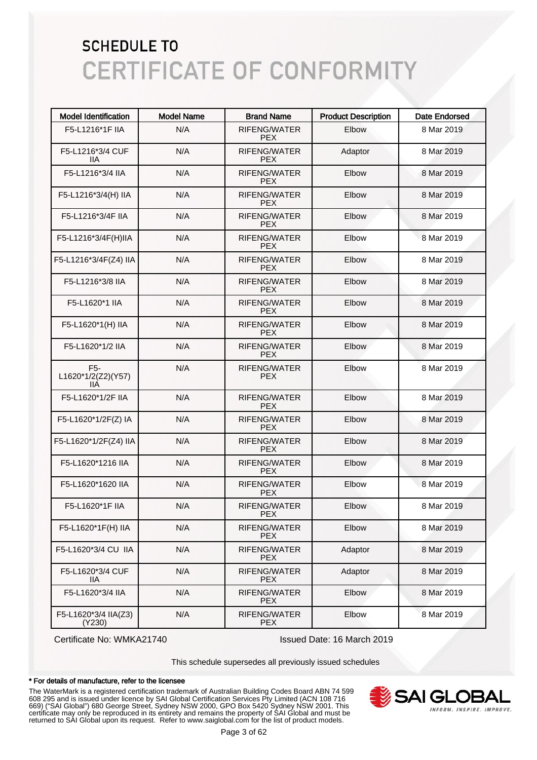| <b>Model Identification</b>                   | <b>Model Name</b> | <b>Brand Name</b>                 | <b>Product Description</b> | Date Endorsed |
|-----------------------------------------------|-------------------|-----------------------------------|----------------------------|---------------|
| F5-L1216*1F IIA                               | N/A               | RIFENG/WATER<br><b>PEX</b>        | Elbow                      | 8 Mar 2019    |
| F5-L1216*3/4 CUF<br>llА                       | N/A               | RIFENG/WATER<br><b>PEX</b>        | Adaptor                    | 8 Mar 2019    |
| F5-L1216*3/4 IIA                              | N/A               | RIFENG/WATER<br><b>PEX</b>        | Elbow                      | 8 Mar 2019    |
| F5-L1216*3/4(H) IIA                           | N/A               | RIFENG/WATER<br><b>PEX</b>        | Elbow                      | 8 Mar 2019    |
| F5-L1216*3/4F IIA                             | N/A               | RIFENG/WATER<br><b>PEX</b>        | Elbow                      | 8 Mar 2019    |
| F5-L1216*3/4F(H)IIA                           | N/A               | RIFENG/WATER<br><b>PEX</b>        | Elbow                      | 8 Mar 2019    |
| F5-L1216*3/4F(Z4) IIA                         | N/A               | RIFENG/WATER<br><b>PEX</b>        | Elbow                      | 8 Mar 2019    |
| F5-L1216*3/8 IIA                              | N/A               | RIFENG/WATER<br><b>PEX</b>        | Elbow                      | 8 Mar 2019    |
| F5-L1620*1 IIA                                | N/A               | RIFENG/WATER<br><b>PEX</b>        | Elbow                      | 8 Mar 2019    |
| F5-L1620*1(H) IIA                             | N/A               | RIFENG/WATER<br><b>PEX</b>        | Elbow                      | 8 Mar 2019    |
| F5-L1620*1/2 IIA                              | N/A               | RIFENG/WATER<br><b>PEX</b>        | Elbow                      | 8 Mar 2019    |
| F <sub>5</sub> -<br>L1620*1/2(Z2)(Y57)<br>IIА | N/A               | RIFENG/WATER<br><b>PEX</b>        | Elbow                      | 8 Mar 2019    |
| F5-L1620*1/2F IIA                             | N/A               | RIFENG/WATER<br><b>PEX</b>        | Elbow                      | 8 Mar 2019    |
| F5-L1620*1/2F(Z) IA                           | N/A               | RIFENG/WATER<br><b>PEX</b>        | Elbow                      | 8 Mar 2019    |
| F5-L1620*1/2F(Z4) IIA                         | N/A               | RIFENG/WATER<br><b>PEX</b>        | Elbow                      | 8 Mar 2019    |
| F5-L1620*1216 IIA                             | N/A               | RIFENG/WATER<br><b>PEX</b>        | Elbow                      | 8 Mar 2019    |
| F5-L1620*1620 IIA                             | N/A               | RIFENG/WATER<br><b>PEX</b>        | Elbow                      | 8 Mar 2019    |
| F5-L1620*1F IIA                               | N/A               | <b>RIFENG/WATER</b><br><b>PEX</b> | Elbow                      | 8 Mar 2019    |
| F5-L1620*1F(H) IIA                            | N/A               | RIFENG/WATER<br><b>PEX</b>        | Elbow                      | 8 Mar 2019    |
| F5-L1620*3/4 CU IIA                           | N/A               | RIFENG/WATER<br><b>PEX</b>        | Adaptor                    | 8 Mar 2019    |
| F5-L1620*3/4 CUF<br>llА                       | N/A               | RIFENG/WATER<br><b>PEX</b>        | Adaptor                    | 8 Mar 2019    |
| F5-L1620*3/4 IIA                              | N/A               | RIFENG/WATER<br><b>PEX</b>        | Elbow                      | 8 Mar 2019    |
| F5-L1620*3/4 IIA(Z3)<br>(Y230)                | N/A               | RIFENG/WATER<br><b>PEX</b>        | Elbow                      | 8 Mar 2019    |

Certificate No: WMKA21740 Issued Date: 16 March 2019

This schedule supersedes all previously issued schedules

#### \* For details of manufacture, refer to the licensee

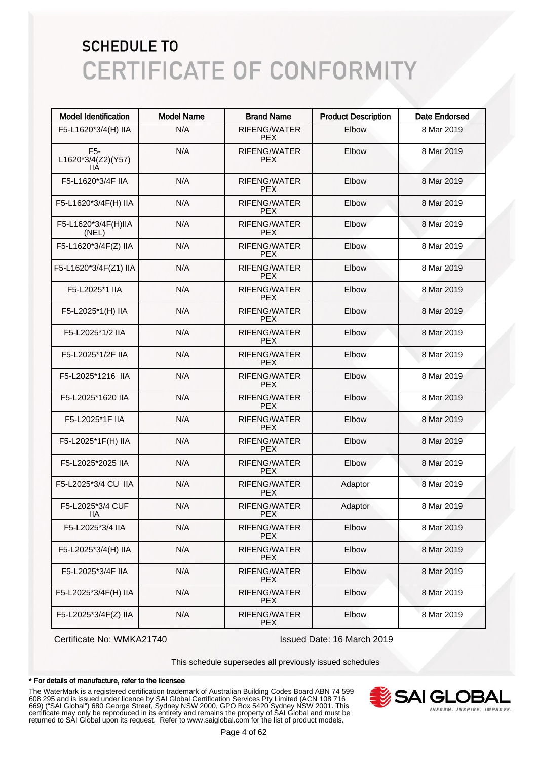| <b>Model Identification</b>                   | <b>Model Name</b> | <b>Brand Name</b>                 | <b>Product Description</b> | <b>Date Endorsed</b> |
|-----------------------------------------------|-------------------|-----------------------------------|----------------------------|----------------------|
| F5-L1620*3/4(H) IIA                           | N/A               | <b>RIFENG/WATER</b><br><b>PEX</b> | Elbow                      | 8 Mar 2019           |
| F <sub>5</sub> -<br>L1620*3/4(Z2)(Y57)<br>IIА | N/A               | RIFENG/WATER<br><b>PEX</b>        | Elbow                      | 8 Mar 2019           |
| F5-L1620*3/4F IIA                             | N/A               | RIFENG/WATER<br><b>PEX</b>        | Elbow                      | 8 Mar 2019           |
| F5-L1620*3/4F(H) IIA                          | N/A               | <b>RIFENG/WATER</b><br><b>PEX</b> | Elbow                      | 8 Mar 2019           |
| F5-L1620*3/4F(H)IIA<br>(NEL)                  | N/A               | RIFENG/WATER<br><b>PEX</b>        | Elbow                      | 8 Mar 2019           |
| F5-L1620*3/4F(Z) IIA                          | N/A               | RIFENG/WATER<br><b>PEX</b>        | Elbow                      | 8 Mar 2019           |
| F5-L1620*3/4F(Z1) IIA                         | N/A               | RIFENG/WATER<br><b>PEX</b>        | Elbow                      | 8 Mar 2019           |
| F5-L2025*1 IIA                                | N/A               | RIFENG/WATER<br><b>PEX</b>        | Elbow                      | 8 Mar 2019           |
| F5-L2025*1(H) IIA                             | N/A               | RIFENG/WATER<br><b>PEX</b>        | Elbow                      | 8 Mar 2019           |
| F5-L2025*1/2 IIA                              | N/A               | RIFENG/WATER<br><b>PEX</b>        | Elbow                      | 8 Mar 2019           |
| F5-L2025*1/2F IIA                             | N/A               | RIFENG/WATER<br><b>PEX</b>        | Elbow                      | 8 Mar 2019           |
| F5-L2025*1216 IIA                             | N/A               | RIFENG/WATER<br><b>PEX</b>        | Elbow                      | 8 Mar 2019           |
| F5-L2025*1620 IIA                             | N/A               | RIFENG/WATER<br><b>PEX</b>        | Elbow                      | 8 Mar 2019           |
| F5-L2025*1F IIA                               | N/A               | RIFENG/WATER<br><b>PEX</b>        | Elbow                      | 8 Mar 2019           |
| F5-L2025*1F(H) IIA                            | N/A               | RIFENG/WATER<br><b>PEX</b>        | Elbow                      | 8 Mar 2019           |
| F5-L2025*2025 IIA                             | N/A               | RIFENG/WATER<br><b>PEX</b>        | Elbow                      | 8 Mar 2019           |
| F5-L2025*3/4 CU IIA                           | N/A               | RIFENG/WATER<br><b>PEX</b>        | Adaptor                    | 8 Mar 2019           |
| F5-L2025*3/4 CUF<br>IIA                       | N/A               | <b>RIFENG/WATER</b><br><b>PEX</b> | Adaptor                    | 8 Mar 2019           |
| F5-L2025*3/4 IIA                              | N/A               | <b>RIFENG/WATER</b><br><b>PEX</b> | Elbow                      | 8 Mar 2019           |
| F5-L2025*3/4(H) IIA                           | N/A               | RIFENG/WATER<br><b>PEX</b>        | Elbow                      | 8 Mar 2019           |
| F5-L2025*3/4F IIA                             | N/A               | RIFENG/WATER<br><b>PEX</b>        | Elbow                      | 8 Mar 2019           |
| F5-L2025*3/4F(H) IIA                          | N/A               | RIFENG/WATER<br><b>PEX</b>        | Elbow                      | 8 Mar 2019           |
| F5-L2025*3/4F(Z) IIA                          | N/A               | RIFENG/WATER<br><b>PEX</b>        | Elbow                      | 8 Mar 2019           |

Certificate No: WMKA21740 Issued Date: 16 March 2019

This schedule supersedes all previously issued schedules

#### \* For details of manufacture, refer to the licensee

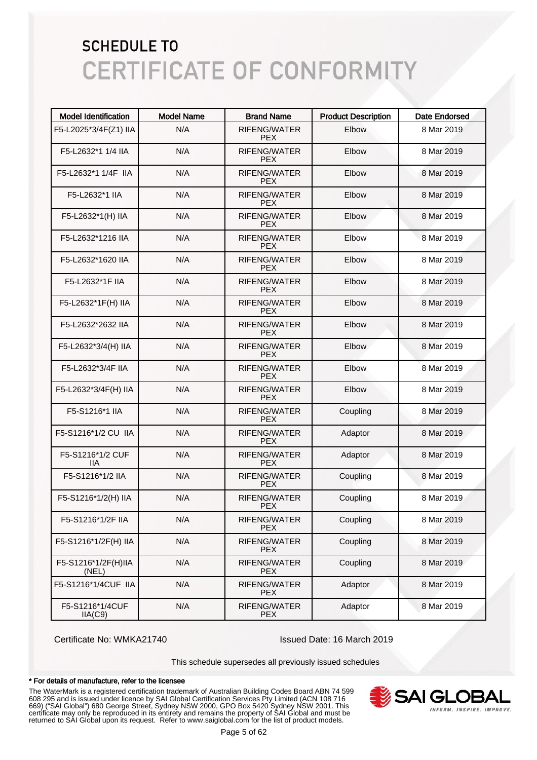| <b>Model Identification</b>  | <b>Model Name</b> | <b>Brand Name</b>                 | <b>Product Description</b> | <b>Date Endorsed</b> |
|------------------------------|-------------------|-----------------------------------|----------------------------|----------------------|
| F5-L2025*3/4F(Z1) IIA        | N/A               | RIFENG/WATER<br><b>PEX</b>        | Elbow                      | 8 Mar 2019           |
| F5-L2632*1 1/4 IIA           | N/A               | RIFENG/WATER<br><b>PEX</b>        | Elbow                      | 8 Mar 2019           |
| F5-L2632*1 1/4F IIA          | N/A               | RIFENG/WATER<br><b>PEX</b>        | Elbow                      | 8 Mar 2019           |
| F5-L2632*1 IIA               | N/A               | RIFENG/WATER<br><b>PEX</b>        | Elbow                      | 8 Mar 2019           |
| F5-L2632*1(H) IIA            | N/A               | RIFENG/WATER<br><b>PEX</b>        | Elbow                      | 8 Mar 2019           |
| F5-L2632*1216 IIA            | N/A               | <b>RIFENG/WATER</b><br><b>PEX</b> | Elbow                      | 8 Mar 2019           |
| F5-L2632*1620 IIA            | N/A               | RIFENG/WATER<br><b>PEX</b>        | Elbow                      | 8 Mar 2019           |
| F5-L2632*1F IIA              | N/A               | RIFENG/WATER<br><b>PEX</b>        | Elbow                      | 8 Mar 2019           |
| F5-L2632*1F(H) IIA           | N/A               | RIFENG/WATER<br><b>PEX</b>        | Elbow                      | 8 Mar 2019           |
| F5-L2632*2632 IIA            | N/A               | RIFENG/WATER<br><b>PEX</b>        | Elbow                      | 8 Mar 2019           |
| F5-L2632*3/4(H) IIA          | N/A               | <b>RIFENG/WATER</b><br><b>PEX</b> | Elbow                      | 8 Mar 2019           |
| F5-L2632*3/4F IIA            | N/A               | RIFENG/WATER<br><b>PEX</b>        | Elbow                      | 8 Mar 2019           |
| F5-L2632*3/4F(H) IIA         | N/A               | RIFENG/WATER<br><b>PEX</b>        | Elbow                      | 8 Mar 2019           |
| F5-S1216*1 IIA               | N/A               | RIFENG/WATER<br><b>PEX</b>        | Coupling                   | 8 Mar 2019           |
| F5-S1216*1/2 CU IIA          | N/A               | RIFENG/WATER<br><b>PEX</b>        | Adaptor                    | 8 Mar 2019           |
| F5-S1216*1/2 CUF<br>IIA      | N/A               | RIFENG/WATER<br><b>PEX</b>        | Adaptor                    | 8 Mar 2019           |
| F5-S1216*1/2 IIA             | N/A               | RIFENG/WATER<br><b>PEX</b>        | Coupling                   | 8 Mar 2019           |
| F5-S1216*1/2(H) IIA          | N/A               | RIFENG/WATER<br><b>PEX</b>        | Coupling                   | 8 Mar 2019           |
| F5-S1216*1/2F IIA            | N/A               | RIFENG/WATER<br><b>PEX</b>        | Coupling                   | 8 Mar 2019           |
| F5-S1216*1/2F(H) IIA         | N/A               | RIFENG/WATER<br><b>PEX</b>        | Coupling                   | 8 Mar 2019           |
| F5-S1216*1/2F(H)IIA<br>(NEL) | N/A               | RIFENG/WATER<br><b>PEX</b>        | Coupling                   | 8 Mar 2019           |
| F5-S1216*1/4CUF IIA          | N/A               | RIFENG/WATER<br><b>PEX</b>        | Adaptor                    | 8 Mar 2019           |
| F5-S1216*1/4CUF<br>IIA(C9)   | N/A               | RIFENG/WATER<br><b>PEX</b>        | Adaptor                    | 8 Mar 2019           |

Certificate No: WMKA21740 Issued Date: 16 March 2019

This schedule supersedes all previously issued schedules

#### \* For details of manufacture, refer to the licensee

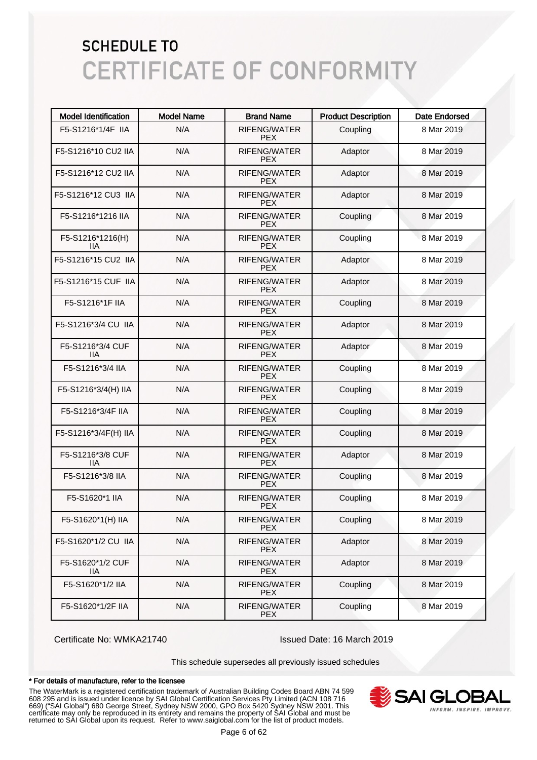| <b>Model Identification</b> | <b>Model Name</b> | <b>Brand Name</b>                 | <b>Product Description</b> | <b>Date Endorsed</b> |
|-----------------------------|-------------------|-----------------------------------|----------------------------|----------------------|
| F5-S1216*1/4F IIA           | N/A               | RIFENG/WATER<br><b>PEX</b>        | Coupling                   | 8 Mar 2019           |
| F5-S1216*10 CU2 IIA         | N/A               | RIFENG/WATER<br><b>PEX</b>        | Adaptor                    | 8 Mar 2019           |
| F5-S1216*12 CU2 IIA         | N/A               | <b>RIFENG/WATER</b><br><b>PEX</b> | Adaptor                    | 8 Mar 2019           |
| F5-S1216*12 CU3 IIA         | N/A               | RIFENG/WATER<br><b>PEX</b>        | Adaptor                    | 8 Mar 2019           |
| F5-S1216*1216 IIA           | N/A               | RIFENG/WATER<br><b>PEX</b>        | Coupling                   | 8 Mar 2019           |
| F5-S1216*1216(H)<br>11A     | N/A               | RIFENG/WATER<br><b>PEX</b>        | Coupling                   | 8 Mar 2019           |
| F5-S1216*15 CU2 IIA         | N/A               | RIFENG/WATER<br><b>PEX</b>        | Adaptor                    | 8 Mar 2019           |
| F5-S1216*15 CUF IIA         | N/A               | RIFENG/WATER<br><b>PEX</b>        | Adaptor                    | 8 Mar 2019           |
| F5-S1216*1F IIA             | N/A               | RIFENG/WATER<br><b>PEX</b>        | Coupling                   | 8 Mar 2019           |
| F5-S1216*3/4 CU IIA         | N/A               | RIFENG/WATER<br><b>PEX</b>        | Adaptor                    | 8 Mar 2019           |
| F5-S1216*3/4 CUF<br>ШA      | N/A               | RIFENG/WATER<br><b>PEX</b>        | Adaptor                    | 8 Mar 2019           |
| F5-S1216*3/4 IIA            | N/A               | RIFENG/WATER<br><b>PEX</b>        | Coupling                   | 8 Mar 2019           |
| F5-S1216*3/4(H) IIA         | N/A               | <b>RIFENG/WATER</b><br><b>PEX</b> | Coupling                   | 8 Mar 2019           |
| F5-S1216*3/4F IIA           | N/A               | RIFENG/WATER<br><b>PEX</b>        | Coupling                   | 8 Mar 2019           |
| F5-S1216*3/4F(H) IIA        | N/A               | <b>RIFENG/WATER</b><br><b>PEX</b> | Coupling                   | 8 Mar 2019           |
| F5-S1216*3/8 CUF<br>IІA     | N/A               | <b>RIFENG/WATER</b><br><b>PEX</b> | Adaptor                    | 8 Mar 2019           |
| F5-S1216*3/8 IIA            | N/A               | <b>RIFENG/WATER</b><br><b>PEX</b> | Coupling                   | 8 Mar 2019           |
| F5-S1620*1 IIA              | N/A               | <b>RIFENG/WATER</b><br><b>PEX</b> | Coupling                   | 8 Mar 2019           |
| F5-S1620*1(H) IIA           | N/A               | RIFENG/WATER<br>PEX.              | Coupling                   | 8 Mar 2019           |
| F5-S1620*1/2 CU IIA         | N/A               | RIFENG/WATER<br><b>PEX</b>        | Adaptor                    | 8 Mar 2019           |
| F5-S1620*1/2 CUF<br>llА     | N/A               | RIFENG/WATER<br><b>PEX</b>        | Adaptor                    | 8 Mar 2019           |
| F5-S1620*1/2 IIA            | N/A               | RIFENG/WATER<br><b>PEX</b>        | Coupling                   | 8 Mar 2019           |
| F5-S1620*1/2F IIA           | N/A               | RIFENG/WATER<br><b>PEX</b>        | Coupling                   | 8 Mar 2019           |

Certificate No: WMKA21740 Issued Date: 16 March 2019

This schedule supersedes all previously issued schedules

#### \* For details of manufacture, refer to the licensee

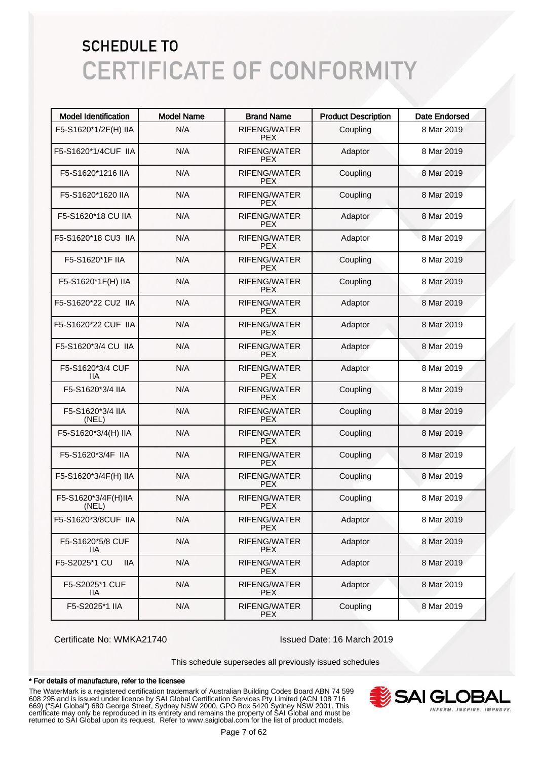| <b>Model Identification</b>  | <b>Model Name</b> | <b>Brand Name</b>                 | <b>Product Description</b> | <b>Date Endorsed</b> |
|------------------------------|-------------------|-----------------------------------|----------------------------|----------------------|
| F5-S1620*1/2F(H) IIA         | N/A               | RIFENG/WATER<br><b>PEX</b>        | Coupling                   | 8 Mar 2019           |
| F5-S1620*1/4CUF IIA          | N/A               | RIFENG/WATER<br><b>PEX</b>        | Adaptor                    | 8 Mar 2019           |
| F5-S1620*1216 IIA            | N/A               | RIFENG/WATER<br><b>PEX</b>        | Coupling                   | 8 Mar 2019           |
| F5-S1620*1620 IIA            | N/A               | <b>RIFENG/WATER</b><br><b>PEX</b> | Coupling                   | 8 Mar 2019           |
| F5-S1620*18 CU IIA           | N/A               | RIFENG/WATER<br><b>PEX</b>        | Adaptor                    | 8 Mar 2019           |
| F5-S1620*18 CU3 IIA          | N/A               | RIFENG/WATER<br><b>PEX</b>        | Adaptor                    | 8 Mar 2019           |
| F5-S1620*1F IIA              | N/A               | RIFENG/WATER<br><b>PEX</b>        | Coupling                   | 8 Mar 2019           |
| F5-S1620*1F(H) IIA           | N/A               | RIFENG/WATER<br><b>PEX</b>        | Coupling                   | 8 Mar 2019           |
| F5-S1620*22 CU2 IIA          | N/A               | <b>RIFENG/WATER</b><br><b>PEX</b> | Adaptor                    | 8 Mar 2019           |
| F5-S1620*22 CUF IIA          | N/A               | RIFENG/WATER<br><b>PEX</b>        | Adaptor                    | 8 Mar 2019           |
| F5-S1620*3/4 CU IIA          | N/A               | <b>RIFENG/WATER</b><br><b>PEX</b> | Adaptor                    | 8 Mar 2019           |
| F5-S1620*3/4 CUF<br>ШA       | N/A               | <b>RIFENG/WATER</b><br><b>PEX</b> | Adaptor                    | 8 Mar 2019           |
| F5-S1620*3/4 IIA             | N/A               | <b>RIFENG/WATER</b><br><b>PEX</b> | Coupling                   | 8 Mar 2019           |
| F5-S1620*3/4 IIA<br>(NEL)    | N/A               | <b>RIFENG/WATER</b><br><b>PEX</b> | Coupling                   | 8 Mar 2019           |
| F5-S1620*3/4(H) IIA          | N/A               | <b>RIFENG/WATER</b><br><b>PEX</b> | Coupling                   | 8 Mar 2019           |
| F5-S1620*3/4F IIA            | N/A               | <b>RIFENG/WATER</b><br><b>PEX</b> | Coupling                   | 8 Mar 2019           |
| F5-S1620*3/4F(H) IIA         | N/A               | <b>RIFENG/WATER</b><br><b>PEX</b> | Coupling                   | 8 Mar 2019           |
| F5-S1620*3/4F(H)IIA<br>(NEL) | N/A               | RIFENG/WATER<br><b>PEX</b>        | Coupling                   | 8 Mar 2019           |
| F5-S1620*3/8CUF IIA          | N/A               | RIFENG/WATER<br><b>PEX</b>        | Adaptor                    | 8 Mar 2019           |
| F5-S1620*5/8 CUF<br>llА      | N/A               | RIFENG/WATER<br><b>PEX</b>        | Adaptor                    | 8 Mar 2019           |
| F5-S2025*1 CU<br><b>IIA</b>  | N/A               | RIFENG/WATER<br><b>PEX</b>        | Adaptor                    | 8 Mar 2019           |
| F5-S2025*1 CUF<br>11A        | N/A               | RIFENG/WATER<br><b>PEX</b>        | Adaptor                    | 8 Mar 2019           |
| F5-S2025*1 IIA               | N/A               | RIFENG/WATER<br><b>PEX</b>        | Coupling                   | 8 Mar 2019           |

Certificate No: WMKA21740 Issued Date: 16 March 2019

This schedule supersedes all previously issued schedules

#### \* For details of manufacture, refer to the licensee

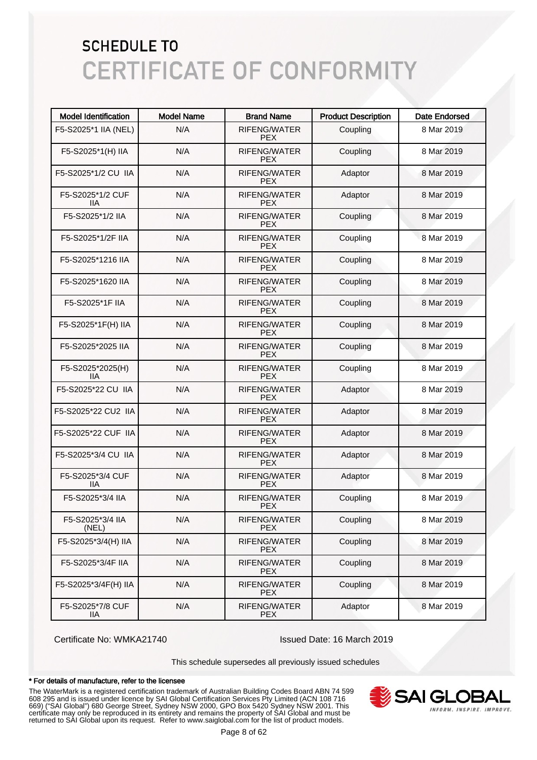| <b>Model Identification</b> | <b>Model Name</b> | <b>Brand Name</b>                 | <b>Product Description</b> | <b>Date Endorsed</b> |
|-----------------------------|-------------------|-----------------------------------|----------------------------|----------------------|
| F5-S2025*1 IIA (NEL)        | N/A               | RIFENG/WATER<br><b>PEX</b>        | Coupling                   | 8 Mar 2019           |
| F5-S2025*1(H) IIA           | N/A               | RIFENG/WATER<br><b>PEX</b>        | Coupling                   | 8 Mar 2019           |
| F5-S2025*1/2 CU IIA         | N/A               | <b>RIFENG/WATER</b><br><b>PEX</b> | Adaptor                    | 8 Mar 2019           |
| F5-S2025*1/2 CUF<br>ШA      | N/A               | RIFENG/WATER<br><b>PEX</b>        | Adaptor                    | 8 Mar 2019           |
| F5-S2025*1/2 IIA            | N/A               | <b>RIFENG/WATER</b><br><b>PEX</b> | Coupling                   | 8 Mar 2019           |
| F5-S2025*1/2F IIA           | N/A               | <b>RIFENG/WATER</b><br><b>PEX</b> | Coupling                   | 8 Mar 2019           |
| F5-S2025*1216 IIA           | N/A               | RIFENG/WATER<br><b>PEX</b>        | Coupling                   | 8 Mar 2019           |
| F5-S2025*1620 IIA           | N/A               | RIFENG/WATER<br><b>PEX</b>        | Coupling                   | 8 Mar 2019           |
| F5-S2025*1F IIA             | N/A               | RIFENG/WATER<br><b>PEX</b>        | Coupling                   | 8 Mar 2019           |
| F5-S2025*1F(H) IIA          | N/A               | RIFENG/WATER<br><b>PEX</b>        | Coupling                   | 8 Mar 2019           |
| F5-S2025*2025 IIA           | N/A               | RIFENG/WATER<br><b>PEX</b>        | Coupling                   | 8 Mar 2019           |
| F5-S2025*2025(H)<br>IIА     | N/A               | RIFENG/WATER<br><b>PEX</b>        | Coupling                   | 8 Mar 2019           |
| F5-S2025*22 CU IIA          | N/A               | RIFENG/WATER<br><b>PEX</b>        | Adaptor                    | 8 Mar 2019           |
| F5-S2025*22 CU2 IIA         | N/A               | RIFENG/WATER<br><b>PEX</b>        | Adaptor                    | 8 Mar 2019           |
| F5-S2025*22 CUF IIA         | N/A               | <b>RIFENG/WATER</b><br><b>PEX</b> | Adaptor                    | 8 Mar 2019           |
| F5-S2025*3/4 CU IIA         | N/A               | <b>RIFENG/WATER</b><br><b>PEX</b> | Adaptor                    | 8 Mar 2019           |
| F5-S2025*3/4 CUF<br>IIА     | N/A               | <b>RIFENG/WATER</b><br><b>PEX</b> | Adaptor                    | 8 Mar 2019           |
| F5-S2025*3/4 IIA            | N/A               | RIFENG/WATER<br><b>PEX</b>        | Coupling                   | 8 Mar 2019           |
| F5-S2025*3/4 IIA<br>(NEL)   | N/A               | RIFENG/WATER<br><b>PEX</b>        | Coupling                   | 8 Mar 2019           |
| F5-S2025*3/4(H) IIA         | N/A               | RIFENG/WATER<br><b>PEX</b>        | Coupling                   | 8 Mar 2019           |
| F5-S2025*3/4F IIA           | N/A               | RIFENG/WATER<br><b>PEX</b>        | Coupling                   | 8 Mar 2019           |
| F5-S2025*3/4F(H) IIA        | N/A               | RIFENG/WATER<br><b>PEX</b>        | Coupling                   | 8 Mar 2019           |
| F5-S2025*7/8 CUF<br>llА     | N/A               | RIFENG/WATER<br><b>PEX</b>        | Adaptor                    | 8 Mar 2019           |

Certificate No: WMKA21740 Issued Date: 16 March 2019

This schedule supersedes all previously issued schedules

#### \* For details of manufacture, refer to the licensee

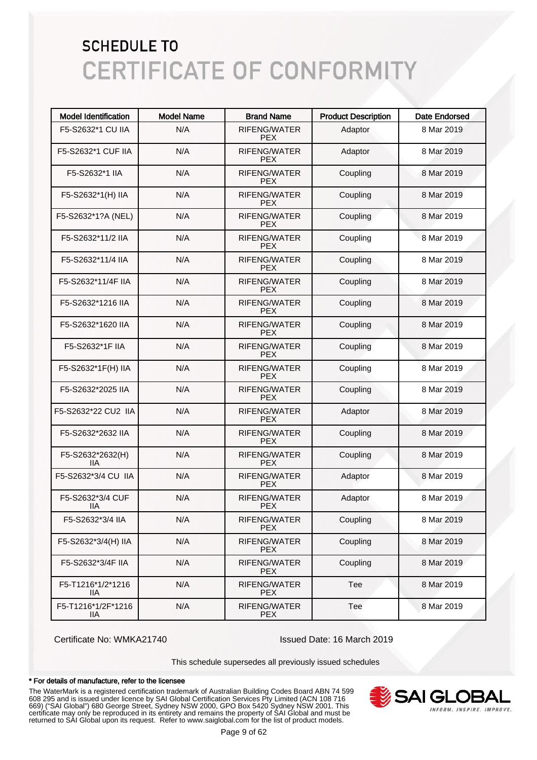| <b>Model Identification</b> | <b>Model Name</b> | <b>Brand Name</b>                 | <b>Product Description</b> | <b>Date Endorsed</b> |
|-----------------------------|-------------------|-----------------------------------|----------------------------|----------------------|
| F5-S2632*1 CU IIA           | N/A               | <b>RIFENG/WATER</b><br><b>PEX</b> | Adaptor                    | 8 Mar 2019           |
| F5-S2632*1 CUF IIA          | N/A               | <b>RIFENG/WATER</b><br><b>PFX</b> | Adaptor                    | 8 Mar 2019           |
| F5-S2632*1 IIA              | N/A               | <b>RIFENG/WATER</b><br><b>PEX</b> | Coupling                   | 8 Mar 2019           |
| F5-S2632*1(H) IIA           | N/A               | <b>RIFENG/WATER</b><br><b>PEX</b> | Coupling                   | 8 Mar 2019           |
| F5-S2632*1?A (NEL)          | N/A               | <b>RIFENG/WATER</b><br><b>PEX</b> | Coupling                   | 8 Mar 2019           |
| F5-S2632*11/2 IIA           | N/A               | <b>RIFENG/WATER</b><br><b>PEX</b> | Coupling                   | 8 Mar 2019           |
| F5-S2632*11/4 IIA           | N/A               | <b>RIFENG/WATER</b><br><b>PEX</b> | Coupling                   | 8 Mar 2019           |
| F5-S2632*11/4F IIA          | N/A               | <b>RIFENG/WATER</b><br><b>PEX</b> | Coupling                   | 8 Mar 2019           |
| F5-S2632*1216 IIA           | N/A               | <b>RIFENG/WATER</b><br><b>PEX</b> | Coupling                   | 8 Mar 2019           |
| F5-S2632*1620 IIA           | N/A               | <b>RIFENG/WATER</b><br><b>PEX</b> | Coupling                   | 8 Mar 2019           |
| F5-S2632*1F IIA             | N/A               | <b>RIFENG/WATER</b><br><b>PEX</b> | Coupling                   | 8 Mar 2019           |
| F5-S2632*1F(H) IIA          | N/A               | <b>RIFENG/WATER</b><br><b>PEX</b> | Coupling                   | 8 Mar 2019           |
| F5-S2632*2025 IIA           | N/A               | <b>RIFENG/WATER</b><br><b>PEX</b> | Coupling                   | 8 Mar 2019           |
| F5-S2632*22 CU2 IIA         | N/A               | <b>RIFENG/WATER</b><br><b>PEX</b> | Adaptor                    | 8 Mar 2019           |
| F5-S2632*2632 IIA           | N/A               | <b>RIFENG/WATER</b><br><b>PEX</b> | Coupling                   | 8 Mar 2019           |
| F5-S2632*2632(H)<br>IIА     | N/A               | <b>RIFENG/WATER</b><br><b>PEX</b> | Coupling                   | 8 Mar 2019           |
| F5-S2632*3/4 CU IIA         | N/A               | <b>RIFENG/WATER</b><br><b>PEX</b> | Adaptor                    | 8 Mar 2019           |
| F5-S2632*3/4 CUF<br>ШA      | N/A               | <b>RIFENG/WATER</b><br><b>PEX</b> | Adaptor                    | 8 Mar 2019           |
| F5-S2632*3/4 IIA            | N/A               | RIFENG/WATER<br><b>PEX</b>        | Coupling                   | 8 Mar 2019           |
| F5-S2632*3/4(H) IIA         | N/A               | RIFENG/WATER<br><b>PEX</b>        | Coupling                   | 8 Mar 2019           |
| F5-S2632*3/4F IIA           | N/A               | RIFENG/WATER<br><b>PEX</b>        | Coupling                   | 8 Mar 2019           |
| F5-T1216*1/2*1216<br>11A    | N/A               | RIFENG/WATER<br><b>PEX</b>        | Tee                        | 8 Mar 2019           |
| F5-T1216*1/2F*1216<br>llА   | N/A               | RIFENG/WATER<br><b>PEX</b>        | Tee                        | 8 Mar 2019           |

Certificate No: WMKA21740 Issued Date: 16 March 2019

This schedule supersedes all previously issued schedules

#### \* For details of manufacture, refer to the licensee

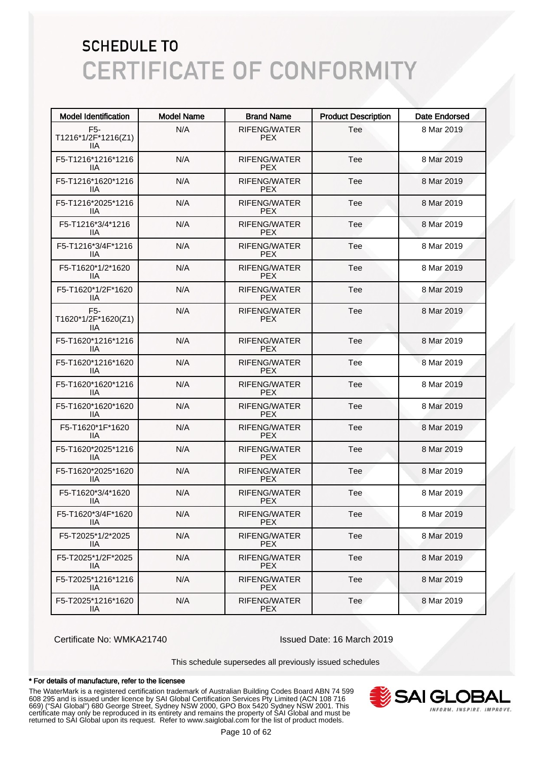| <b>Model Identification</b>                    | <b>Model Name</b> | <b>Brand Name</b>                 | <b>Product Description</b> | <b>Date Endorsed</b> |
|------------------------------------------------|-------------------|-----------------------------------|----------------------------|----------------------|
| F <sub>5</sub> -<br>T1216*1/2F*1216(Z1)<br>IIА | N/A               | RIFENG/WATER<br><b>PEX</b>        | Tee                        | 8 Mar 2019           |
| F5-T1216*1216*1216<br>IIА                      | N/A               | RIFENG/WATER<br><b>PEX</b>        | Tee                        | 8 Mar 2019           |
| F5-T1216*1620*1216<br>IIА                      | N/A               | <b>RIFENG/WATER</b><br><b>PEX</b> | Tee                        | 8 Mar 2019           |
| F5-T1216*2025*1216<br>IIА                      | N/A               | RIFENG/WATER<br><b>PEX</b>        | Tee                        | 8 Mar 2019           |
| F5-T1216*3/4*1216<br>11A                       | N/A               | RIFENG/WATER<br><b>PEX</b>        | Tee                        | 8 Mar 2019           |
| F5-T1216*3/4F*1216<br>IIА                      | N/A               | RIFENG/WATER<br><b>PEX</b>        | Tee                        | 8 Mar 2019           |
| F5-T1620*1/2*1620<br>11A                       | N/A               | RIFENG/WATER<br><b>PEX</b>        | Tee                        | 8 Mar 2019           |
| F5-T1620*1/2F*1620<br>11A                      | N/A               | RIFENG/WATER<br><b>PEX</b>        | Tee                        | 8 Mar 2019           |
| F <sub>5</sub> -<br>T1620*1/2F*1620(Z1)<br>ШA  | N/A               | <b>RIFENG/WATER</b><br><b>PEX</b> | Tee                        | 8 Mar 2019           |
| F5-T1620*1216*1216<br>ШA                       | N/A               | RIFENG/WATER<br><b>PEX</b>        | Tee                        | 8 Mar 2019           |
| F5-T1620*1216*1620<br>ШA                       | N/A               | RIFENG/WATER<br><b>PEX</b>        | Tee                        | 8 Mar 2019           |
| F5-T1620*1620*1216<br>ШA                       | N/A               | <b>RIFENG/WATER</b><br><b>PEX</b> | Tee                        | 8 Mar 2019           |
| F5-T1620*1620*1620<br>11A                      | N/A               | RIFENG/WATER<br><b>PEX</b>        | Tee                        | 8 Mar 2019           |
| F5-T1620*1F*1620<br>ШA                         | N/A               | RIFENG/WATER<br><b>PEX</b>        | Tee                        | 8 Mar 2019           |
| F5-T1620*2025*1216<br>ШA                       | N/A               | RIFENG/WATER<br><b>PEX</b>        | Tee                        | 8 Mar 2019           |
| F5-T1620*2025*1620<br>ШA                       | N/A               | RIFENG/WATER<br><b>PEX</b>        | Tee                        | 8 Mar 2019           |
| F5-T1620*3/4*1620<br>11A                       | N/A               | RIFENG/WATER<br><b>PEX</b>        | Tee                        | 8 Mar 2019           |
| F5-T1620*3/4F*1620<br>11A                      | N/A               | RIFENG/WATER<br><b>PEX</b>        | Tee                        | 8 Mar 2019           |
| F5-T2025*1/2*2025<br>11A                       | N/A               | <b>RIFENG/WATER</b><br><b>PEX</b> | Tee                        | 8 Mar 2019           |
| F5-T2025*1/2F*2025<br>11A                      | N/A               | <b>RIFENG/WATER</b><br><b>PEX</b> | Tee                        | 8 Mar 2019           |
| F5-T2025*1216*1216<br>11A                      | N/A               | RIFENG/WATER<br><b>PEX</b>        | Tee                        | 8 Mar 2019           |
| F5-T2025*1216*1620<br>IIA.                     | N/A               | RIFENG/WATER<br><b>PEX</b>        | Tee                        | 8 Mar 2019           |

Certificate No: WMKA21740 Issued Date: 16 March 2019

This schedule supersedes all previously issued schedules

#### \* For details of manufacture, refer to the licensee

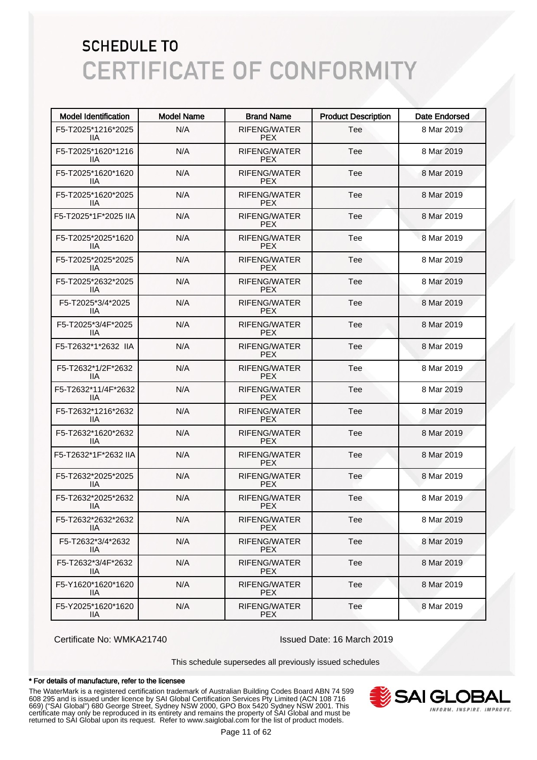| <b>Model Identification</b> | <b>Model Name</b> | <b>Brand Name</b>           | <b>Product Description</b> | Date Endorsed |
|-----------------------------|-------------------|-----------------------------|----------------------------|---------------|
| F5-T2025*1216*2025<br>11A   | N/A               | <b>RIFENG/WATER</b><br>PEX. | Tee                        | 8 Mar 2019    |
| F5-T2025*1620*1216<br>llА   | N/A               | RIFENG/WATER<br>PEX.        | Tee                        | 8 Mar 2019    |
| F5-T2025*1620*1620<br>llА   | N/A               | <b>RIFENG/WATER</b><br>PEX. | Tee                        | 8 Mar 2019    |
| F5-T2025*1620*2025<br>11A   | N/A               | <b>RIFENG/WATER</b><br>PEX. | Tee                        | 8 Mar 2019    |
| F5-T2025*1F*2025 IIA        | N/A               | <b>RIFENG/WATER</b><br>PEX. | Tee                        | 8 Mar 2019    |
| F5-T2025*2025*1620<br>11A   | N/A               | <b>RIFENG/WATER</b><br>PEX. | Tee                        | 8 Mar 2019    |
| F5-T2025*2025*2025<br>llА   | N/A               | <b>RIFENG/WATER</b><br>PEX. | Tee                        | 8 Mar 2019    |
| F5-T2025*2632*2025<br>llА   | N/A               | <b>RIFENG/WATER</b><br>PEX. | Tee                        | 8 Mar 2019    |
| F5-T2025*3/4*2025<br>llА    | N/A               | <b>RIFENG/WATER</b><br>PEX. | Tee                        | 8 Mar 2019    |
| F5-T2025*3/4F*2025<br>llА   | N/A               | <b>RIFENG/WATER</b><br>PEX. | Tee                        | 8 Mar 2019    |
| F5-T2632*1*2632 IIA         | N/A               | <b>RIFENG/WATER</b><br>PEX. | Tee                        | 8 Mar 2019    |
| F5-T2632*1/2F*2632<br>11A   | N/A               | <b>RIFENG/WATER</b><br>PEX. | Tee                        | 8 Mar 2019    |
| F5-T2632*11/4F*2632<br>llА  | N/A               | <b>RIFENG/WATER</b><br>PEX. | Tee                        | 8 Mar 2019    |
| F5-T2632*1216*2632<br>llА   | N/A               | <b>RIFENG/WATER</b><br>PEX. | Tee                        | 8 Mar 2019    |
| F5-T2632*1620*2632<br>llА   | N/A               | <b>RIFENG/WATER</b><br>PEX. | Tee                        | 8 Mar 2019    |
| F5-T2632*1F*2632 IIA        | N/A               | RIFENG/WATER<br>PEX.        | Tee                        | 8 Mar 2019    |
| F5-T2632*2025*2025<br>IIА   | N/A               | RIFENG/WATER<br>PEX.        | Tee                        | 8 Mar 2019    |
| F5-T2632*2025*2632<br>llА   | N/A               | RIFENG/WATER<br>PEX.        | Tee                        | 8 Mar 2019    |
| F5-T2632*2632*2632<br>IIA   | N/A               | RIFENG/WATER<br><b>PEX</b>  | Tee                        | 8 Mar 2019    |
| F5-T2632*3/4*2632<br>IIA.   | N/A               | RIFENG/WATER<br><b>PEX</b>  | Tee                        | 8 Mar 2019    |
| F5-T2632*3/4F*2632<br>11A   | N/A               | RIFENG/WATER<br><b>PEX</b>  | Tee                        | 8 Mar 2019    |
| F5-Y1620*1620*1620<br>11A   | N/A               | RIFENG/WATER<br><b>PEX</b>  | Tee                        | 8 Mar 2019    |
| F5-Y2025*1620*1620<br>IIA   | N/A               | RIFENG/WATER<br><b>PEX</b>  | Tee                        | 8 Mar 2019    |

Certificate No: WMKA21740 Issued Date: 16 March 2019

This schedule supersedes all previously issued schedules

#### \* For details of manufacture, refer to the licensee

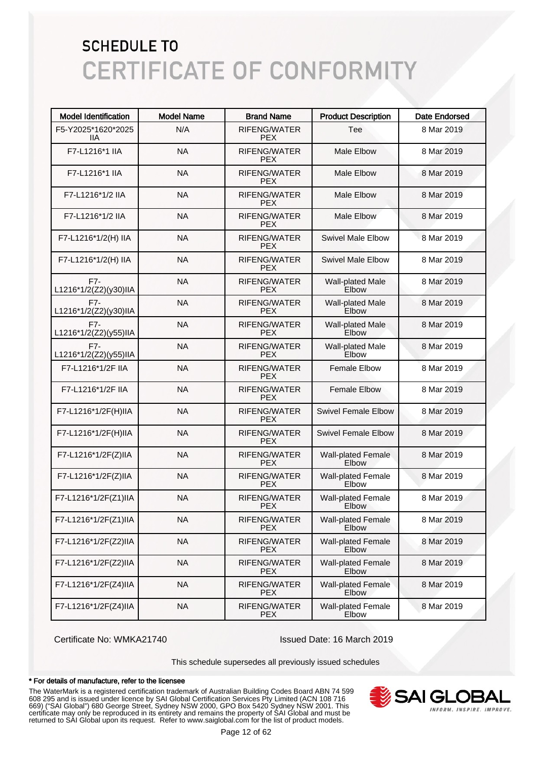| <b>Model Identification</b>    | <b>Model Name</b> | <b>Brand Name</b>                 | <b>Product Description</b>         | <b>Date Endorsed</b> |
|--------------------------------|-------------------|-----------------------------------|------------------------------------|----------------------|
| F5-Y2025*1620*2025<br>11A      | N/A               | RIFENG/WATER<br><b>PEX</b>        | Tee                                | 8 Mar 2019           |
| F7-L1216*1 IIA                 | <b>NA</b>         | RIFENG/WATER<br><b>PEX</b>        | <b>Male Elbow</b>                  | 8 Mar 2019           |
| F7-L1216*1 IIA                 | <b>NA</b>         | RIFENG/WATER<br><b>PEX</b>        | <b>Male Elbow</b>                  | 8 Mar 2019           |
| F7-L1216*1/2 IIA               | <b>NA</b>         | RIFENG/WATER<br><b>PEX</b>        | <b>Male Elbow</b>                  | 8 Mar 2019           |
| F7-L1216*1/2 IIA               | <b>NA</b>         | RIFENG/WATER<br><b>PEX</b>        | <b>Male Elbow</b>                  | 8 Mar 2019           |
| F7-L1216*1/2(H) IIA            | <b>NA</b>         | RIFENG/WATER<br><b>PEX</b>        | <b>Swivel Male Elbow</b>           | 8 Mar 2019           |
| F7-L1216*1/2(H) IIA            | <b>NA</b>         | RIFENG/WATER<br><b>PEX</b>        | <b>Swivel Male Elbow</b>           | 8 Mar 2019           |
| $F7-$<br>L1216*1/2(Z2)(y30)IIA | <b>NA</b>         | RIFENG/WATER<br><b>PEX</b>        | Wall-plated Male<br>Elbow          | 8 Mar 2019           |
| $F7-$<br>L1216*1/2(Z2)(y30)IIA | <b>NA</b>         | <b>RIFENG/WATER</b><br><b>PEX</b> | Wall-plated Male<br>Elbow          | 8 Mar 2019           |
| $F7-$<br>L1216*1/2(Z2)(y55)IIA | <b>NA</b>         | RIFENG/WATER<br><b>PEX</b>        | Wall-plated Male<br>Elbow          | 8 Mar 2019           |
| $F7-$<br>L1216*1/2(Z2)(y55)IIA | <b>NA</b>         | RIFENG/WATER<br><b>PEX</b>        | <b>Wall-plated Male</b><br>Elbow   | 8 Mar 2019           |
| F7-L1216*1/2F IIA              | <b>NA</b>         | RIFENG/WATER<br><b>PEX</b>        | <b>Female Elbow</b>                | 8 Mar 2019           |
| F7-L1216*1/2F IIA              | <b>NA</b>         | RIFENG/WATER<br><b>PEX</b>        | <b>Female Elbow</b>                | 8 Mar 2019           |
| F7-L1216*1/2F(H)IIA            | <b>NA</b>         | <b>RIFENG/WATER</b><br><b>PEX</b> | <b>Swivel Female Elbow</b>         | 8 Mar 2019           |
| F7-L1216*1/2F(H)IIA            | <b>NA</b>         | RIFENG/WATER<br><b>PEX</b>        | <b>Swivel Female Elbow</b>         | 8 Mar 2019           |
| F7-L1216*1/2F(Z)IIA            | <b>NA</b>         | RIFENG/WATER<br><b>PEX</b>        | Wall-plated Female<br>Elbow        | 8 Mar 2019           |
| F7-L1216*1/2F(Z)IIA            | <b>NA</b>         | RIFENG/WATER<br><b>PEX</b>        | <b>Wall-plated Female</b><br>Elbow | 8 Mar 2019           |
| F7-L1216*1/2F(Z1)IIA           | <b>NA</b>         | RIFENG/WATER<br><b>PEX</b>        | <b>Wall-plated Female</b><br>Elbow | 8 Mar 2019           |
| F7-L1216*1/2F(Z1)IIA           | <b>NA</b>         | RIFENG/WATER<br><b>PEX</b>        | <b>Wall-plated Female</b><br>Elbow | 8 Mar 2019           |
| F7-L1216*1/2F(Z2)IIA           | <b>NA</b>         | RIFENG/WATER<br><b>PEX</b>        | <b>Wall-plated Female</b><br>Elbow | 8 Mar 2019           |
| F7-L1216*1/2F(Z2)IIA           | <b>NA</b>         | RIFENG/WATER<br><b>PEX</b>        | <b>Wall-plated Female</b><br>Elbow | 8 Mar 2019           |
| F7-L1216*1/2F(Z4)IIA           | <b>NA</b>         | RIFENG/WATER<br><b>PEX</b>        | Wall-plated Female<br>Elbow        | 8 Mar 2019           |
| F7-L1216*1/2F(Z4)IIA           | <b>NA</b>         | RIFENG/WATER<br><b>PEX</b>        | <b>Wall-plated Female</b><br>Elbow | 8 Mar 2019           |

Certificate No: WMKA21740 Issued Date: 16 March 2019

This schedule supersedes all previously issued schedules

#### \* For details of manufacture, refer to the licensee

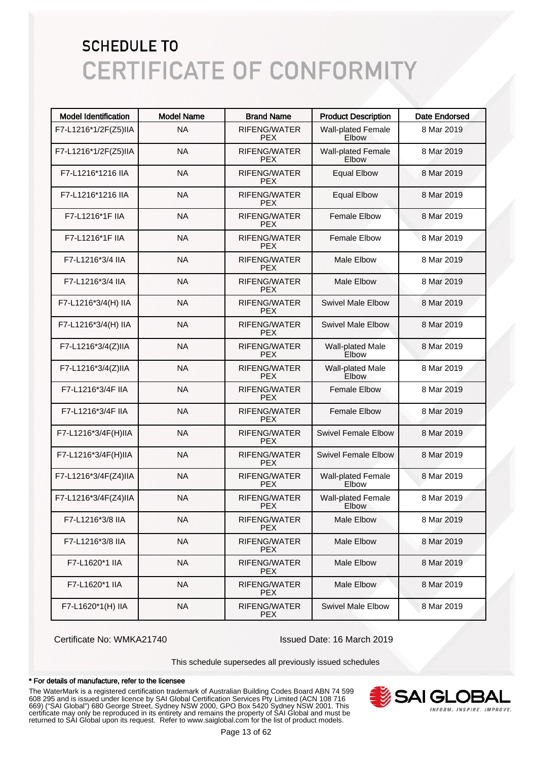| <b>Model Identification</b> | <b>Model Name</b> | <b>Brand Name</b>                 | <b>Product Description</b>         | Date Endorsed |
|-----------------------------|-------------------|-----------------------------------|------------------------------------|---------------|
| F7-L1216*1/2F(Z5)IIA        | <b>NA</b>         | RIFENG/WATER<br><b>PEX</b>        | <b>Wall-plated Female</b><br>Elbow | 8 Mar 2019    |
| F7-L1216*1/2F(Z5)IIA        | <b>NA</b>         | RIFENG/WATER<br><b>PEX</b>        | <b>Wall-plated Female</b><br>Elbow | 8 Mar 2019    |
| F7-L1216*1216 IIA           | <b>NA</b>         | <b>RIFENG/WATER</b><br><b>PEX</b> | <b>Equal Elbow</b>                 | 8 Mar 2019    |
| F7-L1216*1216 IIA           | <b>NA</b>         | <b>RIFENG/WATER</b><br><b>PEX</b> | <b>Equal Elbow</b>                 | 8 Mar 2019    |
| F7-L1216*1F IIA             | <b>NA</b>         | <b>RIFENG/WATER</b><br><b>PEX</b> | <b>Female Elbow</b>                | 8 Mar 2019    |
| F7-L1216*1F IIA             | <b>NA</b>         | <b>RIFENG/WATER</b><br><b>PEX</b> | <b>Female Elbow</b>                | 8 Mar 2019    |
| F7-L1216*3/4 IIA            | <b>NA</b>         | <b>RIFENG/WATER</b><br><b>PEX</b> | <b>Male Elbow</b>                  | 8 Mar 2019    |
| F7-L1216*3/4 IIA            | <b>NA</b>         | <b>RIFENG/WATER</b><br><b>PEX</b> | <b>Male Elbow</b>                  | 8 Mar 2019    |
| F7-L1216*3/4(H) IIA         | <b>NA</b>         | <b>RIFENG/WATER</b><br><b>PEX</b> | <b>Swivel Male Elbow</b>           | 8 Mar 2019    |
| F7-L1216*3/4(H) IIA         | <b>NA</b>         | <b>RIFENG/WATER</b><br><b>PEX</b> | <b>Swivel Male Elbow</b>           | 8 Mar 2019    |
| F7-L1216*3/4(Z)IIA          | <b>NA</b>         | <b>RIFENG/WATER</b><br><b>PEX</b> | Wall-plated Male<br>Elbow          | 8 Mar 2019    |
| F7-L1216*3/4(Z)IIA          | <b>NA</b>         | <b>RIFENG/WATER</b><br><b>PEX</b> | <b>Wall-plated Male</b><br>Elbow   | 8 Mar 2019    |
| F7-L1216*3/4F IIA           | <b>NA</b>         | <b>RIFENG/WATER</b><br><b>PEX</b> | <b>Female Elbow</b>                | 8 Mar 2019    |
| F7-L1216*3/4F IIA           | <b>NA</b>         | <b>RIFENG/WATER</b><br><b>PEX</b> | <b>Female Elbow</b>                | 8 Mar 2019    |
| F7-L1216*3/4F(H)IIA         | <b>NA</b>         | RIFENG/WATER<br><b>PEX</b>        | <b>Swivel Female Elbow</b>         | 8 Mar 2019    |
| F7-L1216*3/4F(H)IIA         | <b>NA</b>         | <b>RIFENG/WATER</b><br><b>PEX</b> | <b>Swivel Female Elbow</b>         | 8 Mar 2019    |
| F7-L1216*3/4F(Z4)IIA        | <b>NA</b>         | RIFENG/WATER<br><b>PEX</b>        | <b>Wall-plated Female</b><br>Elbow | 8 Mar 2019    |
| F7-L1216*3/4F(Z4)IIA        | <b>NA</b>         | RIFENG/WATER<br><b>PEX</b>        | <b>Wall-plated Female</b><br>Elbow | 8 Mar 2019    |
| F7-L1216*3/8 IIA            | <b>NA</b>         | RIFENG/WATER<br>PEX.              | Male Elbow                         | 8 Mar 2019    |
| F7-L1216*3/8 IIA            | <b>NA</b>         | RIFENG/WATER<br><b>PEX</b>        | Male Elbow                         | 8 Mar 2019    |
| F7-L1620*1 IIA              | <b>NA</b>         | RIFENG/WATER<br><b>PEX</b>        | Male Elbow                         | 8 Mar 2019    |
| F7-L1620*1 IIA              | <b>NA</b>         | RIFENG/WATER<br><b>PEX</b>        | Male Elbow                         | 8 Mar 2019    |
| F7-L1620*1(H) IIA           | <b>NA</b>         | RIFENG/WATER<br><b>PEX</b>        | <b>Swivel Male Elbow</b>           | 8 Mar 2019    |

Certificate No: WMKA21740 Issued Date: 16 March 2019

This schedule supersedes all previously issued schedules

#### \* For details of manufacture, refer to the licensee

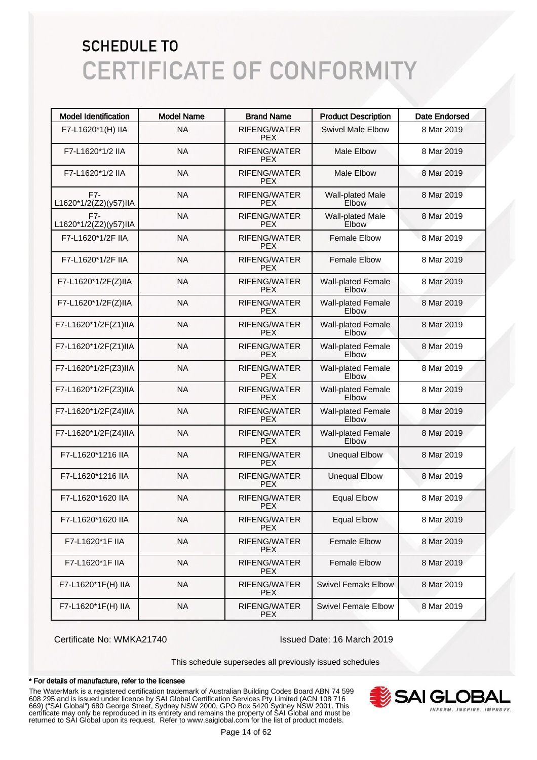| <b>Model Identification</b>    | <b>Model Name</b> | <b>Brand Name</b>                 | <b>Product Description</b>                | <b>Date Endorsed</b> |
|--------------------------------|-------------------|-----------------------------------|-------------------------------------------|----------------------|
| F7-L1620*1(H) IIA              | <b>NA</b>         | RIFENG/WATER<br><b>PEX</b>        | <b>Swivel Male Elbow</b>                  | 8 Mar 2019           |
| F7-L1620*1/2 IIA               | <b>NA</b>         | RIFENG/WATER<br><b>PEX</b>        | <b>Male Elbow</b>                         | 8 Mar 2019           |
| F7-L1620*1/2 IIA               | <b>NA</b>         | RIFENG/WATER<br><b>PEX</b>        | <b>Male Elbow</b>                         | 8 Mar 2019           |
| F7-<br>L1620*1/2(Z2)(y57)IIA   | <b>NA</b>         | RIFENG/WATER<br><b>PEX</b>        | Wall-plated Male<br>Elbow                 | 8 Mar 2019           |
| $F7-$<br>L1620*1/2(Z2)(y57)IIA | <b>NA</b>         | <b>RIFENG/WATER</b><br><b>PEX</b> | Wall-plated Male<br>Elbow                 | 8 Mar 2019           |
| F7-L1620*1/2F IIA              | <b>NA</b>         | RIFENG/WATER<br><b>PEX</b>        | <b>Female Elbow</b>                       | 8 Mar 2019           |
| F7-L1620*1/2F IIA              | <b>NA</b>         | RIFENG/WATER<br><b>PEX</b>        | <b>Female Elbow</b>                       | 8 Mar 2019           |
| F7-L1620*1/2F(Z)IIA            | <b>NA</b>         | RIFENG/WATER<br><b>PEX</b>        | <b>Wall-plated Female</b><br>Elbow        | 8 Mar 2019           |
| F7-L1620*1/2F(Z)IIA            | <b>NA</b>         | RIFENG/WATER<br><b>PEX</b>        | <b>Wall-plated Female</b><br><b>Elbow</b> | 8 Mar 2019           |
| F7-L1620*1/2F(Z1)IIA           | <b>NA</b>         | RIFENG/WATER<br><b>PEX</b>        | <b>Wall-plated Female</b><br><b>Elbow</b> | 8 Mar 2019           |
| F7-L1620*1/2F(Z1)IIA           | <b>NA</b>         | RIFENG/WATER<br><b>PEX</b>        | <b>Wall-plated Female</b><br>Elbow        | 8 Mar 2019           |
| F7-L1620*1/2F(Z3)IIA           | <b>NA</b>         | RIFENG/WATER<br><b>PEX</b>        | <b>Wall-plated Female</b><br>Elbow        | 8 Mar 2019           |
| F7-L1620*1/2F(Z3)IIA           | <b>NA</b>         | RIFENG/WATER<br><b>PEX</b>        | <b>Wall-plated Female</b><br>Elbow        | 8 Mar 2019           |
| F7-L1620*1/2F(Z4)IIA           | <b>NA</b>         | RIFENG/WATER<br><b>PEX</b>        | <b>Wall-plated Female</b><br>Elbow        | 8 Mar 2019           |
| F7-L1620*1/2F(Z4)IIA           | <b>NA</b>         | RIFENG/WATER<br><b>PEX</b>        | <b>Wall-plated Female</b><br>Elbow        | 8 Mar 2019           |
| F7-L1620*1216 IIA              | <b>NA</b>         | <b>RIFENG/WATER</b><br><b>PEX</b> | <b>Unequal Elbow</b>                      | 8 Mar 2019           |
| F7-L1620*1216 IIA              | <b>NA</b>         | RIFENG/WATER<br><b>PEX</b>        | <b>Unequal Elbow</b>                      | 8 Mar 2019           |
| F7-L1620*1620 IIA              | <b>NA</b>         | RIFENG/WATER<br><b>PEX</b>        | <b>Equal Elbow</b>                        | 8 Mar 2019           |
| F7-L1620*1620 IIA              | <b>NA</b>         | RIFENG/WATER<br>PEX.              | <b>Equal Elbow</b>                        | 8 Mar 2019           |
| F7-L1620*1F IIA                | <b>NA</b>         | RIFENG/WATER<br><b>PEX</b>        | <b>Female Elbow</b>                       | 8 Mar 2019           |
| F7-L1620*1F IIA                | <b>NA</b>         | RIFENG/WATER<br><b>PEX</b>        | Female Elbow                              | 8 Mar 2019           |
| F7-L1620*1F(H) IIA             | <b>NA</b>         | RIFENG/WATER<br><b>PEX</b>        | <b>Swivel Female Elbow</b>                | 8 Mar 2019           |
| F7-L1620*1F(H) IIA             | <b>NA</b>         | RIFENG/WATER<br><b>PEX</b>        | <b>Swivel Female Elbow</b>                | 8 Mar 2019           |

Certificate No: WMKA21740 Issued Date: 16 March 2019

This schedule supersedes all previously issued schedules

#### \* For details of manufacture, refer to the licensee

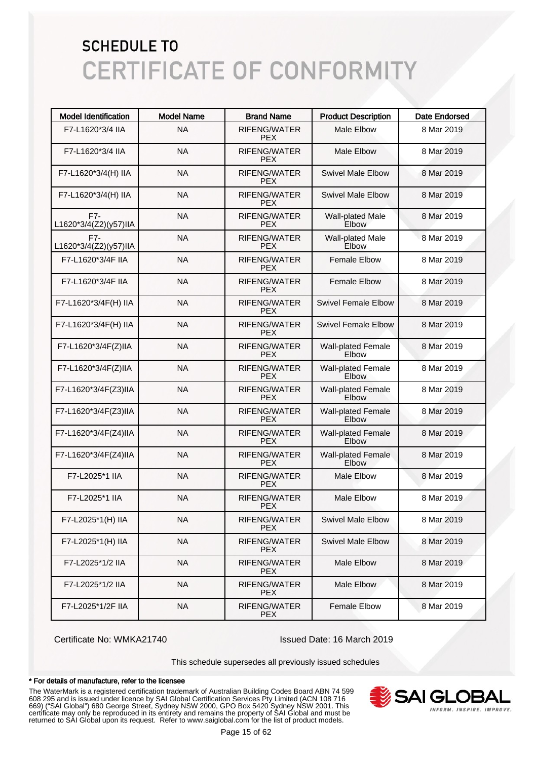| <b>Model Identification</b>  | <b>Model Name</b> | <b>Brand Name</b>                 | <b>Product Description</b>         | <b>Date Endorsed</b> |
|------------------------------|-------------------|-----------------------------------|------------------------------------|----------------------|
| F7-L1620*3/4 IIA             | <b>NA</b>         | RIFENG/WATER<br><b>PEX</b>        | <b>Male Elbow</b>                  | 8 Mar 2019           |
| F7-L1620*3/4 IIA             | <b>NA</b>         | RIFENG/WATER<br><b>PFX</b>        | <b>Male Elbow</b>                  | 8 Mar 2019           |
| F7-L1620*3/4(H) IIA          | <b>NA</b>         | <b>RIFENG/WATER</b><br><b>PEX</b> | <b>Swivel Male Elbow</b>           | 8 Mar 2019           |
| F7-L1620*3/4(H) IIA          | <b>NA</b>         | <b>RIFENG/WATER</b><br><b>PEX</b> | <b>Swivel Male Elbow</b>           | 8 Mar 2019           |
| F7-<br>L1620*3/4(Z2)(y57)IIA | <b>NA</b>         | <b>RIFENG/WATER</b><br><b>PEX</b> | Wall-plated Male<br>Elbow          | 8 Mar 2019           |
| F7-<br>L1620*3/4(Z2)(y57)IIA | <b>NA</b>         | <b>RIFENG/WATER</b><br><b>PEX</b> | Wall-plated Male<br>Elbow          | 8 Mar 2019           |
| F7-L1620*3/4F IIA            | <b>NA</b>         | <b>RIFENG/WATER</b><br><b>PEX</b> | <b>Female Elbow</b>                | 8 Mar 2019           |
| F7-L1620*3/4F IIA            | <b>NA</b>         | <b>RIFENG/WATER</b><br><b>PEX</b> | <b>Female Elbow</b>                | 8 Mar 2019           |
| F7-L1620*3/4F(H) IIA         | <b>NA</b>         | <b>RIFENG/WATER</b><br><b>PEX</b> | Swivel Female Elbow                | 8 Mar 2019           |
| F7-L1620*3/4F(H) IIA         | <b>NA</b>         | RIFENG/WATER<br><b>PEX</b>        | Swivel Female Flbow                | 8 Mar 2019           |
| F7-L1620*3/4F(Z)IIA          | <b>NA</b>         | <b>RIFENG/WATER</b><br><b>PEX</b> | <b>Wall-plated Female</b><br>Elbow | 8 Mar 2019           |
| F7-L1620*3/4F(Z)IIA          | <b>NA</b>         | <b>RIFENG/WATER</b><br><b>PEX</b> | <b>Wall-plated Female</b><br>Elbow | 8 Mar 2019           |
| F7-L1620*3/4F(Z3)IIA         | <b>NA</b>         | <b>RIFENG/WATER</b><br><b>PEX</b> | <b>Wall-plated Female</b><br>Elbow | 8 Mar 2019           |
| F7-L1620*3/4F(Z3)IIA         | <b>NA</b>         | <b>RIFENG/WATER</b><br><b>PEX</b> | <b>Wall-plated Female</b><br>Elbow | 8 Mar 2019           |
| F7-L1620*3/4F(Z4)IIA         | <b>NA</b>         | <b>RIFENG/WATER</b><br><b>PEX</b> | <b>Wall-plated Female</b><br>Elbow | 8 Mar 2019           |
| F7-L1620*3/4F(Z4)IIA         | <b>NA</b>         | <b>RIFENG/WATER</b><br><b>PEX</b> | Wall-plated Female<br>Elbow        | 8 Mar 2019           |
| F7-L2025*1 IIA               | <b>NA</b>         | <b>RIFENG/WATER</b><br><b>PEX</b> | <b>Male Elbow</b>                  | 8 Mar 2019           |
| F7-L2025*1 IIA               | <b>NA</b>         | <b>RIFENG/WATER</b><br><b>PEX</b> | <b>Male Elbow</b>                  | 8 Mar 2019           |
| F7-L2025*1(H) IIA            | <b>NA</b>         | RIFENG/WATER<br><b>PEX</b>        | <b>Swivel Male Elbow</b>           | 8 Mar 2019           |
| F7-L2025*1(H) IIA            | <b>NA</b>         | RIFENG/WATER<br><b>PEX</b>        | <b>Swivel Male Elbow</b>           | 8 Mar 2019           |
| F7-L2025*1/2 IIA             | <b>NA</b>         | RIFENG/WATER<br><b>PEX</b>        | Male Elbow                         | 8 Mar 2019           |
| F7-L2025*1/2 IIA             | <b>NA</b>         | RIFENG/WATER<br><b>PEX</b>        | Male Elbow                         | 8 Mar 2019           |
| F7-L2025*1/2F IIA            | <b>NA</b>         | RIFENG/WATER<br><b>PEX</b>        | <b>Female Elbow</b>                | 8 Mar 2019           |

Certificate No: WMKA21740 Issued Date: 16 March 2019

This schedule supersedes all previously issued schedules

#### \* For details of manufacture, refer to the licensee

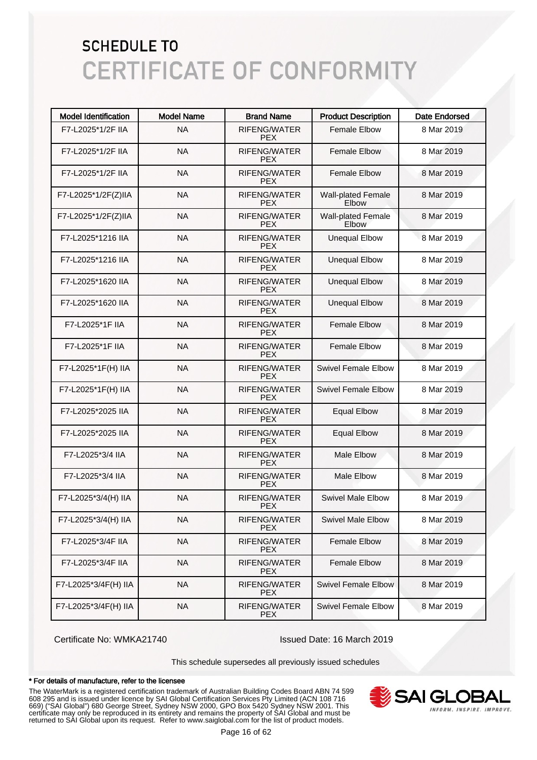| <b>Model Identification</b> | <b>Model Name</b> | <b>Brand Name</b>                 | <b>Product Description</b>         | <b>Date Endorsed</b> |
|-----------------------------|-------------------|-----------------------------------|------------------------------------|----------------------|
| F7-L2025*1/2F IIA           | <b>NA</b>         | RIFENG/WATER<br><b>PEX</b>        | <b>Female Elbow</b>                | 8 Mar 2019           |
| F7-L2025*1/2F IIA           | <b>NA</b>         | RIFENG/WATER<br><b>PEX</b>        | <b>Female Elbow</b>                | 8 Mar 2019           |
| F7-L2025*1/2F IIA           | <b>NA</b>         | RIFENG/WATER<br><b>PEX</b>        | <b>Female Elbow</b>                | 8 Mar 2019           |
| F7-L2025*1/2F(Z)IIA         | <b>NA</b>         | RIFENG/WATER<br><b>PEX</b>        | <b>Wall-plated Female</b><br>Elbow | 8 Mar 2019           |
| F7-L2025*1/2F(Z)IIA         | <b>NA</b>         | RIFENG/WATER<br><b>PEX</b>        | <b>Wall-plated Female</b><br>Elbow | 8 Mar 2019           |
| F7-L2025*1216 IIA           | <b>NA</b>         | <b>RIFENG/WATER</b><br><b>PEX</b> | <b>Unequal Elbow</b>               | 8 Mar 2019           |
| F7-L2025*1216 IIA           | <b>NA</b>         | <b>RIFENG/WATER</b><br><b>PEX</b> | <b>Unequal Elbow</b>               | 8 Mar 2019           |
| F7-L2025*1620 IIA           | <b>NA</b>         | <b>RIFENG/WATER</b><br><b>PEX</b> | <b>Unequal Elbow</b>               | 8 Mar 2019           |
| F7-L2025*1620 IIA           | <b>NA</b>         | <b>RIFENG/WATER</b><br><b>PEX</b> | <b>Unequal Elbow</b>               | 8 Mar 2019           |
| F7-L2025*1F IIA             | <b>NA</b>         | <b>RIFENG/WATER</b><br><b>PEX</b> | <b>Female Elbow</b>                | 8 Mar 2019           |
| F7-L2025*1F IIA             | <b>NA</b>         | <b>RIFENG/WATER</b><br><b>PEX</b> | <b>Female Elbow</b>                | 8 Mar 2019           |
| F7-L2025*1F(H) IIA          | <b>NA</b>         | <b>RIFENG/WATER</b><br><b>PEX</b> | <b>Swivel Female Elbow</b>         | 8 Mar 2019           |
| F7-L2025*1F(H) IIA          | <b>NA</b>         | <b>RIFENG/WATER</b><br><b>PEX</b> | <b>Swivel Female Elbow</b>         | 8 Mar 2019           |
| F7-L2025*2025 IIA           | <b>NA</b>         | <b>RIFENG/WATER</b><br><b>PEX</b> | <b>Equal Elbow</b>                 | 8 Mar 2019           |
| F7-L2025*2025 IIA           | <b>NA</b>         | <b>RIFENG/WATER</b><br><b>PEX</b> | <b>Equal Elbow</b>                 | 8 Mar 2019           |
| F7-L2025*3/4 IIA            | <b>NA</b>         | <b>RIFENG/WATER</b><br><b>PEX</b> | <b>Male Elbow</b>                  | 8 Mar 2019           |
| F7-L2025*3/4 IIA            | <b>NA</b>         | RIFENG/WATER<br><b>PEX</b>        | <b>Male Elbow</b>                  | 8 Mar 2019           |
| F7-L2025*3/4(H) IIA         | <b>NA</b>         | <b>RIFENG/WATER</b><br><b>PEX</b> | <b>Swivel Male Elbow</b>           | 8 Mar 2019           |
| F7-L2025*3/4(H) IIA         | <b>NA</b>         | RIFENG/WATER<br><b>PEX</b>        | <b>Swivel Male Elbow</b>           | 8 Mar 2019           |
| F7-L2025*3/4F IIA           | <b>NA</b>         | RIFENG/WATER<br><b>PEX</b>        | <b>Female Elbow</b>                | 8 Mar 2019           |
| F7-L2025*3/4F IIA           | <b>NA</b>         | RIFENG/WATER<br><b>PEX</b>        | <b>Female Elbow</b>                | 8 Mar 2019           |
| F7-L2025*3/4F(H) IIA        | <b>NA</b>         | RIFENG/WATER<br><b>PEX</b>        | <b>Swivel Female Elbow</b>         | 8 Mar 2019           |
| F7-L2025*3/4F(H) IIA        | <b>NA</b>         | RIFENG/WATER<br><b>PEX</b>        | <b>Swivel Female Elbow</b>         | 8 Mar 2019           |

Certificate No: WMKA21740 Issued Date: 16 March 2019

This schedule supersedes all previously issued schedules

#### \* For details of manufacture, refer to the licensee

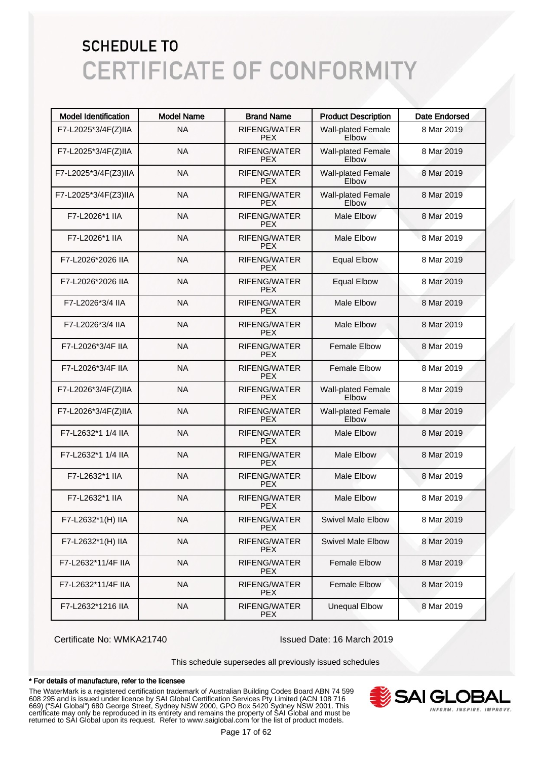| <b>Model Identification</b> | <b>Model Name</b> | <b>Brand Name</b>                 | <b>Product Description</b>         | <b>Date Endorsed</b> |
|-----------------------------|-------------------|-----------------------------------|------------------------------------|----------------------|
| F7-L2025*3/4F(Z)IIA         | <b>NA</b>         | RIFENG/WATER<br><b>PEX</b>        | <b>Wall-plated Female</b><br>Elbow | 8 Mar 2019           |
| F7-L2025*3/4F(Z)IIA         | <b>NA</b>         | RIFENG/WATER<br><b>PEX</b>        | <b>Wall-plated Female</b><br>Elbow | 8 Mar 2019           |
| F7-L2025*3/4F(Z3)IIA        | <b>NA</b>         | RIFENG/WATER<br><b>PEX</b>        | <b>Wall-plated Female</b><br>Elbow | 8 Mar 2019           |
| F7-L2025*3/4F(Z3)IIA        | <b>NA</b>         | RIFENG/WATER<br><b>PEX</b>        | <b>Wall-plated Female</b><br>Elbow | 8 Mar 2019           |
| F7-L2026*1 IIA              | <b>NA</b>         | RIFENG/WATER<br><b>PEX</b>        | <b>Male Elbow</b>                  | 8 Mar 2019           |
| F7-L2026*1 IIA              | <b>NA</b>         | <b>RIFENG/WATER</b><br><b>PEX</b> | <b>Male Elbow</b>                  | 8 Mar 2019           |
| F7-L2026*2026 IIA           | <b>NA</b>         | <b>RIFENG/WATER</b><br><b>PEX</b> | <b>Equal Elbow</b>                 | 8 Mar 2019           |
| F7-L2026*2026 IIA           | <b>NA</b>         | <b>RIFENG/WATER</b><br><b>PEX</b> | <b>Equal Elbow</b>                 | 8 Mar 2019           |
| F7-L2026*3/4 IIA            | <b>NA</b>         | <b>RIFENG/WATER</b><br><b>PEX</b> | <b>Male Elbow</b>                  | 8 Mar 2019           |
| F7-L2026*3/4 IIA            | <b>NA</b>         | <b>RIFENG/WATER</b><br><b>PEX</b> | <b>Male Elbow</b>                  | 8 Mar 2019           |
| F7-L2026*3/4F IIA           | <b>NA</b>         | RIFENG/WATER<br><b>PEX</b>        | <b>Female Elbow</b>                | 8 Mar 2019           |
| F7-L2026*3/4F IIA           | <b>NA</b>         | <b>RIFENG/WATER</b><br><b>PEX</b> | <b>Female Elbow</b>                | 8 Mar 2019           |
| F7-L2026*3/4F(Z)IIA         | <b>NA</b>         | RIFENG/WATER<br><b>PEX</b>        | <b>Wall-plated Female</b><br>Elbow | 8 Mar 2019           |
| F7-L2026*3/4F(Z)IIA         | <b>NA</b>         | RIFENG/WATER<br><b>PEX</b>        | <b>Wall-plated Female</b><br>Elbow | 8 Mar 2019           |
| F7-L2632*1 1/4 IIA          | <b>NA</b>         | RIFENG/WATER<br><b>PEX</b>        | <b>Male Elbow</b>                  | 8 Mar 2019           |
| F7-L2632*1 1/4 IIA          | <b>NA</b>         | RIFENG/WATER<br><b>PEX</b>        | <b>Male Elbow</b>                  | 8 Mar 2019           |
| F7-L2632*1 IIA              | <b>NA</b>         | RIFENG/WATER<br><b>PEX</b>        | <b>Male Elbow</b>                  | 8 Mar 2019           |
| F7-L2632*1 IIA              | <b>NA</b>         | RIFENG/WATER<br><b>PEX</b>        | Male Elbow                         | 8 Mar 2019           |
| F7-L2632*1(H) IIA           | <b>NA</b>         | RIFENG/WATER<br><b>PEX</b>        | <b>Swivel Male Elbow</b>           | 8 Mar 2019           |
| F7-L2632*1(H) IIA           | <b>NA</b>         | RIFENG/WATER<br><b>PEX</b>        | <b>Swivel Male Elbow</b>           | 8 Mar 2019           |
| F7-L2632*11/4F IIA          | <b>NA</b>         | RIFENG/WATER<br><b>PEX</b>        | Female Elbow                       | 8 Mar 2019           |
| F7-L2632*11/4F IIA          | <b>NA</b>         | RIFENG/WATER<br><b>PEX</b>        | <b>Female Elbow</b>                | 8 Mar 2019           |
| F7-L2632*1216 IIA           | <b>NA</b>         | RIFENG/WATER<br><b>PEX</b>        | <b>Unequal Elbow</b>               | 8 Mar 2019           |

Certificate No: WMKA21740 Issued Date: 16 March 2019

This schedule supersedes all previously issued schedules

#### \* For details of manufacture, refer to the licensee

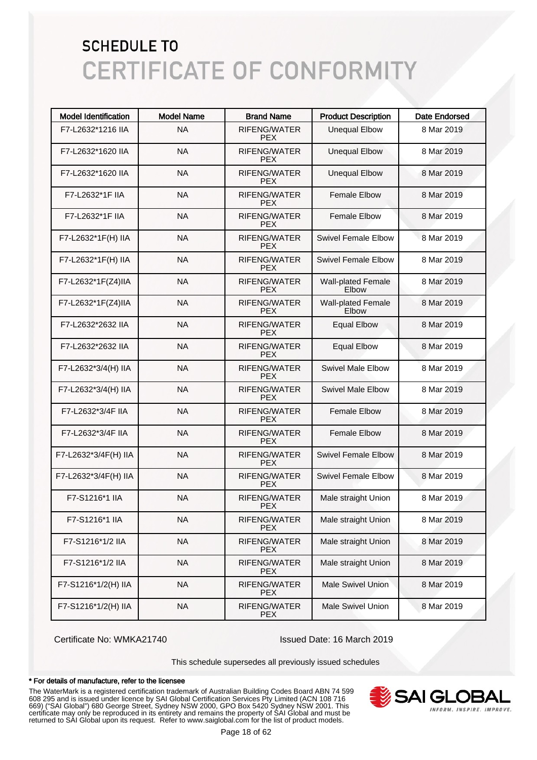| <b>Model Identification</b> | <b>Model Name</b> | <b>Brand Name</b>                 | <b>Product Description</b>                | <b>Date Endorsed</b> |
|-----------------------------|-------------------|-----------------------------------|-------------------------------------------|----------------------|
| F7-L2632*1216 IIA           | <b>NA</b>         | RIFENG/WATER<br><b>PEX</b>        | <b>Unequal Elbow</b>                      | 8 Mar 2019           |
| F7-L2632*1620 IIA           | <b>NA</b>         | RIFENG/WATER<br><b>PFX</b>        | <b>Unequal Elbow</b>                      | 8 Mar 2019           |
| F7-L2632*1620 IIA           | <b>NA</b>         | <b>RIFENG/WATER</b><br><b>PEX</b> | <b>Unequal Elbow</b>                      | 8 Mar 2019           |
| F7-L2632*1F IIA             | <b>NA</b>         | <b>RIFENG/WATER</b><br><b>PEX</b> | <b>Female Elbow</b>                       | 8 Mar 2019           |
| F7-L2632*1F IIA             | <b>NA</b>         | <b>RIFENG/WATER</b><br><b>PEX</b> | <b>Female Elbow</b>                       | 8 Mar 2019           |
| F7-L2632*1F(H) IIA          | <b>NA</b>         | <b>RIFENG/WATER</b><br><b>PEX</b> | Swivel Female Elbow                       | 8 Mar 2019           |
| F7-L2632*1F(H) IIA          | <b>NA</b>         | <b>RIFENG/WATER</b><br><b>PEX</b> | Swivel Female Elbow                       | 8 Mar 2019           |
| F7-L2632*1F(Z4)IIA          | <b>NA</b>         | <b>RIFENG/WATER</b><br><b>PEX</b> | <b>Wall-plated Female</b><br>Elbow        | 8 Mar 2019           |
| F7-L2632*1F(Z4)IIA          | <b>NA</b>         | <b>RIFENG/WATER</b><br><b>PEX</b> | <b>Wall-plated Female</b><br><b>Elbow</b> | 8 Mar 2019           |
| F7-L2632*2632 IIA           | <b>NA</b>         | <b>RIFENG/WATER</b><br><b>PEX</b> | <b>Equal Elbow</b>                        | 8 Mar 2019           |
| F7-L2632*2632 IIA           | <b>NA</b>         | <b>RIFENG/WATER</b><br><b>PEX</b> | <b>Equal Elbow</b>                        | 8 Mar 2019           |
| F7-L2632*3/4(H) IIA         | <b>NA</b>         | <b>RIFENG/WATER</b><br><b>PEX</b> | <b>Swivel Male Elbow</b>                  | 8 Mar 2019           |
| F7-L2632*3/4(H) IIA         | <b>NA</b>         | <b>RIFENG/WATER</b><br><b>PEX</b> | <b>Swivel Male Elbow</b>                  | 8 Mar 2019           |
| F7-L2632*3/4F IIA           | <b>NA</b>         | <b>RIFENG/WATER</b><br><b>PEX</b> | <b>Female Elbow</b>                       | 8 Mar 2019           |
| F7-L2632*3/4F IIA           | <b>NA</b>         | <b>RIFENG/WATER</b><br><b>PEX</b> | <b>Female Elbow</b>                       | 8 Mar 2019           |
| F7-L2632*3/4F(H) IIA        | <b>NA</b>         | <b>RIFENG/WATER</b><br><b>PEX</b> | <b>Swivel Female Elbow</b>                | 8 Mar 2019           |
| F7-L2632*3/4F(H) IIA        | <b>NA</b>         | <b>RIFENG/WATER</b><br><b>PEX</b> | <b>Swivel Female Elbow</b>                | 8 Mar 2019           |
| F7-S1216*1 IIA              | <b>NA</b>         | <b>RIFENG/WATER</b><br><b>PEX</b> | Male straight Union                       | 8 Mar 2019           |
| F7-S1216*1 IIA              | <b>NA</b>         | RIFENG/WATER<br><b>PFX</b>        | Male straight Union                       | 8 Mar 2019           |
| F7-S1216*1/2 IIA            | <b>NA</b>         | RIFENG/WATER<br><b>PEX</b>        | Male straight Union                       | 8 Mar 2019           |
| F7-S1216*1/2 IIA            | <b>NA</b>         | RIFENG/WATER<br><b>PEX</b>        | Male straight Union                       | 8 Mar 2019           |
| F7-S1216*1/2(H) IIA         | <b>NA</b>         | RIFENG/WATER<br><b>PEX</b>        | <b>Male Swivel Union</b>                  | 8 Mar 2019           |
| F7-S1216*1/2(H) IIA         | <b>NA</b>         | RIFENG/WATER<br><b>PEX</b>        | <b>Male Swivel Union</b>                  | 8 Mar 2019           |

Certificate No: WMKA21740 Issued Date: 16 March 2019

This schedule supersedes all previously issued schedules

#### \* For details of manufacture, refer to the licensee

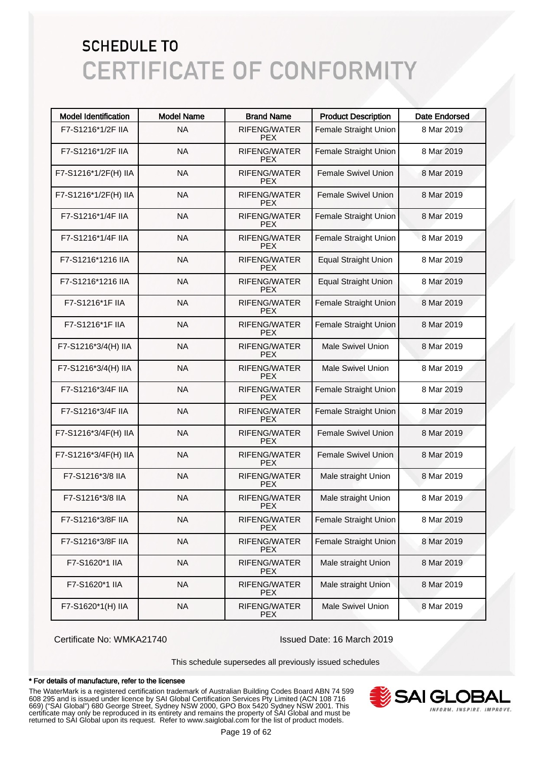| <b>Model Identification</b> | <b>Model Name</b> | <b>Brand Name</b>                 | <b>Product Description</b>  | <b>Date Endorsed</b> |
|-----------------------------|-------------------|-----------------------------------|-----------------------------|----------------------|
| F7-S1216*1/2F IIA           | <b>NA</b>         | <b>RIFENG/WATER</b><br><b>PEX</b> | Female Straight Union       | 8 Mar 2019           |
| F7-S1216*1/2F IIA           | <b>NA</b>         | RIFENG/WATER<br><b>PEX</b>        | Female Straight Union       | 8 Mar 2019           |
| F7-S1216*1/2F(H) IIA        | <b>NA</b>         | <b>RIFENG/WATER</b><br><b>PEX</b> | <b>Female Swivel Union</b>  | 8 Mar 2019           |
| F7-S1216*1/2F(H) IIA        | <b>NA</b>         | <b>RIFENG/WATER</b><br><b>PEX</b> | <b>Female Swivel Union</b>  | 8 Mar 2019           |
| F7-S1216*1/4F IIA           | <b>NA</b>         | <b>RIFENG/WATER</b><br><b>PEX</b> | Female Straight Union       | 8 Mar 2019           |
| F7-S1216*1/4F IIA           | <b>NA</b>         | <b>RIFENG/WATER</b><br><b>PEX</b> | Female Straight Union       | 8 Mar 2019           |
| F7-S1216*1216 IIA           | <b>NA</b>         | <b>RIFENG/WATER</b><br><b>PEX</b> | <b>Equal Straight Union</b> | 8 Mar 2019           |
| F7-S1216*1216 IIA           | <b>NA</b>         | <b>RIFENG/WATER</b><br><b>PEX</b> | <b>Equal Straight Union</b> | 8 Mar 2019           |
| F7-S1216*1F IIA             | <b>NA</b>         | <b>RIFENG/WATER</b><br><b>PEX</b> | Female Straight Union       | 8 Mar 2019           |
| F7-S1216*1F IIA             | <b>NA</b>         | <b>RIFENG/WATER</b><br><b>PEX</b> | Female Straight Union       | 8 Mar 2019           |
| F7-S1216*3/4(H) IIA         | <b>NA</b>         | <b>RIFENG/WATER</b><br><b>PEX</b> | <b>Male Swivel Union</b>    | 8 Mar 2019           |
| F7-S1216*3/4(H) IIA         | <b>NA</b>         | <b>RIFENG/WATER</b><br><b>PEX</b> | <b>Male Swivel Union</b>    | 8 Mar 2019           |
| F7-S1216*3/4F IIA           | <b>NA</b>         | <b>RIFENG/WATER</b><br><b>PEX</b> | Female Straight Union       | 8 Mar 2019           |
| F7-S1216*3/4F IIA           | <b>NA</b>         | <b>RIFENG/WATER</b><br><b>PEX</b> | Female Straight Union       | 8 Mar 2019           |
| F7-S1216*3/4F(H) IIA        | <b>NA</b>         | <b>RIFENG/WATER</b><br><b>PEX</b> | <b>Female Swivel Union</b>  | 8 Mar 2019           |
| F7-S1216*3/4F(H) IIA        | <b>NA</b>         | <b>RIFENG/WATER</b><br><b>PEX</b> | <b>Female Swivel Union</b>  | 8 Mar 2019           |
| F7-S1216*3/8 IIA            | <b>NA</b>         | RIFENG/WATER<br><b>PEX</b>        | Male straight Union         | 8 Mar 2019           |
| F7-S1216*3/8 IIA            | <b>NA</b>         | RIFENG/WATER<br><b>PEX</b>        | Male straight Union         | 8 Mar 2019           |
| F7-S1216*3/8F IIA           | <b>NA</b>         | RIFENG/WATER<br>PEX.              | Female Straight Union       | 8 Mar 2019           |
| F7-S1216*3/8F IIA           | <b>NA</b>         | RIFENG/WATER<br><b>PEX</b>        | Female Straight Union       | 8 Mar 2019           |
| F7-S1620*1 IIA              | <b>NA</b>         | RIFENG/WATER<br><b>PEX</b>        | Male straight Union         | 8 Mar 2019           |
| F7-S1620*1 IIA              | <b>NA</b>         | RIFENG/WATER<br><b>PEX</b>        | Male straight Union         | 8 Mar 2019           |
| F7-S1620*1(H) IIA           | <b>NA</b>         | RIFENG/WATER<br><b>PEX</b>        | <b>Male Swivel Union</b>    | 8 Mar 2019           |

Certificate No: WMKA21740 Issued Date: 16 March 2019

This schedule supersedes all previously issued schedules

#### \* For details of manufacture, refer to the licensee

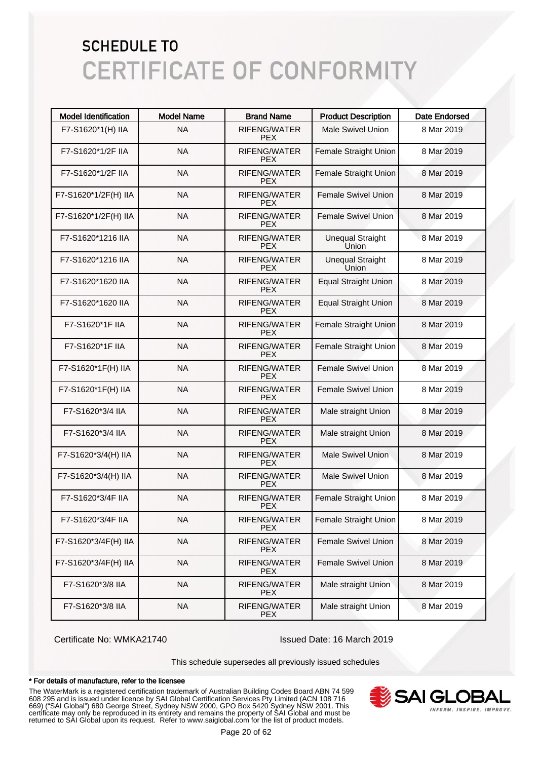| <b>Model Identification</b> | <b>Model Name</b> | <b>Brand Name</b>                 | <b>Product Description</b>       | <b>Date Endorsed</b> |
|-----------------------------|-------------------|-----------------------------------|----------------------------------|----------------------|
| F7-S1620*1(H) IIA           | <b>NA</b>         | <b>RIFENG/WATER</b><br><b>PEX</b> | <b>Male Swivel Union</b>         | 8 Mar 2019           |
| F7-S1620*1/2F IIA           | <b>NA</b>         | <b>RIFENG/WATER</b><br><b>PEX</b> | Female Straight Union            | 8 Mar 2019           |
| F7-S1620*1/2F IIA           | <b>NA</b>         | <b>RIFENG/WATER</b><br><b>PEX</b> | <b>Female Straight Union</b>     | 8 Mar 2019           |
| F7-S1620*1/2F(H) IIA        | <b>NA</b>         | RIFENG/WATER<br><b>PEX</b>        | <b>Female Swivel Union</b>       | 8 Mar 2019           |
| F7-S1620*1/2F(H) IIA        | <b>NA</b>         | RIFENG/WATER<br><b>PEX</b>        | <b>Female Swivel Union</b>       | 8 Mar 2019           |
| F7-S1620*1216 IIA           | <b>NA</b>         | RIFENG/WATER<br><b>PEX</b>        | <b>Unequal Straight</b><br>Union | 8 Mar 2019           |
| F7-S1620*1216 IIA           | <b>NA</b>         | RIFENG/WATER<br><b>PEX</b>        | <b>Unequal Straight</b><br>Union | 8 Mar 2019           |
| F7-S1620*1620 IIA           | <b>NA</b>         | <b>RIFENG/WATER</b><br><b>PEX</b> | <b>Equal Straight Union</b>      | 8 Mar 2019           |
| F7-S1620*1620 IIA           | <b>NA</b>         | RIFENG/WATER<br><b>PEX</b>        | <b>Equal Straight Union</b>      | 8 Mar 2019           |
| F7-S1620*1F IIA             | <b>NA</b>         | RIFENG/WATER<br><b>PEX</b>        | <b>Female Straight Union</b>     | 8 Mar 2019           |
| F7-S1620*1F IIA             | <b>NA</b>         | RIFENG/WATER<br><b>PEX</b>        | Female Straight Union            | 8 Mar 2019           |
| F7-S1620*1F(H) IIA          | <b>NA</b>         | RIFENG/WATER<br><b>PEX</b>        | <b>Female Swivel Union</b>       | 8 Mar 2019           |
| F7-S1620*1F(H) IIA          | <b>NA</b>         | RIFENG/WATER<br><b>PEX</b>        | <b>Female Swivel Union</b>       | 8 Mar 2019           |
| F7-S1620*3/4 IIA            | <b>NA</b>         | RIFENG/WATER<br><b>PEX</b>        | Male straight Union              | 8 Mar 2019           |
| F7-S1620*3/4 IIA            | <b>NA</b>         | <b>RIFENG/WATER</b><br><b>PEX</b> | Male straight Union              | 8 Mar 2019           |
| F7-S1620*3/4(H) IIA         | <b>NA</b>         | RIFENG/WATER<br><b>PEX</b>        | <b>Male Swivel Union</b>         | 8 Mar 2019           |
| F7-S1620*3/4(H) IIA         | <b>NA</b>         | RIFENG/WATER<br><b>PEX</b>        | <b>Male Swivel Union</b>         | 8 Mar 2019           |
| F7-S1620*3/4F IIA           | <b>NA</b>         | RIFENG/WATER<br><b>PEX</b>        | Female Straight Union            | 8 Mar 2019           |
| F7-S1620*3/4F IIA           | <b>NA</b>         | RIFENG/WATER<br><b>PEX</b>        | Female Straight Union            | 8 Mar 2019           |
| F7-S1620*3/4F(H) IIA        | <b>NA</b>         | RIFENG/WATER<br><b>PEX</b>        | Female Swivel Union              | 8 Mar 2019           |
| F7-S1620*3/4F(H) IIA        | <b>NA</b>         | RIFENG/WATER<br><b>PEX</b>        | Female Swivel Union              | 8 Mar 2019           |
| F7-S1620*3/8 IIA            | <b>NA</b>         | RIFENG/WATER<br><b>PEX</b>        | Male straight Union              | 8 Mar 2019           |
| F7-S1620*3/8 IIA            | <b>NA</b>         | RIFENG/WATER<br><b>PEX</b>        | Male straight Union              | 8 Mar 2019           |

Certificate No: WMKA21740 Issued Date: 16 March 2019

This schedule supersedes all previously issued schedules

#### \* For details of manufacture, refer to the licensee

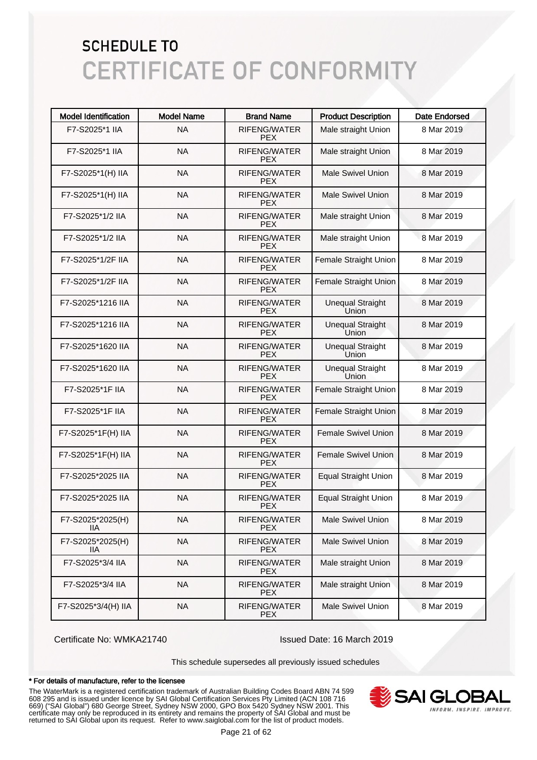| <b>Model Identification</b> | <b>Model Name</b> | <b>Brand Name</b>                 | <b>Product Description</b>       | <b>Date Endorsed</b> |
|-----------------------------|-------------------|-----------------------------------|----------------------------------|----------------------|
| F7-S2025*1 IIA              | <b>NA</b>         | RIFENG/WATER<br><b>PEX</b>        | Male straight Union              | 8 Mar 2019           |
| F7-S2025*1 IIA              | <b>NA</b>         | RIFENG/WATER<br><b>PFX</b>        | Male straight Union              | 8 Mar 2019           |
| F7-S2025*1(H) IIA           | <b>NA</b>         | <b>RIFENG/WATER</b><br><b>PEX</b> | <b>Male Swivel Union</b>         | 8 Mar 2019           |
| F7-S2025*1(H) IIA           | <b>NA</b>         | <b>RIFENG/WATER</b><br><b>PEX</b> | <b>Male Swivel Union</b>         | 8 Mar 2019           |
| F7-S2025*1/2 IIA            | <b>NA</b>         | <b>RIFENG/WATER</b><br><b>PEX</b> | Male straight Union              | 8 Mar 2019           |
| F7-S2025*1/2 IIA            | <b>NA</b>         | <b>RIFENG/WATER</b><br><b>PEX</b> | Male straight Union              | 8 Mar 2019           |
| F7-S2025*1/2F IIA           | <b>NA</b>         | <b>RIFENG/WATER</b><br><b>PEX</b> | Female Straight Union            | 8 Mar 2019           |
| F7-S2025*1/2F IIA           | <b>NA</b>         | <b>RIFENG/WATER</b><br><b>PEX</b> | Female Straight Union            | 8 Mar 2019           |
| F7-S2025*1216 IIA           | <b>NA</b>         | <b>RIFENG/WATER</b><br><b>PEX</b> | <b>Unequal Straight</b><br>Union | 8 Mar 2019           |
| F7-S2025*1216 IIA           | <b>NA</b>         | <b>RIFENG/WATER</b><br><b>PEX</b> | <b>Unequal Straight</b><br>Union | 8 Mar 2019           |
| F7-S2025*1620 IIA           | <b>NA</b>         | <b>RIFENG/WATER</b><br><b>PEX</b> | <b>Unequal Straight</b><br>Union | 8 Mar 2019           |
| F7-S2025*1620 IIA           | <b>NA</b>         | <b>RIFENG/WATER</b><br><b>PEX</b> | <b>Unequal Straight</b><br>Union | 8 Mar 2019           |
| F7-S2025*1F IIA             | <b>NA</b>         | <b>RIFENG/WATER</b><br><b>PEX</b> | Female Straight Union            | 8 Mar 2019           |
| F7-S2025*1F IIA             | <b>NA</b>         | <b>RIFENG/WATER</b><br><b>PEX</b> | Female Straight Union            | 8 Mar 2019           |
| F7-S2025*1F(H) IIA          | <b>NA</b>         | <b>RIFENG/WATER</b><br><b>PEX</b> | Female Swivel Union              | 8 Mar 2019           |
| F7-S2025*1F(H) IIA          | <b>NA</b>         | <b>RIFENG/WATER</b><br><b>PEX</b> | <b>Female Swivel Union</b>       | 8 Mar 2019           |
| F7-S2025*2025 IIA           | <b>NA</b>         | <b>RIFENG/WATER</b><br><b>PEX</b> | <b>Equal Straight Union</b>      | 8 Mar 2019           |
| F7-S2025*2025 IIA           | <b>NA</b>         | <b>RIFENG/WATER</b><br><b>PEX</b> | <b>Equal Straight Union</b>      | 8 Mar 2019           |
| F7-S2025*2025(H)<br>11A     | <b>NA</b>         | RIFENG/WATER<br><b>PEX</b>        | <b>Male Swivel Union</b>         | 8 Mar 2019           |
| F7-S2025*2025(H)<br>11A     | <b>NA</b>         | RIFENG/WATER<br><b>PEX</b>        | <b>Male Swivel Union</b>         | 8 Mar 2019           |
| F7-S2025*3/4 IIA            | <b>NA</b>         | RIFENG/WATER<br><b>PEX</b>        | Male straight Union              | 8 Mar 2019           |
| F7-S2025*3/4 IIA            | <b>NA</b>         | RIFENG/WATER<br><b>PEX</b>        | Male straight Union              | 8 Mar 2019           |
| F7-S2025*3/4(H) IIA         | <b>NA</b>         | RIFENG/WATER<br><b>PEX</b>        | <b>Male Swivel Union</b>         | 8 Mar 2019           |

Certificate No: WMKA21740 Issued Date: 16 March 2019

This schedule supersedes all previously issued schedules

#### \* For details of manufacture, refer to the licensee

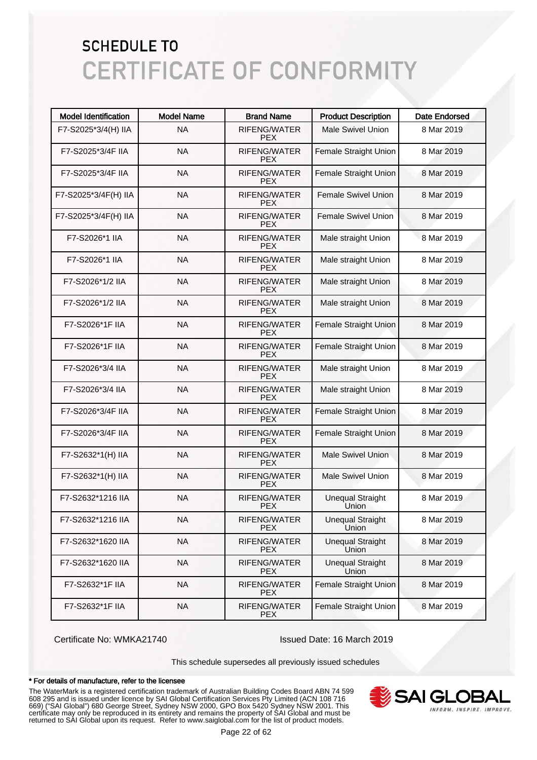| <b>Model Identification</b> | <b>Model Name</b> | <b>Brand Name</b>                 | <b>Product Description</b>       | <b>Date Endorsed</b> |
|-----------------------------|-------------------|-----------------------------------|----------------------------------|----------------------|
| F7-S2025*3/4(H) IIA         | <b>NA</b>         | RIFENG/WATER<br><b>PEX</b>        | <b>Male Swivel Union</b>         | 8 Mar 2019           |
| F7-S2025*3/4F IIA           | <b>NA</b>         | RIFENG/WATER<br><b>PEX</b>        | Female Straight Union            | 8 Mar 2019           |
| F7-S2025*3/4F IIA           | <b>NA</b>         | <b>RIFENG/WATER</b><br><b>PEX</b> | Female Straight Union            | 8 Mar 2019           |
| F7-S2025*3/4F(H) IIA        | <b>NA</b>         | <b>RIFENG/WATER</b><br><b>PEX</b> | <b>Female Swivel Union</b>       | 8 Mar 2019           |
| F7-S2025*3/4F(H) IIA        | <b>NA</b>         | <b>RIFENG/WATER</b><br><b>PEX</b> | Female Swivel Union              | 8 Mar 2019           |
| F7-S2026*1 IIA              | <b>NA</b>         | <b>RIFENG/WATER</b><br><b>PEX</b> | Male straight Union              | 8 Mar 2019           |
| F7-S2026*1 IIA              | <b>NA</b>         | <b>RIFENG/WATER</b><br><b>PEX</b> | Male straight Union              | 8 Mar 2019           |
| F7-S2026*1/2 IIA            | <b>NA</b>         | <b>RIFENG/WATER</b><br><b>PEX</b> | Male straight Union              | 8 Mar 2019           |
| F7-S2026*1/2 IIA            | <b>NA</b>         | <b>RIFENG/WATER</b><br><b>PEX</b> | Male straight Union              | 8 Mar 2019           |
| F7-S2026*1F IIA             | <b>NA</b>         | <b>RIFENG/WATER</b><br><b>PEX</b> | Female Straight Union            | 8 Mar 2019           |
| F7-S2026*1F IIA             | <b>NA</b>         | <b>RIFENG/WATER</b><br><b>PEX</b> | Female Straight Union            | 8 Mar 2019           |
| F7-S2026*3/4 IIA            | <b>NA</b>         | <b>RIFENG/WATER</b><br><b>PEX</b> | Male straight Union              | 8 Mar 2019           |
| F7-S2026*3/4 IIA            | <b>NA</b>         | <b>RIFENG/WATER</b><br><b>PEX</b> | Male straight Union              | 8 Mar 2019           |
| F7-S2026*3/4F IIA           | <b>NA</b>         | <b>RIFENG/WATER</b><br><b>PEX</b> | Female Straight Union            | 8 Mar 2019           |
| F7-S2026*3/4F IIA           | <b>NA</b>         | <b>RIFENG/WATER</b><br><b>PEX</b> | Female Straight Union            | 8 Mar 2019           |
| F7-S2632*1(H) IIA           | <b>NA</b>         | <b>RIFENG/WATER</b><br><b>PEX</b> | <b>Male Swivel Union</b>         | 8 Mar 2019           |
| F7-S2632*1(H) IIA           | <b>NA</b>         | <b>RIFENG/WATER</b><br><b>PEX</b> | <b>Male Swivel Union</b>         | 8 Mar 2019           |
| F7-S2632*1216 IIA           | <b>NA</b>         | RIFENG/WATER<br><b>PEX</b>        | <b>Unequal Straight</b><br>Union | 8 Mar 2019           |
| F7-S2632*1216 IIA           | <b>NA</b>         | RIFENG/WATER<br><b>PEX</b>        | <b>Unequal Straight</b><br>Union | 8 Mar 2019           |
| F7-S2632*1620 IIA           | <b>NA</b>         | RIFENG/WATER<br><b>PEX</b>        | <b>Unequal Straight</b><br>Union | 8 Mar 2019           |
| F7-S2632*1620 IIA           | <b>NA</b>         | RIFENG/WATER<br><b>PEX</b>        | <b>Unequal Straight</b><br>Union | 8 Mar 2019           |
| F7-S2632*1F IIA             | <b>NA</b>         | RIFENG/WATER<br><b>PEX</b>        | Female Straight Union            | 8 Mar 2019           |
| F7-S2632*1F IIA             | <b>NA</b>         | RIFENG/WATER<br><b>PEX</b>        | Female Straight Union            | 8 Mar 2019           |

Certificate No: WMKA21740 Issued Date: 16 March 2019

This schedule supersedes all previously issued schedules

#### \* For details of manufacture, refer to the licensee

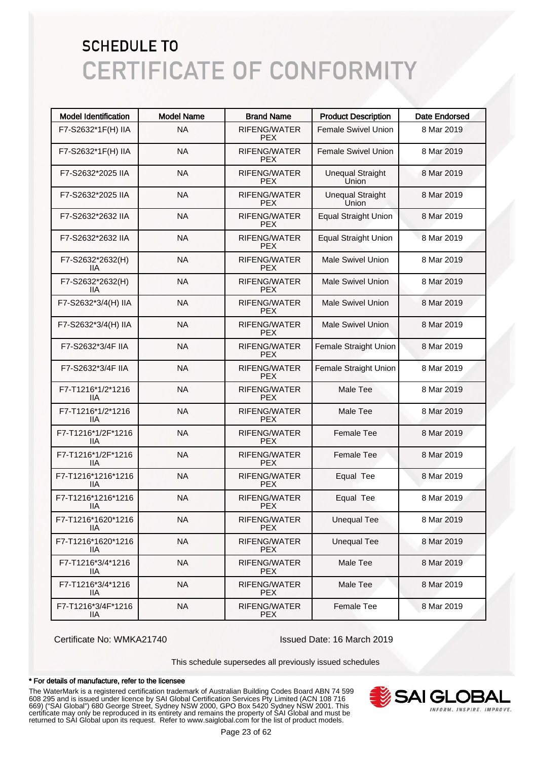| <b>Model Identification</b> | <b>Model Name</b> | <b>Brand Name</b>                 | <b>Product Description</b>       | <b>Date Endorsed</b> |
|-----------------------------|-------------------|-----------------------------------|----------------------------------|----------------------|
| F7-S2632*1F(H) IIA          | <b>NA</b>         | RIFENG/WATER<br>PEX.              | <b>Female Swivel Union</b>       | 8 Mar 2019           |
| F7-S2632*1F(H) IIA          | <b>NA</b>         | <b>RIFENG/WATER</b><br>PEX.       | <b>Female Swivel Union</b>       | 8 Mar 2019           |
| F7-S2632*2025 IIA           | <b>NA</b>         | RIFENG/WATER<br><b>PEX</b>        | <b>Unequal Straight</b><br>Union | 8 Mar 2019           |
| F7-S2632*2025 IIA           | <b>NA</b>         | RIFENG/WATER<br><b>PEX</b>        | <b>Unequal Straight</b><br>Union | 8 Mar 2019           |
| F7-S2632*2632 IIA           | <b>NA</b>         | RIFENG/WATER<br><b>PEX</b>        | <b>Equal Straight Union</b>      | 8 Mar 2019           |
| F7-S2632*2632 IIA           | <b>NA</b>         | RIFENG/WATER<br><b>PEX</b>        | <b>Equal Straight Union</b>      | 8 Mar 2019           |
| F7-S2632*2632(H)<br>IIА     | <b>NA</b>         | RIFENG/WATER<br>PEX.              | <b>Male Swivel Union</b>         | 8 Mar 2019           |
| F7-S2632*2632(H)<br>IIА     | <b>NA</b>         | RIFENG/WATER<br>PEX.              | <b>Male Swivel Union</b>         | 8 Mar 2019           |
| F7-S2632*3/4(H) IIA         | <b>NA</b>         | <b>RIFENG/WATER</b><br>PEX.       | <b>Male Swivel Union</b>         | 8 Mar 2019           |
| F7-S2632*3/4(H) IIA         | <b>NA</b>         | <b>RIFENG/WATER</b><br>PEX.       | <b>Male Swivel Union</b>         | 8 Mar 2019           |
| F7-S2632*3/4F IIA           | <b>NA</b>         | <b>RIFENG/WATER</b><br>PEX.       | Female Straight Union            | 8 Mar 2019           |
| F7-S2632*3/4F IIA           | <b>NA</b>         | <b>RIFENG/WATER</b><br><b>PEX</b> | <b>Female Straight Union</b>     | 8 Mar 2019           |
| F7-T1216*1/2*1216<br>IIА    | <b>NA</b>         | RIFENG/WATER<br><b>PEX</b>        | Male Tee                         | 8 Mar 2019           |
| F7-T1216*1/2*1216<br>liа    | <b>NA</b>         | RIFENG/WATER<br><b>PEX</b>        | Male Tee                         | 8 Mar 2019           |
| F7-T1216*1/2F*1216<br>IIА   | <b>NA</b>         | RIFENG/WATER<br><b>PEX</b>        | <b>Female Tee</b>                | 8 Mar 2019           |
| F7-T1216*1/2F*1216<br>IIА   | <b>NA</b>         | RIFENG/WATER<br><b>PEX</b>        | <b>Female Tee</b>                | 8 Mar 2019           |
| F7-T1216*1216*1216<br>liа   | <b>NA</b>         | <b>RIFENG/WATER</b><br><b>PEX</b> | Equal Tee                        | 8 Mar 2019           |
| F7-T1216*1216*1216<br>llА   | <b>NA</b>         | <b>RIFENG/WATER</b><br><b>PEX</b> | Equal Tee                        | 8 Mar 2019           |
| F7-T1216*1620*1216<br>11A   | <b>NA</b>         | RIFENG/WATER<br>PEX.              | <b>Unequal Tee</b>               | 8 Mar 2019           |
| F7-T1216*1620*1216<br>IIA   | <b>NA</b>         | RIFENG/WATER<br>PEX.              | <b>Unequal Tee</b>               | 8 Mar 2019           |
| F7-T1216*3/4*1216<br>IIА    | <b>NA</b>         | RIFENG/WATER<br><b>PEX</b>        | Male Tee                         | 8 Mar 2019           |
| F7-T1216*3/4*1216<br>IIA    | <b>NA</b>         | RIFENG/WATER<br><b>PEX</b>        | Male Tee                         | 8 Mar 2019           |
| F7-T1216*3/4F*1216<br>IIА   | <b>NA</b>         | RIFENG/WATER<br><b>PEX</b>        | Female Tee                       | 8 Mar 2019           |

Certificate No: WMKA21740 Issued Date: 16 March 2019

This schedule supersedes all previously issued schedules

#### \* For details of manufacture, refer to the licensee

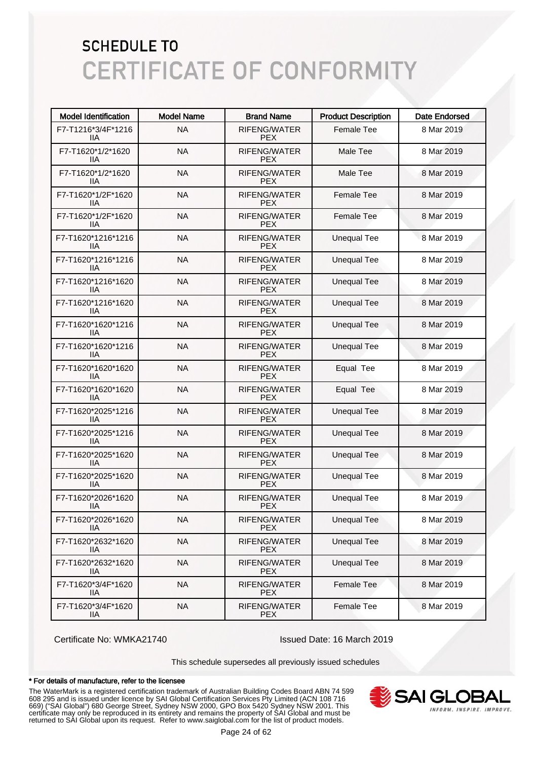| <b>Model Identification</b>      | <b>Model Name</b> | <b>Brand Name</b>                 | <b>Product Description</b> | <b>Date Endorsed</b> |
|----------------------------------|-------------------|-----------------------------------|----------------------------|----------------------|
| F7-T1216*3/4F*1216<br>ШA         | <b>NA</b>         | RIFENG/WATER<br><b>PEX</b>        | <b>Female Tee</b>          | 8 Mar 2019           |
| F7-T1620*1/2*1620<br>ШA          | <b>NA</b>         | RIFENG/WATER<br><b>PEX</b>        | Male Tee                   | 8 Mar 2019           |
| F7-T1620*1/2*1620<br>ШA          | <b>NA</b>         | RIFENG/WATER<br><b>PEX</b>        | Male Tee                   | 8 Mar 2019           |
| F7-T1620*1/2F*1620<br>ШA         | <b>NA</b>         | RIFENG/WATER<br><b>PEX</b>        | <b>Female Tee</b>          | 8 Mar 2019           |
| F7-T1620*1/2F*1620<br>ШA         | <b>NA</b>         | RIFENG/WATER<br><b>PEX</b>        | <b>Female Tee</b>          | 8 Mar 2019           |
| F7-T1620*1216*1216<br>ШA         | <b>NA</b>         | RIFENG/WATER<br><b>PEX</b>        | <b>Unequal Tee</b>         | 8 Mar 2019           |
| F7-T1620*1216*1216<br>ШA         | <b>NA</b>         | RIFENG/WATER<br><b>PEX</b>        | <b>Unequal Tee</b>         | 8 Mar 2019           |
| F7-T1620*1216*1620<br>ШA         | <b>NA</b>         | RIFENG/WATER<br><b>PEX</b>        | <b>Unequal Tee</b>         | 8 Mar 2019           |
| F7-T1620*1216*1620<br>ШA         | <b>NA</b>         | RIFENG/WATER<br><b>PEX</b>        | <b>Unequal Tee</b>         | 8 Mar 2019           |
| F7-T1620*1620*1216<br>ШA         | <b>NA</b>         | RIFENG/WATER<br><b>PEX</b>        | <b>Unequal Tee</b>         | 8 Mar 2019           |
| F7-T1620*1620*1216<br>ШA         | <b>NA</b>         | <b>RIFENG/WATER</b><br><b>PEX</b> | <b>Unequal Tee</b>         | 8 Mar 2019           |
| F7-T1620*1620*1620<br>ШA         | <b>NA</b>         | RIFENG/WATER<br><b>PEX</b>        | Equal Tee                  | 8 Mar 2019           |
| F7-T1620*1620*1620<br>ШA         | <b>NA</b>         | <b>RIFENG/WATER</b><br><b>PEX</b> | Equal Tee                  | 8 Mar 2019           |
| F7-T1620*2025*1216<br>ШA         | <b>NA</b>         | RIFENG/WATER<br><b>PEX</b>        | <b>Unequal Tee</b>         | 8 Mar 2019           |
| F7-T1620*2025*1216<br>ШA         | <b>NA</b>         | RIFENG/WATER<br><b>PEX</b>        | <b>Unequal Tee</b>         | 8 Mar 2019           |
| F7-T1620*2025*1620<br>ШA         | <b>NA</b>         | RIFENG/WATER<br><b>PEX</b>        | <b>Unequal Tee</b>         | 8 Mar 2019           |
| F7-T1620*2025*1620<br>IIA        | <b>NA</b>         | RIFENG/WATER<br><b>PEX</b>        | <b>Unequal Tee</b>         | 8 Mar 2019           |
| F7-T1620*2026*1620<br>ШA         | <b>NA</b>         | RIFENG/WATER<br><b>PEX</b>        | <b>Unequal Tee</b>         | 8 Mar 2019           |
| F7-T1620*2026*1620<br>IIА        | <b>NA</b>         | RIFENG/WATER<br><b>PEX</b>        | <b>Unequal Tee</b>         | 8 Mar 2019           |
| F7-T1620*2632*1620<br>IIА        | <b>NA</b>         | RIFENG/WATER<br><b>PEX</b>        | <b>Unequal Tee</b>         | 8 Mar 2019           |
| F7-T1620*2632*1620<br><b>IIA</b> | <b>NA</b>         | RIFENG/WATER<br><b>PEX</b>        | <b>Unequal Tee</b>         | 8 Mar 2019           |
| F7-T1620*3/4F*1620<br><b>IIA</b> | <b>NA</b>         | RIFENG/WATER<br><b>PEX</b>        | Female Tee                 | 8 Mar 2019           |
| F7-T1620*3/4F*1620<br>IIA        | <b>NA</b>         | RIFENG/WATER<br><b>PEX</b>        | Female Tee                 | 8 Mar 2019           |

Certificate No: WMKA21740 Issued Date: 16 March 2019

This schedule supersedes all previously issued schedules

#### \* For details of manufacture, refer to the licensee

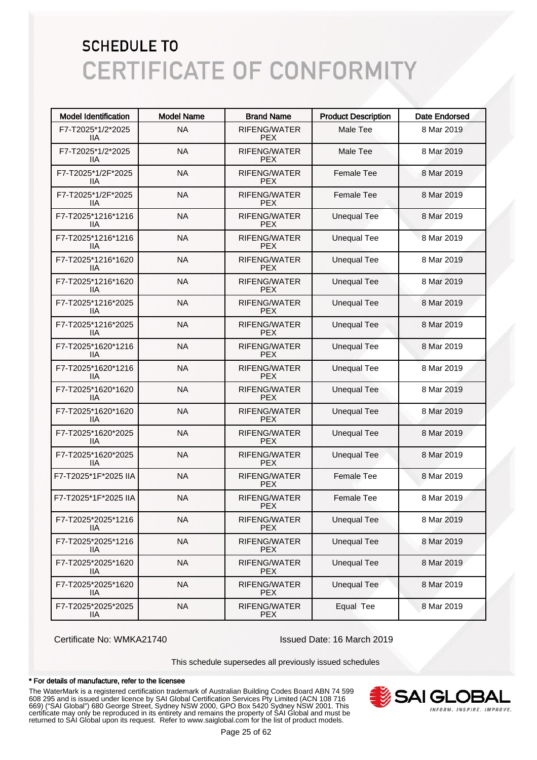| <b>Model Identification</b> | <b>Model Name</b> | <b>Brand Name</b>                 | <b>Product Description</b> | <b>Date Endorsed</b> |
|-----------------------------|-------------------|-----------------------------------|----------------------------|----------------------|
| F7-T2025*1/2*2025<br>11A    | <b>NA</b>         | RIFENG/WATER<br><b>PEX</b>        | Male Tee                   | 8 Mar 2019           |
| F7-T2025*1/2*2025<br>ШA     | <b>NA</b>         | RIFENG/WATER<br><b>PEX</b>        | Male Tee                   | 8 Mar 2019           |
| F7-T2025*1/2F*2025<br>ШA    | <b>NA</b>         | RIFENG/WATER<br><b>PEX</b>        | <b>Female Tee</b>          | 8 Mar 2019           |
| F7-T2025*1/2F*2025<br>ШA    | <b>NA</b>         | RIFENG/WATER<br><b>PEX</b>        | <b>Female Tee</b>          | 8 Mar 2019           |
| F7-T2025*1216*1216<br>ШA    | <b>NA</b>         | <b>RIFENG/WATER</b><br><b>PEX</b> | <b>Unequal Tee</b>         | 8 Mar 2019           |
| F7-T2025*1216*1216<br>ШA    | <b>NA</b>         | RIFENG/WATER<br><b>PEX</b>        | <b>Unequal Tee</b>         | 8 Mar 2019           |
| F7-T2025*1216*1620<br>ШA    | <b>NA</b>         | RIFENG/WATER<br><b>PEX</b>        | <b>Unequal Tee</b>         | 8 Mar 2019           |
| F7-T2025*1216*1620<br>ШA    | <b>NA</b>         | RIFENG/WATER<br><b>PEX</b>        | <b>Unequal Tee</b>         | 8 Mar 2019           |
| F7-T2025*1216*2025<br>ШA    | <b>NA</b>         | RIFENG/WATER<br><b>PEX</b>        | <b>Unequal Tee</b>         | 8 Mar 2019           |
| F7-T2025*1216*2025<br>ШA    | <b>NA</b>         | RIFENG/WATER<br><b>PEX</b>        | <b>Unequal Tee</b>         | 8 Mar 2019           |
| F7-T2025*1620*1216<br>ШA    | <b>NA</b>         | <b>RIFENG/WATER</b><br><b>PEX</b> | <b>Unequal Tee</b>         | 8 Mar 2019           |
| F7-T2025*1620*1216<br>ШA    | <b>NA</b>         | RIFENG/WATER<br><b>PEX</b>        | <b>Unequal Tee</b>         | 8 Mar 2019           |
| F7-T2025*1620*1620<br>ШA    | <b>NA</b>         | RIFENG/WATER<br><b>PEX</b>        | <b>Unequal Tee</b>         | 8 Mar 2019           |
| F7-T2025*1620*1620<br>ШA    | <b>NA</b>         | RIFENG/WATER<br><b>PEX</b>        | <b>Unequal Tee</b>         | 8 Mar 2019           |
| F7-T2025*1620*2025<br>ШA    | <b>NA</b>         | RIFENG/WATER<br><b>PEX</b>        | <b>Unequal Tee</b>         | 8 Mar 2019           |
| F7-T2025*1620*2025<br>11A   | <b>NA</b>         | RIFENG/WATER<br><b>PEX</b>        | <b>Unequal Tee</b>         | 8 Mar 2019           |
| F7-T2025*1F*2025 IIA        | <b>NA</b>         | RIFENG/WATER<br><b>PEX</b>        | <b>Female Tee</b>          | 8 Mar 2019           |
| F7-T2025*1F*2025 IIA        | <b>NA</b>         | RIFENG/WATER<br><b>PEX</b>        | <b>Female Tee</b>          | 8 Mar 2019           |
| F7-T2025*2025*1216<br>IIА   | <b>NA</b>         | RIFENG/WATER<br><b>PEX</b>        | <b>Unequal Tee</b>         | 8 Mar 2019           |
| F7-T2025*2025*1216<br>IIА   | <b>NA</b>         | RIFENG/WATER<br><b>PEX</b>        | <b>Unequal Tee</b>         | 8 Mar 2019           |
| F7-T2025*2025*1620<br>IIA   | <b>NA</b>         | RIFENG/WATER<br><b>PEX</b>        | <b>Unequal Tee</b>         | 8 Mar 2019           |
| F7-T2025*2025*1620<br>IIА   | <b>NA</b>         | RIFENG/WATER<br><b>PEX</b>        | <b>Unequal Tee</b>         | 8 Mar 2019           |
| F7-T2025*2025*2025<br>IIA   | <b>NA</b>         | RIFENG/WATER<br><b>PEX</b>        | Equal Tee                  | 8 Mar 2019           |

Certificate No: WMKA21740 Issued Date: 16 March 2019

This schedule supersedes all previously issued schedules

#### \* For details of manufacture, refer to the licensee

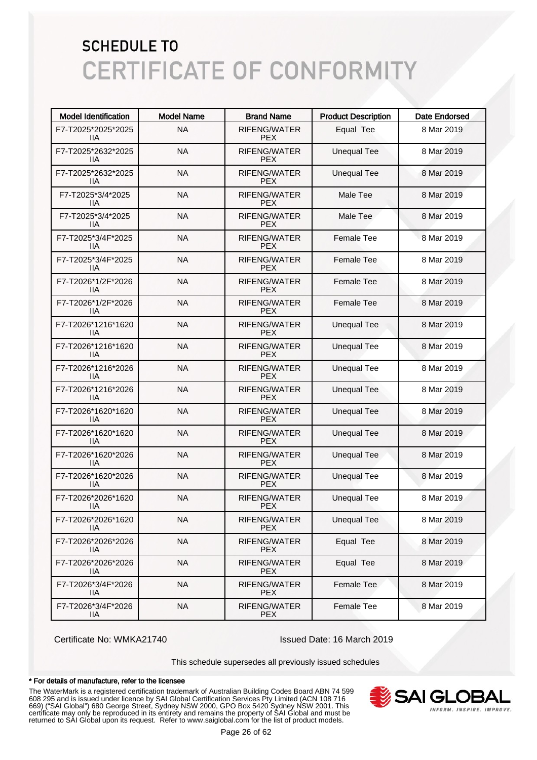| <b>Model Identification</b>      | <b>Model Name</b> | <b>Brand Name</b>                 | <b>Product Description</b> | <b>Date Endorsed</b> |
|----------------------------------|-------------------|-----------------------------------|----------------------------|----------------------|
| F7-T2025*2025*2025<br>11A        | <b>NA</b>         | RIFENG/WATER<br><b>PEX</b>        | Equal Tee                  | 8 Mar 2019           |
| F7-T2025*2632*2025<br>ШA         | <b>NA</b>         | RIFENG/WATER<br><b>PEX</b>        | <b>Unequal Tee</b>         | 8 Mar 2019           |
| F7-T2025*2632*2025<br>ШA         | <b>NA</b>         | RIFENG/WATER<br><b>PEX</b>        | <b>Unequal Tee</b>         | 8 Mar 2019           |
| F7-T2025*3/4*2025<br>ШA          | <b>NA</b>         | RIFENG/WATER<br><b>PEX</b>        | Male Tee                   | 8 Mar 2019           |
| F7-T2025*3/4*2025<br>ШA          | <b>NA</b>         | RIFENG/WATER<br><b>PEX</b>        | Male Tee                   | 8 Mar 2019           |
| F7-T2025*3/4F*2025<br>ШA         | <b>NA</b>         | RIFENG/WATER<br><b>PEX</b>        | <b>Female Tee</b>          | 8 Mar 2019           |
| F7-T2025*3/4F*2025<br>ШA         | <b>NA</b>         | RIFENG/WATER<br><b>PEX</b>        | <b>Female Tee</b>          | 8 Mar 2019           |
| F7-T2026*1/2F*2026<br>ШA         | <b>NA</b>         | RIFENG/WATER<br><b>PEX</b>        | <b>Female Tee</b>          | 8 Mar 2019           |
| F7-T2026*1/2F*2026<br>ШA         | <b>NA</b>         | <b>RIFENG/WATER</b><br><b>PEX</b> | <b>Female Tee</b>          | 8 Mar 2019           |
| F7-T2026*1216*1620<br>ШA         | <b>NA</b>         | RIFENG/WATER<br><b>PEX</b>        | <b>Unequal Tee</b>         | 8 Mar 2019           |
| F7-T2026*1216*1620<br>ШA         | <b>NA</b>         | <b>RIFENG/WATER</b><br><b>PEX</b> | <b>Unequal Tee</b>         | 8 Mar 2019           |
| F7-T2026*1216*2026<br>ШA         | <b>NA</b>         | RIFENG/WATER<br><b>PEX</b>        | <b>Unequal Tee</b>         | 8 Mar 2019           |
| F7-T2026*1216*2026<br>ШA         | <b>NA</b>         | RIFENG/WATER<br><b>PEX</b>        | <b>Unequal Tee</b>         | 8 Mar 2019           |
| F7-T2026*1620*1620<br>ШA         | <b>NA</b>         | RIFENG/WATER<br><b>PEX</b>        | <b>Unequal Tee</b>         | 8 Mar 2019           |
| F7-T2026*1620*1620<br>ШA         | <b>NA</b>         | RIFENG/WATER<br><b>PEX</b>        | <b>Unequal Tee</b>         | 8 Mar 2019           |
| F7-T2026*1620*2026<br>ШA         | <b>NA</b>         | RIFENG/WATER<br><b>PEX</b>        | <b>Unequal Tee</b>         | 8 Mar 2019           |
| F7-T2026*1620*2026<br>ШA         | <b>NA</b>         | RIFENG/WATER<br><b>PEX</b>        | <b>Unequal Tee</b>         | 8 Mar 2019           |
| F7-T2026*2026*1620<br>ШA         | <b>NA</b>         | RIFENG/WATER<br><b>PEX</b>        | <b>Unequal Tee</b>         | 8 Mar 2019           |
| F7-T2026*2026*1620<br>IIА        | <b>NA</b>         | RIFENG/WATER<br><b>PEX</b>        | <b>Unequal Tee</b>         | 8 Mar 2019           |
| F7-T2026*2026*2026<br>IIА        | <b>NA</b>         | RIFENG/WATER<br><b>PEX</b>        | Equal Tee                  | 8 Mar 2019           |
| F7-T2026*2026*2026<br>lia        | <b>NA</b>         | RIFENG/WATER<br><b>PEX</b>        | Equal Tee                  | 8 Mar 2019           |
| F7-T2026*3/4F*2026<br><b>IIA</b> | <b>NA</b>         | RIFENG/WATER<br><b>PEX</b>        | Female Tee                 | 8 Mar 2019           |
| F7-T2026*3/4F*2026<br><b>IIA</b> | <b>NA</b>         | RIFENG/WATER<br><b>PEX</b>        | Female Tee                 | 8 Mar 2019           |

Certificate No: WMKA21740 Issued Date: 16 March 2019

This schedule supersedes all previously issued schedules

#### \* For details of manufacture, refer to the licensee

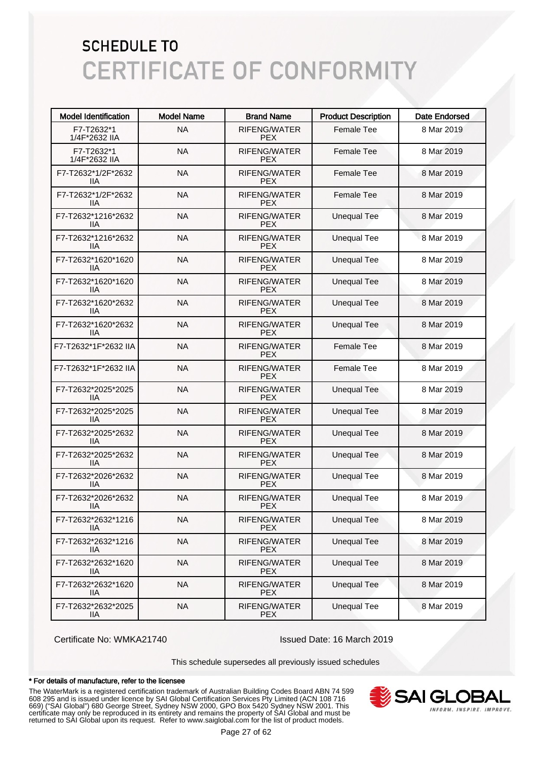| <b>Model Identification</b>      | <b>Model Name</b> | <b>Brand Name</b>                 | <b>Product Description</b> | <b>Date Endorsed</b> |
|----------------------------------|-------------------|-----------------------------------|----------------------------|----------------------|
| F7-T2632*1<br>1/4F*2632 IIA      | <b>NA</b>         | RIFENG/WATER<br><b>PEX</b>        | <b>Female Tee</b>          | 8 Mar 2019           |
| F7-T2632*1<br>1/4F*2632 IIA      | <b>NA</b>         | RIFENG/WATER<br><b>PEX</b>        | <b>Female Tee</b>          | 8 Mar 2019           |
| F7-T2632*1/2F*2632<br>ШA         | <b>NA</b>         | RIFENG/WATER<br><b>PEX</b>        | <b>Female Tee</b>          | 8 Mar 2019           |
| F7-T2632*1/2F*2632<br>ШA         | <b>NA</b>         | <b>RIFENG/WATER</b><br><b>PFX</b> | <b>Female Tee</b>          | 8 Mar 2019           |
| F7-T2632*1216*2632<br>ШA         | <b>NA</b>         | <b>RIFENG/WATER</b><br><b>PFX</b> | <b>Unequal Tee</b>         | 8 Mar 2019           |
| F7-T2632*1216*2632<br>ШA         | <b>NA</b>         | <b>RIFENG/WATER</b><br><b>PEX</b> | <b>Unequal Tee</b>         | 8 Mar 2019           |
| F7-T2632*1620*1620<br>ШA         | <b>NA</b>         | RIFENG/WATER<br><b>PEX</b>        | <b>Unequal Tee</b>         | 8 Mar 2019           |
| F7-T2632*1620*1620<br>ШA         | <b>NA</b>         | RIFENG/WATER<br><b>PEX</b>        | <b>Unequal Tee</b>         | 8 Mar 2019           |
| F7-T2632*1620*2632<br>ШA         | <b>NA</b>         | RIFENG/WATER<br><b>PEX</b>        | <b>Unequal Tee</b>         | 8 Mar 2019           |
| F7-T2632*1620*2632<br>11A        | <b>NA</b>         | RIFENG/WATER<br><b>PEX</b>        | <b>Unequal Tee</b>         | 8 Mar 2019           |
| F7-T2632*1F*2632 IIA             | <b>NA</b>         | <b>RIFENG/WATER</b><br><b>PEX</b> | <b>Female Tee</b>          | 8 Mar 2019           |
| F7-T2632*1F*2632 IIA             | <b>NA</b>         | <b>RIFENG/WATER</b><br><b>PEX</b> | <b>Female Tee</b>          | 8 Mar 2019           |
| F7-T2632*2025*2025<br>ШA         | <b>NA</b>         | <b>RIFENG/WATER</b><br><b>PEX</b> | <b>Unequal Tee</b>         | 8 Mar 2019           |
| F7-T2632*2025*2025<br>ШA         | <b>NA</b>         | <b>RIFENG/WATER</b><br><b>PEX</b> | <b>Unequal Tee</b>         | 8 Mar 2019           |
| F7-T2632*2025*2632<br>ШA         | <b>NA</b>         | <b>RIFENG/WATER</b><br><b>PEX</b> | <b>Unequal Tee</b>         | 8 Mar 2019           |
| F7-T2632*2025*2632<br>ШA         | <b>NA</b>         | <b>RIFENG/WATER</b><br><b>PEX</b> | <b>Unequal Tee</b>         | 8 Mar 2019           |
| F7-T2632*2026*2632<br>ШA         | <b>NA</b>         | RIFENG/WATER<br><b>PEX</b>        | <b>Unequal Tee</b>         | 8 Mar 2019           |
| F7-T2632*2026*2632<br>11A        | <b>NA</b>         | RIFENG/WATER<br><b>PEX</b>        | <b>Unequal Tee</b>         | 8 Mar 2019           |
| F7-T2632*2632*1216<br>11A        | <b>NA</b>         | RIFENG/WATER<br><b>PEX</b>        | <b>Unequal Tee</b>         | 8 Mar 2019           |
| F7-T2632*2632*1216<br>IIA        | <b>NA</b>         | RIFENG/WATER<br><b>PEX</b>        | <b>Unequal Tee</b>         | 8 Mar 2019           |
| F7-T2632*2632*1620<br>IIA        | <b>NA</b>         | RIFENG/WATER<br><b>PEX</b>        | <b>Unequal Tee</b>         | 8 Mar 2019           |
| F7-T2632*2632*1620<br><b>IIA</b> | <b>NA</b>         | RIFENG/WATER<br><b>PEX</b>        | <b>Unequal Tee</b>         | 8 Mar 2019           |
| F7-T2632*2632*2025<br><b>IIA</b> | <b>NA</b>         | RIFENG/WATER<br><b>PEX</b>        | <b>Unequal Tee</b>         | 8 Mar 2019           |

Certificate No: WMKA21740 Issued Date: 16 March 2019

This schedule supersedes all previously issued schedules

#### \* For details of manufacture, refer to the licensee

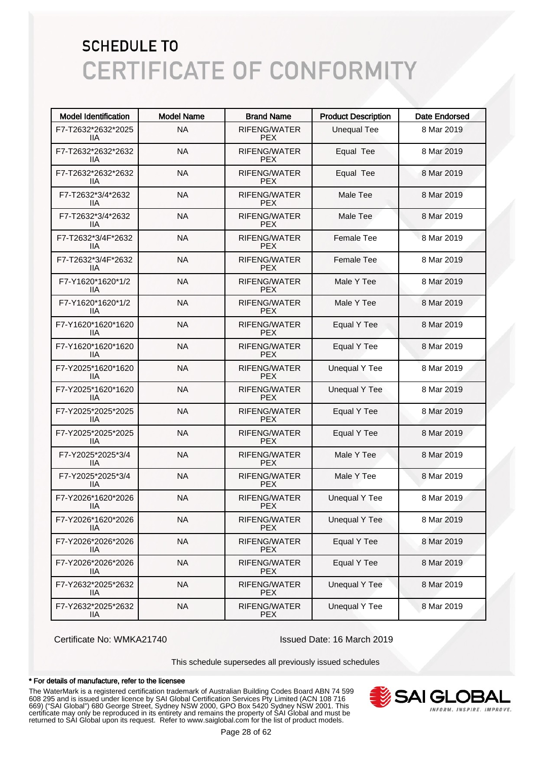| <b>Model Identification</b> | <b>Model Name</b> | <b>Brand Name</b>                 | <b>Product Description</b> | <b>Date Endorsed</b> |
|-----------------------------|-------------------|-----------------------------------|----------------------------|----------------------|
| F7-T2632*2632*2025<br>11A   | <b>NA</b>         | RIFENG/WATER<br><b>PEX</b>        | <b>Unequal Tee</b>         | 8 Mar 2019           |
| F7-T2632*2632*2632<br>ШA    | <b>NA</b>         | RIFENG/WATER<br><b>PEX</b>        | Equal Tee                  | 8 Mar 2019           |
| F7-T2632*2632*2632<br>ШA    | <b>NA</b>         | RIFENG/WATER<br><b>PEX</b>        | Equal Tee                  | 8 Mar 2019           |
| F7-T2632*3/4*2632<br>ШA     | <b>NA</b>         | RIFENG/WATER<br><b>PEX</b>        | Male Tee                   | 8 Mar 2019           |
| F7-T2632*3/4*2632<br>ШA     | <b>NA</b>         | <b>RIFENG/WATER</b><br><b>PEX</b> | Male Tee                   | 8 Mar 2019           |
| F7-T2632*3/4F*2632<br>11A   | <b>NA</b>         | <b>RIFENG/WATER</b><br><b>PEX</b> | <b>Female Tee</b>          | 8 Mar 2019           |
| F7-T2632*3/4F*2632<br>11A   | <b>NA</b>         | RIFENG/WATER<br><b>PEX</b>        | <b>Female Tee</b>          | 8 Mar 2019           |
| F7-Y1620*1620*1/2<br>ШA     | <b>NA</b>         | RIFENG/WATER<br><b>PEX</b>        | Male Y Tee                 | 8 Mar 2019           |
| F7-Y1620*1620*1/2<br>ШA     | <b>NA</b>         | RIFENG/WATER<br><b>PEX</b>        | Male Y Tee                 | 8 Mar 2019           |
| F7-Y1620*1620*1620<br>ШA    | <b>NA</b>         | RIFENG/WATER<br><b>PEX</b>        | Equal Y Tee                | 8 Mar 2019           |
| F7-Y1620*1620*1620<br>ШA    | <b>NA</b>         | <b>RIFENG/WATER</b><br><b>PEX</b> | Equal Y Tee                | 8 Mar 2019           |
| F7-Y2025*1620*1620<br>ШA    | <b>NA</b>         | RIFENG/WATER<br><b>PEX</b>        | <b>Unequal Y Tee</b>       | 8 Mar 2019           |
| F7-Y2025*1620*1620<br>ШA    | <b>NA</b>         | RIFENG/WATER<br><b>PEX</b>        | <b>Unequal Y Tee</b>       | 8 Mar 2019           |
| F7-Y2025*2025*2025<br>ШA    | <b>NA</b>         | RIFENG/WATER<br><b>PEX</b>        | Equal Y Tee                | 8 Mar 2019           |
| F7-Y2025*2025*2025<br>ШA    | <b>NA</b>         | RIFENG/WATER<br><b>PEX</b>        | Equal Y Tee                | 8 Mar 2019           |
| F7-Y2025*2025*3/4<br>ШA     | <b>NA</b>         | RIFENG/WATER<br><b>PEX</b>        | Male Y Tee                 | 8 Mar 2019           |
| F7-Y2025*2025*3/4<br>IIA    | <b>NA</b>         | RIFENG/WATER<br><b>PEX</b>        | Male Y Tee                 | 8 Mar 2019           |
| F7-Y2026*1620*2026<br>ШA    | <b>NA</b>         | RIFENG/WATER<br><b>PEX</b>        | <b>Unequal Y Tee</b>       | 8 Mar 2019           |
| F7-Y2026*1620*2026<br>11A   | <b>NA</b>         | RIFENG/WATER<br><b>PEX</b>        | <b>Unequal Y Tee</b>       | 8 Mar 2019           |
| F7-Y2026*2026*2026<br>IIА   | <b>NA</b>         | RIFENG/WATER<br><b>PEX</b>        | Equal Y Tee                | 8 Mar 2019           |
| F7-Y2026*2026*2026<br>IIА   | <b>NA</b>         | RIFENG/WATER<br><b>PEX</b>        | Equal Y Tee                | 8 Mar 2019           |
| F7-Y2632*2025*2632<br>IIА   | <b>NA</b>         | RIFENG/WATER<br><b>PEX</b>        | <b>Unequal Y Tee</b>       | 8 Mar 2019           |
| F7-Y2632*2025*2632<br>11A   | <b>NA</b>         | RIFENG/WATER<br><b>PEX</b>        | <b>Unequal Y Tee</b>       | 8 Mar 2019           |

Certificate No: WMKA21740 Issued Date: 16 March 2019

This schedule supersedes all previously issued schedules

#### \* For details of manufacture, refer to the licensee

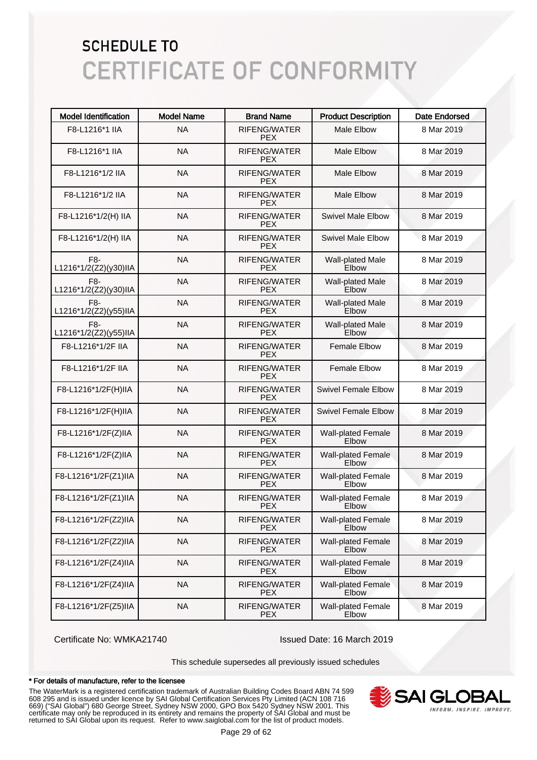| <b>Model Identification</b>  | <b>Model Name</b> | <b>Brand Name</b>                 | <b>Product Description</b>         | <b>Date Endorsed</b> |
|------------------------------|-------------------|-----------------------------------|------------------------------------|----------------------|
| F8-L1216*1 IIA               | <b>NA</b>         | RIFENG/WATER<br><b>PEX</b>        | <b>Male Elbow</b>                  | 8 Mar 2019           |
| F8-L1216*1 IIA               | <b>NA</b>         | RIFENG/WATER<br><b>PEX</b>        | <b>Male Elbow</b>                  | 8 Mar 2019           |
| F8-L1216*1/2 IIA             | <b>NA</b>         | RIFENG/WATER<br><b>PEX</b>        | <b>Male Elbow</b>                  | 8 Mar 2019           |
| F8-L1216*1/2 IIA             | <b>NA</b>         | RIFENG/WATER<br><b>PEX</b>        | <b>Male Elbow</b>                  | 8 Mar 2019           |
| F8-L1216*1/2(H) IIA          | <b>NA</b>         | RIFENG/WATER<br><b>PEX</b>        | <b>Swivel Male Elbow</b>           | 8 Mar 2019           |
| F8-L1216*1/2(H) IIA          | <b>NA</b>         | RIFENG/WATER<br><b>PEX</b>        | <b>Swivel Male Elbow</b>           | 8 Mar 2019           |
| F8-<br>L1216*1/2(Z2)(y30)IIA | <b>NA</b>         | RIFENG/WATER<br><b>PEX</b>        | Wall-plated Male<br>Elbow          | 8 Mar 2019           |
| F8-<br>L1216*1/2(Z2)(y30)IIA | <b>NA</b>         | RIFENG/WATER<br><b>PEX</b>        | Wall-plated Male<br>Elbow          | 8 Mar 2019           |
| F8-<br>L1216*1/2(Z2)(y55)IIA | <b>NA</b>         | <b>RIFENG/WATER</b><br><b>PEX</b> | Wall-plated Male<br>Elbow          | 8 Mar 2019           |
| F8-<br>L1216*1/2(Z2)(y55)IIA | <b>NA</b>         | RIFENG/WATER<br><b>PEX</b>        | Wall-plated Male<br>Elbow          | 8 Mar 2019           |
| F8-L1216*1/2F IIA            | <b>NA</b>         | RIFENG/WATER<br><b>PEX</b>        | <b>Female Elbow</b>                | 8 Mar 2019           |
| F8-L1216*1/2F IIA            | <b>NA</b>         | RIFENG/WATER<br><b>PEX</b>        | <b>Female Elbow</b>                | 8 Mar 2019           |
| F8-L1216*1/2F(H)IIA          | <b>NA</b>         | <b>RIFENG/WATER</b><br><b>PEX</b> | <b>Swivel Female Elbow</b>         | 8 Mar 2019           |
| F8-L1216*1/2F(H)IIA          | <b>NA</b>         | RIFENG/WATER<br><b>PEX</b>        | <b>Swivel Female Elbow</b>         | 8 Mar 2019           |
| F8-L1216*1/2F(Z)IIA          | <b>NA</b>         | RIFENG/WATER<br><b>PEX</b>        | <b>Wall-plated Female</b><br>Elbow | 8 Mar 2019           |
| F8-L1216*1/2F(Z)IIA          | <b>NA</b>         | <b>RIFENG/WATER</b><br><b>PEX</b> | <b>Wall-plated Female</b><br>Elbow | 8 Mar 2019           |
| F8-L1216*1/2F(Z1)IIA         | <b>NA</b>         | RIFENG/WATER<br><b>PEX</b>        | <b>Wall-plated Female</b><br>Elbow | 8 Mar 2019           |
| F8-L1216*1/2F(Z1)IIA         | <b>NA</b>         | RIFENG/WATER<br><b>PEX</b>        | <b>Wall-plated Female</b><br>Elbow | 8 Mar 2019           |
| F8-L1216*1/2F(Z2)IIA         | <b>NA</b>         | RIFENG/WATER<br><b>PEX</b>        | <b>Wall-plated Female</b><br>Elbow | 8 Mar 2019           |
| F8-L1216*1/2F(Z2)IIA         | <b>NA</b>         | RIFENG/WATER<br><b>PEX</b>        | <b>Wall-plated Female</b><br>Elbow | 8 Mar 2019           |
| F8-L1216*1/2F(Z4)IIA         | <b>NA</b>         | RIFENG/WATER<br><b>PEX</b>        | <b>Wall-plated Female</b><br>Elbow | 8 Mar 2019           |
| F8-L1216*1/2F(Z4)IIA         | <b>NA</b>         | RIFENG/WATER<br><b>PEX</b>        | Wall-plated Female<br>Elbow        | 8 Mar 2019           |
| F8-L1216*1/2F(Z5)IIA         | <b>NA</b>         | RIFENG/WATER<br><b>PEX</b>        | <b>Wall-plated Female</b><br>Elbow | 8 Mar 2019           |

Certificate No: WMKA21740 Issued Date: 16 March 2019

This schedule supersedes all previously issued schedules

#### \* For details of manufacture, refer to the licensee

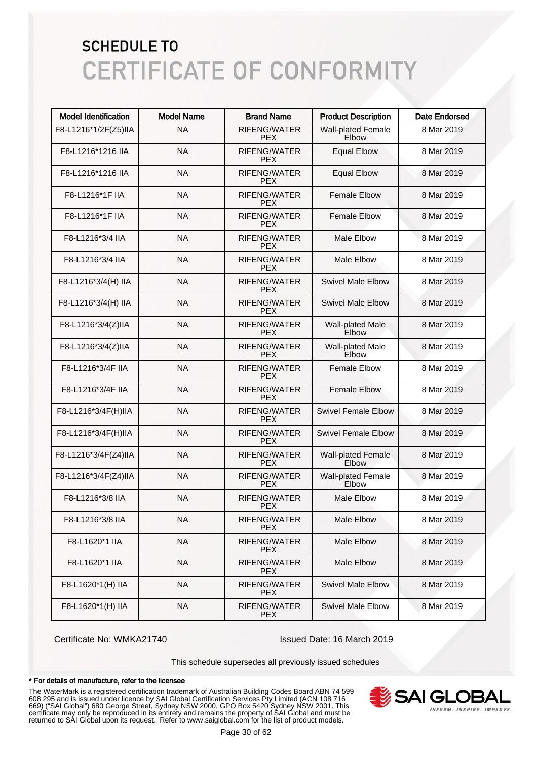| <b>Model Identification</b> | <b>Model Name</b> | <b>Brand Name</b>                 | <b>Product Description</b>         | <b>Date Endorsed</b> |
|-----------------------------|-------------------|-----------------------------------|------------------------------------|----------------------|
| F8-L1216*1/2F(Z5)IIA        | <b>NA</b>         | <b>RIFENG/WATER</b><br><b>PEX</b> | <b>Wall-plated Female</b><br>Elbow | 8 Mar 2019           |
| F8-L1216*1216 IIA           | <b>NA</b>         | RIFENG/WATER<br><b>PFX</b>        | <b>Equal Elbow</b>                 | 8 Mar 2019           |
| F8-L1216*1216 IIA           | <b>NA</b>         | <b>RIFENG/WATER</b><br><b>PEX</b> | <b>Equal Elbow</b>                 | 8 Mar 2019           |
| F8-L1216*1F IIA             | <b>NA</b>         | <b>RIFENG/WATER</b><br><b>PEX</b> | <b>Female Elbow</b>                | 8 Mar 2019           |
| F8-L1216*1F IIA             | <b>NA</b>         | <b>RIFENG/WATER</b><br><b>PEX</b> | <b>Female Elbow</b>                | 8 Mar 2019           |
| F8-L1216*3/4 IIA            | <b>NA</b>         | <b>RIFENG/WATER</b><br><b>PEX</b> | <b>Male Elbow</b>                  | 8 Mar 2019           |
| F8-L1216*3/4 IIA            | <b>NA</b>         | <b>RIFENG/WATER</b><br><b>PEX</b> | <b>Male Elbow</b>                  | 8 Mar 2019           |
| F8-L1216*3/4(H) IIA         | <b>NA</b>         | <b>RIFENG/WATER</b><br><b>PEX</b> | <b>Swivel Male Elbow</b>           | 8 Mar 2019           |
| F8-L1216*3/4(H) IIA         | <b>NA</b>         | <b>RIFENG/WATER</b><br><b>PEX</b> | <b>Swivel Male Elbow</b>           | 8 Mar 2019           |
| F8-L1216*3/4(Z)IIA          | <b>NA</b>         | <b>RIFENG/WATER</b><br><b>PEX</b> | Wall-plated Male<br>Elbow          | 8 Mar 2019           |
| F8-L1216*3/4(Z)IIA          | <b>NA</b>         | <b>RIFENG/WATER</b><br><b>PEX</b> | Wall-plated Male<br>Elbow          | 8 Mar 2019           |
| F8-L1216*3/4F IIA           | <b>NA</b>         | <b>RIFENG/WATER</b><br><b>PEX</b> | <b>Female Elbow</b>                | 8 Mar 2019           |
| F8-L1216*3/4F IIA           | <b>NA</b>         | <b>RIFENG/WATER</b><br><b>PEX</b> | <b>Female Elbow</b>                | 8 Mar 2019           |
| F8-L1216*3/4F(H)IIA         | <b>NA</b>         | RIFENG/WATER<br><b>PEX</b>        | <b>Swivel Female Elbow</b>         | 8 Mar 2019           |
| F8-L1216*3/4F(H)IIA         | <b>NA</b>         | RIFENG/WATER<br><b>PEX</b>        | <b>Swivel Female Elbow</b>         | 8 Mar 2019           |
| F8-L1216*3/4F(Z4)IIA        | <b>NA</b>         | <b>RIFENG/WATER</b><br><b>PEX</b> | <b>Wall-plated Female</b><br>Elbow | 8 Mar 2019           |
| F8-L1216*3/4F(Z4)IIA        | <b>NA</b>         | <b>RIFENG/WATER</b><br><b>PEX</b> | <b>Wall-plated Female</b><br>Elbow | 8 Mar 2019           |
| F8-L1216*3/8 IIA            | <b>NA</b>         | RIFENG/WATER<br><b>PEX</b>        | <b>Male Elbow</b>                  | 8 Mar 2019           |
| F8-L1216*3/8 IIA            | <b>NA</b>         | RIFENG/WATER<br>PEX.              | Male Elbow                         | 8 Mar 2019           |
| F8-L1620*1 IIA              | <b>NA</b>         | RIFENG/WATER<br><b>PEX</b>        | Male Elbow                         | 8 Mar 2019           |
| F8-L1620*1 IIA              | <b>NA</b>         | RIFENG/WATER<br><b>PEX</b>        | Male Elbow                         | 8 Mar 2019           |
| F8-L1620*1(H) IIA           | <b>NA</b>         | RIFENG/WATER<br><b>PEX</b>        | <b>Swivel Male Elbow</b>           | 8 Mar 2019           |
| F8-L1620*1(H) IIA           | <b>NA</b>         | RIFENG/WATER<br><b>PEX</b>        | <b>Swivel Male Elbow</b>           | 8 Mar 2019           |

Certificate No: WMKA21740 Issued Date: 16 March 2019

This schedule supersedes all previously issued schedules

#### \* For details of manufacture, refer to the licensee

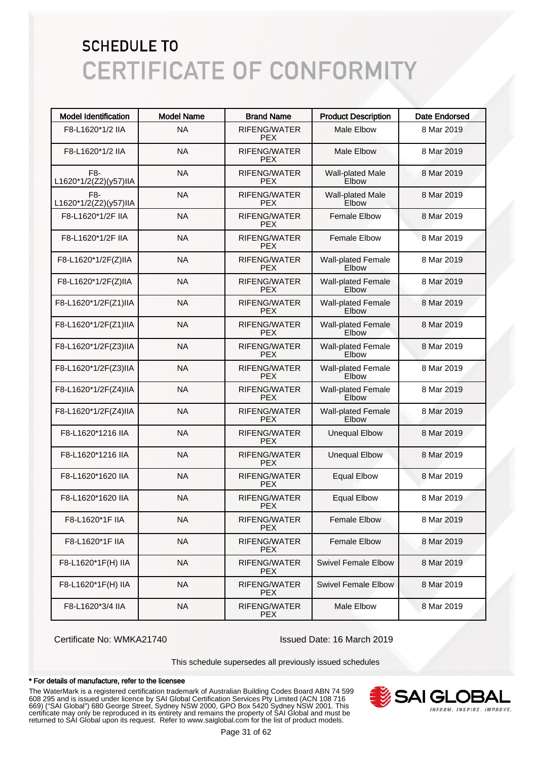| <b>Model Identification</b>  | <b>Model Name</b> | <b>Brand Name</b>                 | <b>Product Description</b>                | <b>Date Endorsed</b> |
|------------------------------|-------------------|-----------------------------------|-------------------------------------------|----------------------|
| F8-L1620*1/2 IIA             | <b>NA</b>         | RIFENG/WATER<br><b>PEX</b>        | <b>Male Elbow</b>                         | 8 Mar 2019           |
| F8-L1620*1/2 IIA             | <b>NA</b>         | RIFENG/WATER<br><b>PEX</b>        | <b>Male Elbow</b>                         | 8 Mar 2019           |
| F8-<br>L1620*1/2(Z2)(y57)IIA | <b>NA</b>         | <b>RIFENG/WATER</b><br><b>PEX</b> | Wall-plated Male<br>Elbow                 | 8 Mar 2019           |
| F8-<br>L1620*1/2(Z2)(y57)IIA | <b>NA</b>         | RIFENG/WATER<br><b>PEX</b>        | <b>Wall-plated Male</b><br>Elbow          | 8 Mar 2019           |
| F8-L1620*1/2F IIA            | <b>NA</b>         | <b>RIFENG/WATER</b><br><b>PEX</b> | <b>Female Elbow</b>                       | 8 Mar 2019           |
| F8-L1620*1/2F IIA            | <b>NA</b>         | RIFENG/WATER<br><b>PEX</b>        | <b>Female Elbow</b>                       | 8 Mar 2019           |
| F8-L1620*1/2F(Z)IIA          | <b>NA</b>         | RIFENG/WATER<br><b>PEX</b>        | <b>Wall-plated Female</b><br>Elbow        | 8 Mar 2019           |
| F8-L1620*1/2F(Z)IIA          | <b>NA</b>         | RIFENG/WATER<br><b>PEX</b>        | <b>Wall-plated Female</b><br><b>Elbow</b> | 8 Mar 2019           |
| F8-L1620*1/2F(Z1)IIA         | <b>NA</b>         | RIFENG/WATER<br><b>PEX</b>        | <b>Wall-plated Female</b><br><b>Elbow</b> | 8 Mar 2019           |
| F8-L1620*1/2F(Z1)IIA         | <b>NA</b>         | RIFENG/WATER<br><b>PEX</b>        | <b>Wall-plated Female</b><br>Elbow        | 8 Mar 2019           |
| F8-L1620*1/2F(Z3)IIA         | <b>NA</b>         | RIFENG/WATER<br><b>PEX</b>        | <b>Wall-plated Female</b><br><b>Flbow</b> | 8 Mar 2019           |
| F8-L1620*1/2F(Z3)IIA         | <b>NA</b>         | RIFENG/WATER<br><b>PEX</b>        | <b>Wall-plated Female</b><br>Elbow        | 8 Mar 2019           |
| F8-L1620*1/2F(Z4)IIA         | <b>NA</b>         | RIFENG/WATER<br><b>PEX</b>        | <b>Wall-plated Female</b><br>Elbow        | 8 Mar 2019           |
| F8-L1620*1/2F(Z4)IIA         | <b>NA</b>         | RIFENG/WATER<br><b>PEX</b>        | <b>Wall-plated Female</b><br>Elbow        | 8 Mar 2019           |
| F8-L1620*1216 IIA            | <b>NA</b>         | <b>RIFENG/WATER</b><br><b>PEX</b> | <b>Unequal Elbow</b>                      | 8 Mar 2019           |
| F8-L1620*1216 IIA            | <b>NA</b>         | <b>RIFENG/WATER</b><br><b>PEX</b> | <b>Unequal Elbow</b>                      | 8 Mar 2019           |
| F8-L1620*1620 IIA            | <b>NA</b>         | RIFENG/WATER<br><b>PEX</b>        | <b>Equal Elbow</b>                        | 8 Mar 2019           |
| F8-L1620*1620 IIA            | <b>NA</b>         | RIFENG/WATER<br><b>PEX</b>        | <b>Equal Elbow</b>                        | 8 Mar 2019           |
| F8-L1620*1F IIA              | <b>NA</b>         | RIFENG/WATER<br><b>PFX</b>        | <b>Female Elbow</b>                       | 8 Mar 2019           |
| F8-L1620*1F IIA              | <b>NA</b>         | RIFENG/WATER<br><b>PEX</b>        | <b>Female Elbow</b>                       | 8 Mar 2019           |
| F8-L1620*1F(H) IIA           | <b>NA</b>         | RIFENG/WATER<br><b>PEX</b>        | <b>Swivel Female Elbow</b>                | 8 Mar 2019           |
| F8-L1620*1F(H) IIA           | <b>NA</b>         | RIFENG/WATER<br><b>PEX</b>        | <b>Swivel Female Elbow</b>                | 8 Mar 2019           |
| F8-L1620*3/4 IIA             | <b>NA</b>         | RIFENG/WATER<br><b>PEX</b>        | Male Elbow                                | 8 Mar 2019           |

Certificate No: WMKA21740 Issued Date: 16 March 2019

This schedule supersedes all previously issued schedules

#### \* For details of manufacture, refer to the licensee

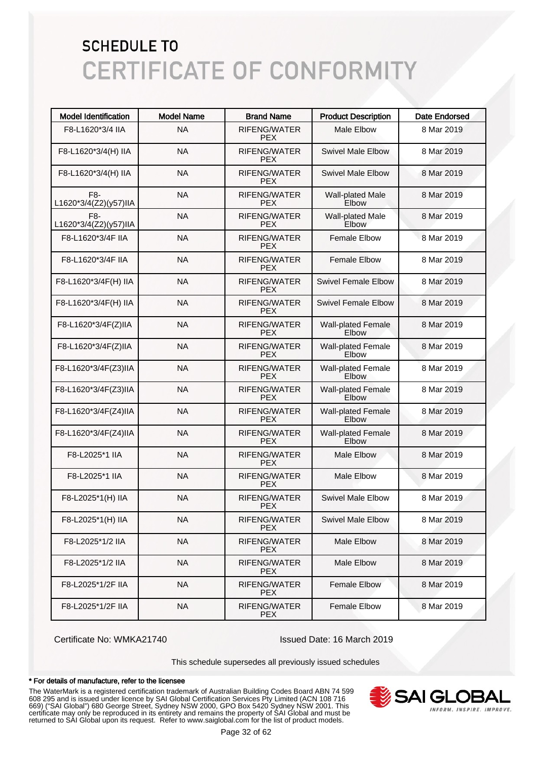| <b>Model Identification</b>  | <b>Model Name</b> | <b>Brand Name</b>                 | <b>Product Description</b>         | <b>Date Endorsed</b> |
|------------------------------|-------------------|-----------------------------------|------------------------------------|----------------------|
| F8-L1620*3/4 IIA             | <b>NA</b>         | RIFENG/WATER<br>PEX.              | <b>Male Elbow</b>                  | 8 Mar 2019           |
| F8-L1620*3/4(H) IIA          | <b>NA</b>         | <b>RIFENG/WATER</b><br>PEX.       | <b>Swivel Male Elbow</b>           | 8 Mar 2019           |
| F8-L1620*3/4(H) IIA          | <b>NA</b>         | <b>RIFENG/WATER</b><br>PEX.       | <b>Swivel Male Elbow</b>           | 8 Mar 2019           |
| F8-<br>L1620*3/4(Z2)(y57)IIA | <b>NA</b>         | <b>RIFENG/WATER</b><br>PEX.       | Wall-plated Male<br>Elbow          | 8 Mar 2019           |
| F8-<br>L1620*3/4(Z2)(y57)IIA | <b>NA</b>         | RIFENG/WATER<br>PEX.              | Wall-plated Male<br>Elbow          | 8 Mar 2019           |
| F8-L1620*3/4F IIA            | <b>NA</b>         | RIFENG/WATER<br>PEX.              | <b>Female Elbow</b>                | 8 Mar 2019           |
| F8-L1620*3/4F IIA            | <b>NA</b>         | <b>RIFENG/WATER</b><br>PEX.       | <b>Female Elbow</b>                | 8 Mar 2019           |
| F8-L1620*3/4F(H) IIA         | <b>NA</b>         | <b>RIFENG/WATER</b><br>PEX.       | Swivel Female Elbow                | 8 Mar 2019           |
| F8-L1620*3/4F(H) IIA         | <b>NA</b>         | <b>RIFENG/WATER</b><br>PEX.       | Swivel Female Elbow                | 8 Mar 2019           |
| F8-L1620*3/4F(Z)IIA          | <b>NA</b>         | <b>RIFENG/WATER</b><br><b>PEX</b> | <b>Wall-plated Female</b><br>Elbow | 8 Mar 2019           |
| F8-L1620*3/4F(Z)IIA          | <b>NA</b>         | <b>RIFENG/WATER</b><br><b>PEX</b> | <b>Wall-plated Female</b><br>Elbow | 8 Mar 2019           |
| F8-L1620*3/4F(Z3)IIA         | <b>NA</b>         | <b>RIFENG/WATER</b><br><b>PEX</b> | <b>Wall-plated Female</b><br>Elbow | 8 Mar 2019           |
| F8-L1620*3/4F(Z3)IIA         | <b>NA</b>         | <b>RIFENG/WATER</b><br><b>PEX</b> | <b>Wall-plated Female</b><br>Elbow | 8 Mar 2019           |
| F8-L1620*3/4F(Z4)IIA         | <b>NA</b>         | <b>RIFENG/WATER</b><br><b>PEX</b> | <b>Wall-plated Female</b><br>Elbow | 8 Mar 2019           |
| F8-L1620*3/4F(Z4)IIA         | <b>NA</b>         | RIFENG/WATER<br><b>PEX</b>        | <b>Wall-plated Female</b><br>Elbow | 8 Mar 2019           |
| F8-L2025*1 IIA               | <b>NA</b>         | RIFENG/WATER<br><b>PEX</b>        | <b>Male Elbow</b>                  | 8 Mar 2019           |
| F8-L2025*1 IIA               | <b>NA</b>         | RIFENG/WATER<br><b>PEX</b>        | Male Elbow                         | 8 Mar 2019           |
| F8-L2025*1(H) IIA            | <b>NA</b>         | <b>RIFENG/WATER</b><br><b>PEX</b> | <b>Swivel Male Elbow</b>           | 8 Mar 2019           |
| F8-L2025*1(H) IIA            | <b>NA</b>         | RIFENG/WATER<br>PEX.              | <b>Swivel Male Elbow</b>           | 8 Mar 2019           |
| F8-L2025*1/2 IIA             | <b>NA</b>         | RIFENG/WATER<br>PEX.              | Male Elbow                         | 8 Mar 2019           |
| F8-L2025*1/2 IIA             | <b>NA</b>         | RIFENG/WATER<br><b>PEX</b>        | Male Elbow                         | 8 Mar 2019           |
| F8-L2025*1/2F IIA            | <b>NA</b>         | RIFENG/WATER<br><b>PEX</b>        | <b>Female Elbow</b>                | 8 Mar 2019           |
| F8-L2025*1/2F IIA            | <b>NA</b>         | RIFENG/WATER<br><b>PEX</b>        | <b>Female Elbow</b>                | 8 Mar 2019           |

Certificate No: WMKA21740 Issued Date: 16 March 2019

This schedule supersedes all previously issued schedules

#### \* For details of manufacture, refer to the licensee

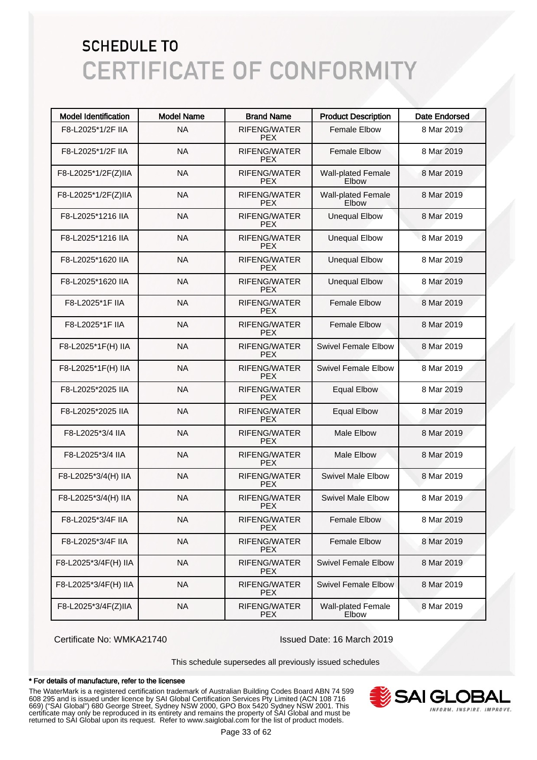| <b>Model Identification</b> | <b>Model Name</b> | <b>Brand Name</b>                 | <b>Product Description</b>         | <b>Date Endorsed</b> |
|-----------------------------|-------------------|-----------------------------------|------------------------------------|----------------------|
| F8-L2025*1/2F IIA           | <b>NA</b>         | <b>RIFENG/WATER</b><br><b>PEX</b> | Female Elbow                       | 8 Mar 2019           |
| F8-L2025*1/2F IIA           | <b>NA</b>         | RIFENG/WATER<br><b>PFX</b>        | <b>Female Elbow</b>                | 8 Mar 2019           |
| F8-L2025*1/2F(Z)IIA         | <b>NA</b>         | <b>RIFENG/WATER</b><br><b>PEX</b> | <b>Wall-plated Female</b><br>Elbow | 8 Mar 2019           |
| F8-L2025*1/2F(Z)IIA         | <b>NA</b>         | <b>RIFENG/WATER</b><br><b>PEX</b> | <b>Wall-plated Female</b><br>Elbow | 8 Mar 2019           |
| F8-L2025*1216 IIA           | <b>NA</b>         | <b>RIFENG/WATER</b><br><b>PEX</b> | <b>Unequal Elbow</b>               | 8 Mar 2019           |
| F8-L2025*1216 IIA           | <b>NA</b>         | <b>RIFENG/WATER</b><br><b>PEX</b> | <b>Unequal Elbow</b>               | 8 Mar 2019           |
| F8-L2025*1620 IIA           | <b>NA</b>         | <b>RIFENG/WATER</b><br><b>PEX</b> | <b>Unequal Elbow</b>               | 8 Mar 2019           |
| F8-L2025*1620 IIA           | <b>NA</b>         | <b>RIFENG/WATER</b><br><b>PEX</b> | <b>Unequal Elbow</b>               | 8 Mar 2019           |
| F8-L2025*1F IIA             | <b>NA</b>         | <b>RIFENG/WATER</b><br><b>PEX</b> | <b>Female Elbow</b>                | 8 Mar 2019           |
| F8-L2025*1F IIA             | <b>NA</b>         | <b>RIFENG/WATER</b><br><b>PEX</b> | <b>Female Elbow</b>                | 8 Mar 2019           |
| F8-L2025*1F(H) IIA          | <b>NA</b>         | <b>RIFENG/WATER</b><br><b>PEX</b> | Swivel Female Elbow                | 8 Mar 2019           |
| F8-L2025*1F(H) IIA          | <b>NA</b>         | <b>RIFENG/WATER</b><br><b>PEX</b> | Swivel Female Elbow                | 8 Mar 2019           |
| F8-L2025*2025 IIA           | <b>NA</b>         | <b>RIFENG/WATER</b><br><b>PEX</b> | <b>Equal Elbow</b>                 | 8 Mar 2019           |
| F8-L2025*2025 IIA           | <b>NA</b>         | <b>RIFENG/WATER</b><br><b>PEX</b> | <b>Equal Elbow</b>                 | 8 Mar 2019           |
| F8-L2025*3/4 IIA            | <b>NA</b>         | <b>RIFENG/WATER</b><br><b>PEX</b> | <b>Male Elbow</b>                  | 8 Mar 2019           |
| F8-L2025*3/4 IIA            | <b>NA</b>         | <b>RIFENG/WATER</b><br><b>PEX</b> | <b>Male Elbow</b>                  | 8 Mar 2019           |
| F8-L2025*3/4(H) IIA         | <b>NA</b>         | <b>RIFENG/WATER</b><br><b>PEX</b> | <b>Swivel Male Elbow</b>           | 8 Mar 2019           |
| F8-L2025*3/4(H) IIA         | <b>NA</b>         | <b>RIFENG/WATER</b><br><b>PEX</b> | <b>Swivel Male Elbow</b>           | 8 Mar 2019           |
| F8-L2025*3/4F IIA           | <b>NA</b>         | RIFENG/WATER<br><b>PEX</b>        | <b>Female Elbow</b>                | 8 Mar 2019           |
| F8-L2025*3/4F IIA           | <b>NA</b>         | RIFENG/WATER<br><b>PEX</b>        | <b>Female Elbow</b>                | 8 Mar 2019           |
| F8-L2025*3/4F(H) IIA        | <b>NA</b>         | RIFENG/WATER<br><b>PEX</b>        | <b>Swivel Female Elbow</b>         | 8 Mar 2019           |
| F8-L2025*3/4F(H) IIA        | <b>NA</b>         | RIFENG/WATER<br><b>PEX</b>        | <b>Swivel Female Elbow</b>         | 8 Mar 2019           |
| F8-L2025*3/4F(Z)IIA         | <b>NA</b>         | RIFENG/WATER<br><b>PEX</b>        | <b>Wall-plated Female</b><br>Elbow | 8 Mar 2019           |

Certificate No: WMKA21740 Issued Date: 16 March 2019

This schedule supersedes all previously issued schedules

#### \* For details of manufacture, refer to the licensee

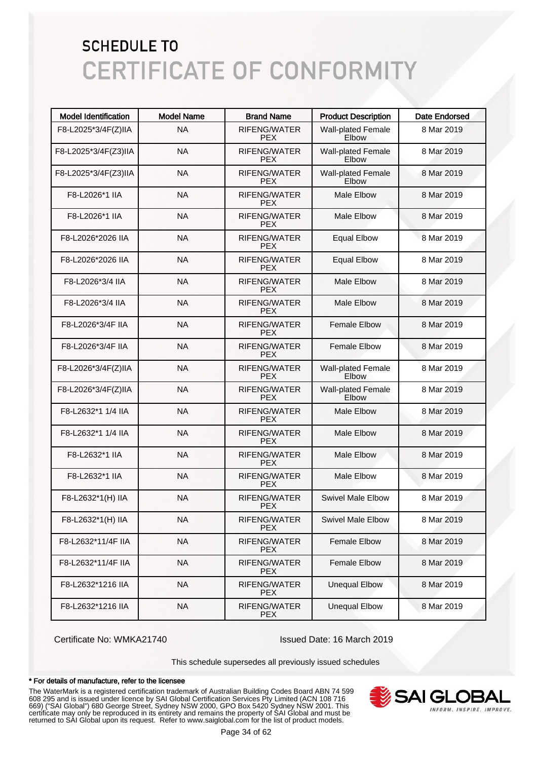| <b>Model Identification</b> | <b>Model Name</b> | <b>Brand Name</b>                 | <b>Product Description</b>         | Date Endorsed |
|-----------------------------|-------------------|-----------------------------------|------------------------------------|---------------|
| F8-L2025*3/4F(Z)IIA         | <b>NA</b>         | RIFENG/WATER<br><b>PEX</b>        | <b>Wall-plated Female</b><br>Elbow | 8 Mar 2019    |
| F8-L2025*3/4F(Z3)IIA        | <b>NA</b>         | RIFENG/WATER<br><b>PEX</b>        | <b>Wall-plated Female</b><br>Elbow | 8 Mar 2019    |
| F8-L2025*3/4F(Z3)IIA        | <b>NA</b>         | RIFENG/WATER<br><b>PEX</b>        | <b>Wall-plated Female</b><br>Elbow | 8 Mar 2019    |
| F8-L2026*1 IIA              | <b>NA</b>         | RIFENG/WATER<br><b>PEX</b>        | <b>Male Elbow</b>                  | 8 Mar 2019    |
| F8-L2026*1 IIA              | <b>NA</b>         | <b>RIFENG/WATER</b><br><b>PEX</b> | <b>Male Elbow</b>                  | 8 Mar 2019    |
| F8-L2026*2026 IIA           | <b>NA</b>         | <b>RIFENG/WATER</b><br><b>PEX</b> | <b>Equal Elbow</b>                 | 8 Mar 2019    |
| F8-L2026*2026 IIA           | <b>NA</b>         | <b>RIFENG/WATER</b><br><b>PEX</b> | <b>Equal Elbow</b>                 | 8 Mar 2019    |
| F8-L2026*3/4 IIA            | <b>NA</b>         | <b>RIFENG/WATER</b><br><b>PEX</b> | <b>Male Elbow</b>                  | 8 Mar 2019    |
| F8-L2026*3/4 IIA            | <b>NA</b>         | <b>RIFENG/WATER</b><br><b>PEX</b> | <b>Male Elbow</b>                  | 8 Mar 2019    |
| F8-L2026*3/4F IIA           | <b>NA</b>         | RIFENG/WATER<br><b>PEX</b>        | <b>Female Elbow</b>                | 8 Mar 2019    |
| F8-L2026*3/4F IIA           | <b>NA</b>         | <b>RIFENG/WATER</b><br><b>PEX</b> | <b>Female Elbow</b>                | 8 Mar 2019    |
| F8-L2026*3/4F(Z)IIA         | <b>NA</b>         | <b>RIFENG/WATER</b><br><b>PEX</b> | <b>Wall-plated Female</b><br>Elbow | 8 Mar 2019    |
| F8-L2026*3/4F(Z)IIA         | <b>NA</b>         | <b>RIFENG/WATER</b><br><b>PEX</b> | <b>Wall-plated Female</b><br>Elbow | 8 Mar 2019    |
| F8-L2632*1 1/4 IIA          | <b>NA</b>         | RIFENG/WATER<br><b>PEX</b>        | <b>Male Elbow</b>                  | 8 Mar 2019    |
| F8-L2632*1 1/4 IIA          | <b>NA</b>         | RIFENG/WATER<br><b>PEX</b>        | <b>Male Elbow</b>                  | 8 Mar 2019    |
| F8-L2632*1 IIA              | <b>NA</b>         | <b>RIFENG/WATER</b><br><b>PEX</b> | <b>Male Elbow</b>                  | 8 Mar 2019    |
| F8-L2632*1 IIA              | <b>NA</b>         | <b>RIFENG/WATER</b><br><b>PEX</b> | <b>Male Elbow</b>                  | 8 Mar 2019    |
| F8-L2632*1(H) IIA           | <b>NA</b>         | <b>RIFENG/WATER</b><br><b>PEX</b> | <b>Swivel Male Elbow</b>           | 8 Mar 2019    |
| F8-L2632*1(H) IIA           | <b>NA</b>         | RIFENG/WATER<br><b>PEX</b>        | <b>Swivel Male Elbow</b>           | 8 Mar 2019    |
| F8-L2632*11/4F IIA          | <b>NA</b>         | RIFENG/WATER<br><b>PEX</b>        | <b>Female Elbow</b>                | 8 Mar 2019    |
| F8-L2632*11/4F IIA          | <b>NA</b>         | RIFENG/WATER<br><b>PEX</b>        | <b>Female Elbow</b>                | 8 Mar 2019    |
| F8-L2632*1216 IIA           | <b>NA</b>         | RIFENG/WATER<br><b>PEX</b>        | <b>Unequal Elbow</b>               | 8 Mar 2019    |
| F8-L2632*1216 IIA           | <b>NA</b>         | RIFENG/WATER<br><b>PEX</b>        | <b>Unequal Elbow</b>               | 8 Mar 2019    |

Certificate No: WMKA21740 Issued Date: 16 March 2019

This schedule supersedes all previously issued schedules

#### \* For details of manufacture, refer to the licensee

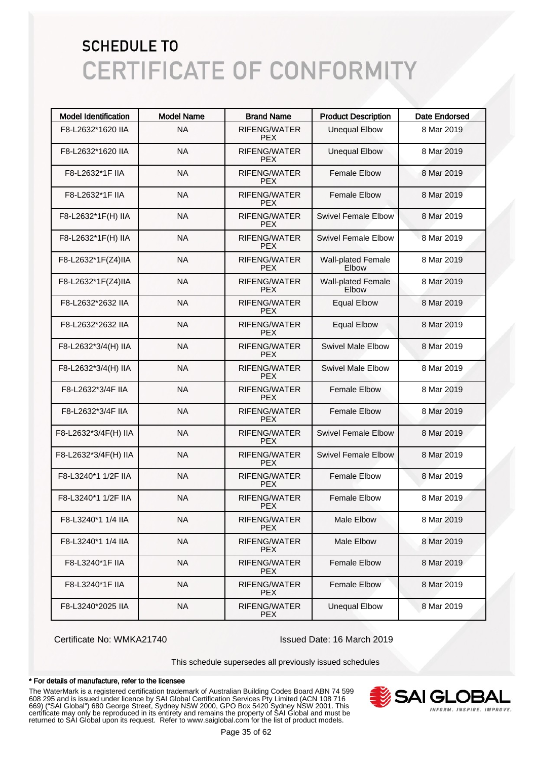| <b>Model Identification</b> | <b>Model Name</b> | <b>Brand Name</b>                 | <b>Product Description</b>                | <b>Date Endorsed</b> |
|-----------------------------|-------------------|-----------------------------------|-------------------------------------------|----------------------|
| F8-L2632*1620 IIA           | <b>NA</b>         | <b>RIFENG/WATER</b><br><b>PEX</b> | <b>Unequal Elbow</b>                      | 8 Mar 2019           |
| F8-L2632*1620 IIA           | <b>NA</b>         | RIFENG/WATER<br><b>PFX</b>        | <b>Unequal Elbow</b>                      | 8 Mar 2019           |
| F8-L2632*1F IIA             | <b>NA</b>         | <b>RIFENG/WATER</b><br><b>PEX</b> | <b>Female Elbow</b>                       | 8 Mar 2019           |
| F8-L2632*1F IIA             | <b>NA</b>         | <b>RIFENG/WATER</b><br><b>PFX</b> | <b>Female Elbow</b>                       | 8 Mar 2019           |
| F8-L2632*1F(H) IIA          | <b>NA</b>         | <b>RIFENG/WATER</b><br><b>PEX</b> | Swivel Female Elbow                       | 8 Mar 2019           |
| F8-L2632*1F(H) IIA          | <b>NA</b>         | <b>RIFENG/WATER</b><br><b>PEX</b> | Swivel Female Flbow                       | 8 Mar 2019           |
| F8-L2632*1F(Z4)IIA          | <b>NA</b>         | <b>RIFENG/WATER</b><br><b>PEX</b> | <b>Wall-plated Female</b><br>Elbow        | 8 Mar 2019           |
| F8-L2632*1F(Z4)IIA          | <b>NA</b>         | <b>RIFENG/WATER</b><br><b>PEX</b> | <b>Wall-plated Female</b><br><b>Elbow</b> | 8 Mar 2019           |
| F8-L2632*2632 IIA           | <b>NA</b>         | <b>RIFENG/WATER</b><br><b>PEX</b> | <b>Equal Elbow</b>                        | 8 Mar 2019           |
| F8-L2632*2632 IIA           | <b>NA</b>         | <b>RIFENG/WATER</b><br><b>PEX</b> | <b>Equal Elbow</b>                        | 8 Mar 2019           |
| F8-L2632*3/4(H) IIA         | <b>NA</b>         | <b>RIFENG/WATER</b><br><b>PEX</b> | <b>Swivel Male Elbow</b>                  | 8 Mar 2019           |
| F8-L2632*3/4(H) IIA         | <b>NA</b>         | <b>RIFENG/WATER</b><br><b>PEX</b> | <b>Swivel Male Elbow</b>                  | 8 Mar 2019           |
| F8-L2632*3/4F IIA           | <b>NA</b>         | <b>RIFENG/WATER</b><br><b>PEX</b> | <b>Female Elbow</b>                       | 8 Mar 2019           |
| F8-L2632*3/4F IIA           | <b>NA</b>         | <b>RIFENG/WATER</b><br><b>PEX</b> | <b>Female Elbow</b>                       | 8 Mar 2019           |
| F8-L2632*3/4F(H) IIA        | <b>NA</b>         | <b>RIFENG/WATER</b><br><b>PEX</b> | <b>Swivel Female Elbow</b>                | 8 Mar 2019           |
| F8-L2632*3/4F(H) IIA        | <b>NA</b>         | <b>RIFENG/WATER</b><br><b>PEX</b> | <b>Swivel Female Elbow</b>                | 8 Mar 2019           |
| F8-L3240*1 1/2F IIA         | <b>NA</b>         | <b>RIFENG/WATER</b><br><b>PEX</b> | Female Elbow                              | 8 Mar 2019           |
| F8-L3240*1 1/2F IIA         | <b>NA</b>         | <b>RIFENG/WATER</b><br><b>PEX</b> | <b>Female Elbow</b>                       | 8 Mar 2019           |
| F8-L3240*1 1/4 IIA          | <b>NA</b>         | RIFENG/WATER<br>PEX.              | Male Elbow                                | 8 Mar 2019           |
| F8-L3240*1 1/4 IIA          | <b>NA</b>         | <b>RIFENG/WATER</b><br><b>PEX</b> | Male Elbow                                | 8 Mar 2019           |
| F8-L3240*1F IIA             | <b>NA</b>         | RIFENG/WATER<br><b>PEX</b>        | <b>Female Elbow</b>                       | 8 Mar 2019           |
| F8-L3240*1F IIA             | <b>NA</b>         | RIFENG/WATER<br><b>PEX</b>        | <b>Female Elbow</b>                       | 8 Mar 2019           |
| F8-L3240*2025 IIA           | <b>NA</b>         | RIFENG/WATER<br><b>PEX</b>        | <b>Unequal Elbow</b>                      | 8 Mar 2019           |

Certificate No: WMKA21740 Issued Date: 16 March 2019

This schedule supersedes all previously issued schedules

#### \* For details of manufacture, refer to the licensee

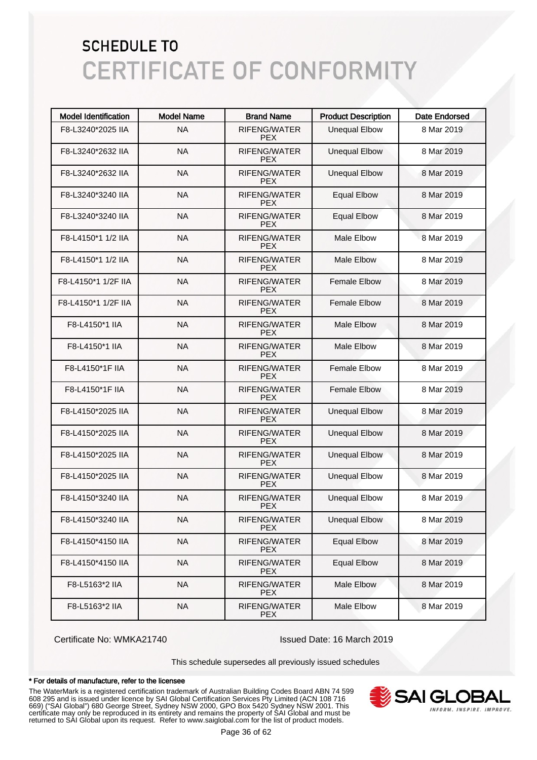| <b>Model Identification</b> | <b>Model Name</b> | <b>Brand Name</b>                 | <b>Product Description</b> | <b>Date Endorsed</b> |
|-----------------------------|-------------------|-----------------------------------|----------------------------|----------------------|
| F8-L3240*2025 IIA           | <b>NA</b>         | RIFENG/WATER<br><b>PEX</b>        | <b>Unequal Elbow</b>       | 8 Mar 2019           |
| F8-L3240*2632 IIA           | <b>NA</b>         | RIFENG/WATER<br><b>PFX</b>        | <b>Unequal Elbow</b>       | 8 Mar 2019           |
| F8-L3240*2632 IIA           | <b>NA</b>         | <b>RIFENG/WATER</b><br><b>PEX</b> | <b>Unequal Elbow</b>       | 8 Mar 2019           |
| F8-L3240*3240 IIA           | <b>NA</b>         | <b>RIFENG/WATER</b><br><b>PFX</b> | <b>Equal Elbow</b>         | 8 Mar 2019           |
| F8-L3240*3240 IIA           | <b>NA</b>         | <b>RIFENG/WATER</b><br><b>PEX</b> | <b>Equal Elbow</b>         | 8 Mar 2019           |
| F8-L4150*1 1/2 IIA          | <b>NA</b>         | <b>RIFENG/WATER</b><br><b>PEX</b> | <b>Male Elbow</b>          | 8 Mar 2019           |
| F8-L4150*1 1/2 IIA          | <b>NA</b>         | <b>RIFENG/WATER</b><br><b>PEX</b> | <b>Male Elbow</b>          | 8 Mar 2019           |
| F8-L4150*1 1/2F IIA         | <b>NA</b>         | <b>RIFENG/WATER</b><br><b>PEX</b> | <b>Female Elbow</b>        | 8 Mar 2019           |
| F8-L4150*1 1/2F IIA         | <b>NA</b>         | <b>RIFENG/WATER</b><br><b>PEX</b> | <b>Female Elbow</b>        | 8 Mar 2019           |
| F8-L4150*1 IIA              | <b>NA</b>         | <b>RIFENG/WATER</b><br><b>PEX</b> | Male Elbow                 | 8 Mar 2019           |
| F8-L4150*1 IIA              | <b>NA</b>         | <b>RIFENG/WATER</b><br><b>PEX</b> | <b>Male Elbow</b>          | 8 Mar 2019           |
| F8-L4150*1F IIA             | <b>NA</b>         | <b>RIFENG/WATER</b><br><b>PEX</b> | <b>Female Elbow</b>        | 8 Mar 2019           |
| F8-L4150*1F IIA             | <b>NA</b>         | <b>RIFENG/WATER</b><br><b>PEX</b> | <b>Female Elbow</b>        | 8 Mar 2019           |
| F8-L4150*2025 IIA           | <b>NA</b>         | <b>RIFENG/WATER</b><br><b>PEX</b> | <b>Unequal Elbow</b>       | 8 Mar 2019           |
| F8-L4150*2025 IIA           | <b>NA</b>         | <b>RIFENG/WATER</b><br><b>PEX</b> | <b>Unequal Elbow</b>       | 8 Mar 2019           |
| F8-L4150*2025 IIA           | <b>NA</b>         | <b>RIFENG/WATER</b><br><b>PEX</b> | <b>Unequal Elbow</b>       | 8 Mar 2019           |
| F8-L4150*2025 IIA           | <b>NA</b>         | <b>RIFENG/WATER</b><br><b>PEX</b> | <b>Unequal Elbow</b>       | 8 Mar 2019           |
| F8-L4150*3240 IIA           | <b>NA</b>         | <b>RIFENG/WATER</b><br><b>PEX</b> | <b>Unequal Elbow</b>       | 8 Mar 2019           |
| F8-L4150*3240 IIA           | <b>NA</b>         | RIFENG/WATER<br>PEX.              | <b>Unequal Elbow</b>       | 8 Mar 2019           |
| F8-L4150*4150 IIA           | <b>NA</b>         | <b>RIFENG/WATER</b><br><b>PEX</b> | <b>Equal Elbow</b>         | 8 Mar 2019           |
| F8-L4150*4150 IIA           | <b>NA</b>         | RIFENG/WATER<br><b>PEX</b>        | <b>Equal Elbow</b>         | 8 Mar 2019           |
| F8-L5163*2 IIA              | <b>NA</b>         | RIFENG/WATER<br><b>PEX</b>        | Male Elbow                 | 8 Mar 2019           |
| F8-L5163*2 IIA              | <b>NA</b>         | RIFENG/WATER<br><b>PEX</b>        | Male Elbow                 | 8 Mar 2019           |

Certificate No: WMKA21740 Issued Date: 16 March 2019

This schedule supersedes all previously issued schedules

#### \* For details of manufacture, refer to the licensee

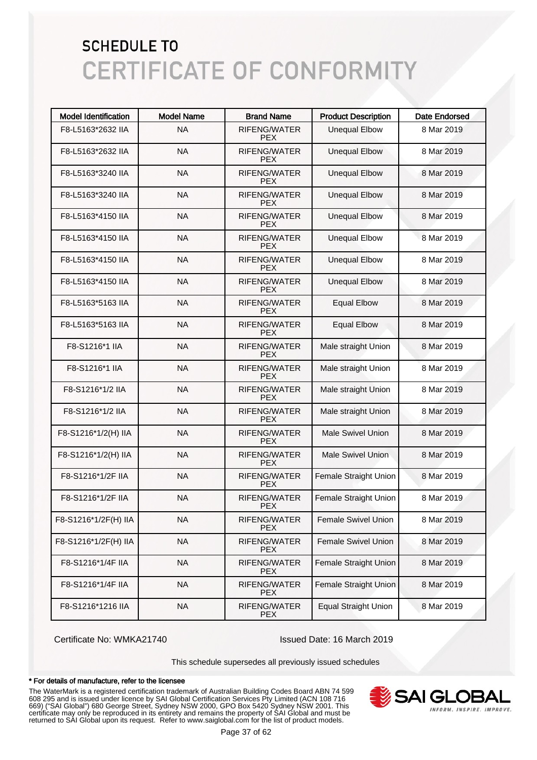| <b>Model Identification</b> | <b>Model Name</b> | <b>Brand Name</b>                 | <b>Product Description</b>  | <b>Date Endorsed</b> |
|-----------------------------|-------------------|-----------------------------------|-----------------------------|----------------------|
| F8-L5163*2632 IIA           | <b>NA</b>         | <b>RIFENG/WATER</b><br><b>PEX</b> | <b>Unequal Elbow</b>        | 8 Mar 2019           |
| F8-L5163*2632 IIA           | <b>NA</b>         | RIFENG/WATER<br><b>PEX</b>        | <b>Unequal Elbow</b>        | 8 Mar 2019           |
| F8-L5163*3240 IIA           | <b>NA</b>         | <b>RIFENG/WATER</b><br><b>PEX</b> | <b>Unequal Elbow</b>        | 8 Mar 2019           |
| F8-L5163*3240 IIA           | <b>NA</b>         | <b>RIFENG/WATER</b><br><b>PEX</b> | <b>Unequal Elbow</b>        | 8 Mar 2019           |
| F8-L5163*4150 IIA           | <b>NA</b>         | <b>RIFENG/WATER</b><br><b>PEX</b> | <b>Unequal Elbow</b>        | 8 Mar 2019           |
| F8-L5163*4150 IIA           | <b>NA</b>         | <b>RIFENG/WATER</b><br><b>PEX</b> | <b>Unequal Elbow</b>        | 8 Mar 2019           |
| F8-L5163*4150 IIA           | <b>NA</b>         | <b>RIFENG/WATER</b><br><b>PEX</b> | <b>Unequal Elbow</b>        | 8 Mar 2019           |
| F8-L5163*4150 IIA           | <b>NA</b>         | <b>RIFENG/WATER</b><br><b>PEX</b> | <b>Unequal Elbow</b>        | 8 Mar 2019           |
| F8-L5163*5163 IIA           | <b>NA</b>         | <b>RIFENG/WATER</b><br><b>PEX</b> | <b>Equal Elbow</b>          | 8 Mar 2019           |
| F8-L5163*5163 IIA           | <b>NA</b>         | <b>RIFENG/WATER</b><br><b>PEX</b> | <b>Equal Elbow</b>          | 8 Mar 2019           |
| F8-S1216*1 IIA              | <b>NA</b>         | <b>RIFENG/WATER</b><br><b>PEX</b> | Male straight Union         | 8 Mar 2019           |
| F8-S1216*1 IIA              | <b>NA</b>         | <b>RIFENG/WATER</b><br><b>PEX</b> | Male straight Union         | 8 Mar 2019           |
| F8-S1216*1/2 IIA            | <b>NA</b>         | <b>RIFENG/WATER</b><br><b>PEX</b> | Male straight Union         | 8 Mar 2019           |
| F8-S1216*1/2 IIA            | <b>NA</b>         | <b>RIFENG/WATER</b><br><b>PEX</b> | Male straight Union         | 8 Mar 2019           |
| F8-S1216*1/2(H) IIA         | <b>NA</b>         | <b>RIFENG/WATER</b><br><b>PEX</b> | <b>Male Swivel Union</b>    | 8 Mar 2019           |
| F8-S1216*1/2(H) IIA         | <b>NA</b>         | <b>RIFENG/WATER</b><br><b>PEX</b> | <b>Male Swivel Union</b>    | 8 Mar 2019           |
| F8-S1216*1/2F IIA           | <b>NA</b>         | <b>RIFENG/WATER</b><br><b>PEX</b> | Female Straight Union       | 8 Mar 2019           |
| F8-S1216*1/2F IIA           | <b>NA</b>         | <b>RIFENG/WATER</b><br><b>PEX</b> | Female Straight Union       | 8 Mar 2019           |
| F8-S1216*1/2F(H) IIA        | <b>NA</b>         | RIFENG/WATER<br><b>PFX</b>        | <b>Female Swivel Union</b>  | 8 Mar 2019           |
| F8-S1216*1/2F(H) IIA        | <b>NA</b>         | RIFENG/WATER<br><b>PEX</b>        | Female Swivel Union         | 8 Mar 2019           |
| F8-S1216*1/4F IIA           | <b>NA</b>         | RIFENG/WATER<br><b>PEX</b>        | Female Straight Union       | 8 Mar 2019           |
| F8-S1216*1/4F IIA           | <b>NA</b>         | RIFENG/WATER<br><b>PEX</b>        | Female Straight Union       | 8 Mar 2019           |
| F8-S1216*1216 IIA           | <b>NA</b>         | RIFENG/WATER<br><b>PEX</b>        | <b>Equal Straight Union</b> | 8 Mar 2019           |

Certificate No: WMKA21740 Issued Date: 16 March 2019

This schedule supersedes all previously issued schedules

#### \* For details of manufacture, refer to the licensee

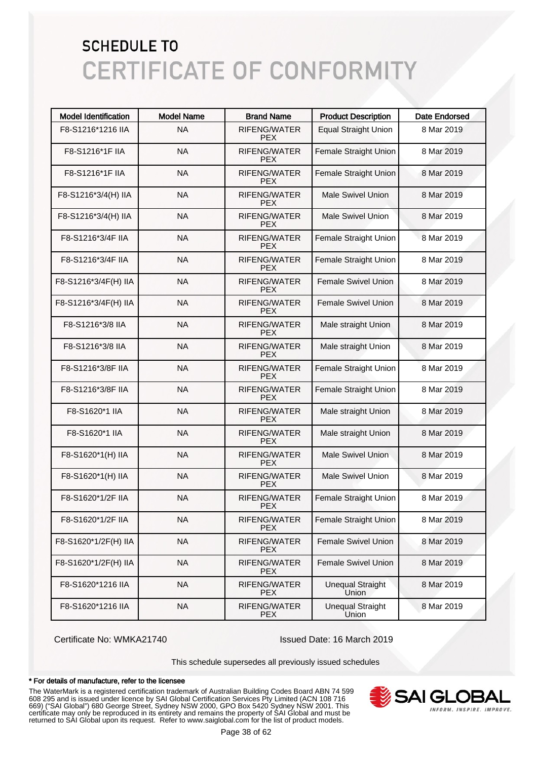| <b>Model Identification</b> | <b>Model Name</b> | <b>Brand Name</b>                 | <b>Product Description</b>       | <b>Date Endorsed</b> |
|-----------------------------|-------------------|-----------------------------------|----------------------------------|----------------------|
| F8-S1216*1216 IIA           | <b>NA</b>         | <b>RIFENG/WATER</b><br><b>PEX</b> | <b>Equal Straight Union</b>      | 8 Mar 2019           |
| F8-S1216*1F IIA             | <b>NA</b>         | RIFENG/WATER<br><b>PEX</b>        | Female Straight Union            | 8 Mar 2019           |
| F8-S1216*1F IIA             | <b>NA</b>         | <b>RIFENG/WATER</b><br><b>PEX</b> | Female Straight Union            | 8 Mar 2019           |
| F8-S1216*3/4(H) IIA         | <b>NA</b>         | <b>RIFENG/WATER</b><br><b>PEX</b> | <b>Male Swivel Union</b>         | 8 Mar 2019           |
| F8-S1216*3/4(H) IIA         | <b>NA</b>         | <b>RIFENG/WATER</b><br><b>PEX</b> | <b>Male Swivel Union</b>         | 8 Mar 2019           |
| F8-S1216*3/4F IIA           | <b>NA</b>         | <b>RIFENG/WATER</b><br><b>PEX</b> | Female Straight Union            | 8 Mar 2019           |
| F8-S1216*3/4F IIA           | <b>NA</b>         | <b>RIFENG/WATER</b><br><b>PEX</b> | Female Straight Union            | 8 Mar 2019           |
| F8-S1216*3/4F(H) IIA        | <b>NA</b>         | <b>RIFENG/WATER</b><br><b>PEX</b> | <b>Female Swivel Union</b>       | 8 Mar 2019           |
| F8-S1216*3/4F(H) IIA        | <b>NA</b>         | <b>RIFENG/WATER</b><br><b>PEX</b> | Female Swivel Union              | 8 Mar 2019           |
| F8-S1216*3/8 IIA            | <b>NA</b>         | <b>RIFENG/WATER</b><br><b>PEX</b> | Male straight Union              | 8 Mar 2019           |
| F8-S1216*3/8 IIA            | <b>NA</b>         | <b>RIFENG/WATER</b><br><b>PEX</b> | Male straight Union              | 8 Mar 2019           |
| F8-S1216*3/8F IIA           | <b>NA</b>         | <b>RIFENG/WATER</b><br><b>PEX</b> | Female Straight Union            | 8 Mar 2019           |
| F8-S1216*3/8F IIA           | <b>NA</b>         | <b>RIFENG/WATER</b><br><b>PEX</b> | Female Straight Union            | 8 Mar 2019           |
| F8-S1620*1 IIA              | <b>NA</b>         | <b>RIFENG/WATER</b><br><b>PEX</b> | Male straight Union              | 8 Mar 2019           |
| F8-S1620*1 IIA              | <b>NA</b>         | <b>RIFENG/WATER</b><br><b>PEX</b> | Male straight Union              | 8 Mar 2019           |
| F8-S1620*1(H) IIA           | <b>NA</b>         | <b>RIFENG/WATER</b><br><b>PEX</b> | <b>Male Swivel Union</b>         | 8 Mar 2019           |
| F8-S1620*1(H) IIA           | <b>NA</b>         | <b>RIFENG/WATER</b><br><b>PEX</b> | <b>Male Swivel Union</b>         | 8 Mar 2019           |
| F8-S1620*1/2F IIA           | <b>NA</b>         | RIFENG/WATER<br><b>PEX</b>        | Female Straight Union            | 8 Mar 2019           |
| F8-S1620*1/2F IIA           | <b>NA</b>         | RIFENG/WATER<br><b>PFX</b>        | Female Straight Union            | 8 Mar 2019           |
| F8-S1620*1/2F(H) IIA        | <b>NA</b>         | RIFENG/WATER<br><b>PEX</b>        | <b>Female Swivel Union</b>       | 8 Mar 2019           |
| F8-S1620*1/2F(H) IIA        | <b>NA</b>         | RIFENG/WATER<br><b>PEX</b>        | Female Swivel Union              | 8 Mar 2019           |
| F8-S1620*1216 IIA           | <b>NA</b>         | RIFENG/WATER<br><b>PEX</b>        | <b>Unequal Straight</b><br>Union | 8 Mar 2019           |
| F8-S1620*1216 IIA           | <b>NA</b>         | RIFENG/WATER<br><b>PEX</b>        | <b>Unequal Straight</b><br>Union | 8 Mar 2019           |

Certificate No: WMKA21740 Issued Date: 16 March 2019

This schedule supersedes all previously issued schedules

#### \* For details of manufacture, refer to the licensee

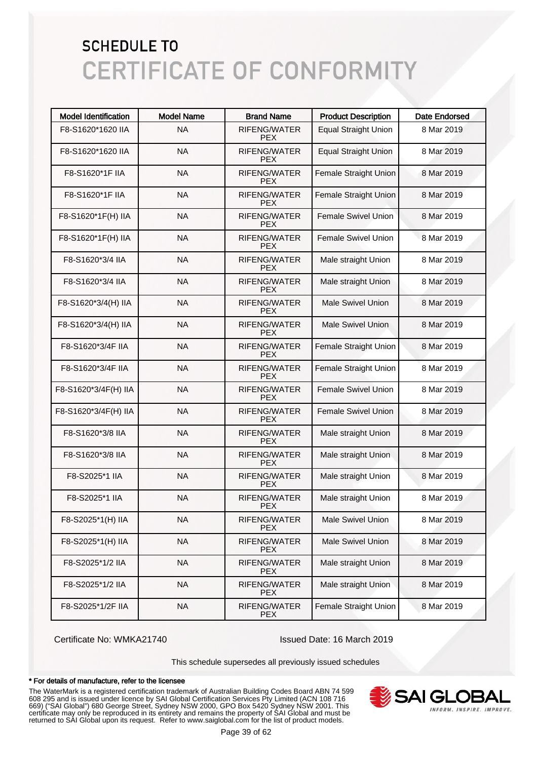| <b>Model Identification</b> | <b>Model Name</b> | <b>Brand Name</b>                 | <b>Product Description</b>  | <b>Date Endorsed</b> |
|-----------------------------|-------------------|-----------------------------------|-----------------------------|----------------------|
| F8-S1620*1620 IIA           | <b>NA</b>         | <b>RIFENG/WATER</b><br><b>PEX</b> | <b>Equal Straight Union</b> | 8 Mar 2019           |
| F8-S1620*1620 IIA           | <b>NA</b>         | <b>RIFENG/WATER</b><br><b>PFX</b> | <b>Equal Straight Union</b> | 8 Mar 2019           |
| F8-S1620*1F IIA             | <b>NA</b>         | RIFENG/WATER<br><b>PEX</b>        | Female Straight Union       | 8 Mar 2019           |
| F8-S1620*1F IIA             | <b>NA</b>         | RIFENG/WATER<br><b>PFX</b>        | Female Straight Union       | 8 Mar 2019           |
| F8-S1620*1F(H) IIA          | <b>NA</b>         | RIFENG/WATER<br><b>PEX</b>        | <b>Female Swivel Union</b>  | 8 Mar 2019           |
| F8-S1620*1F(H) IIA          | <b>NA</b>         | RIFENG/WATER<br><b>PEX</b>        | <b>Female Swivel Union</b>  | 8 Mar 2019           |
| F8-S1620*3/4 IIA            | <b>NA</b>         | RIFENG/WATER<br><b>PEX</b>        | Male straight Union         | 8 Mar 2019           |
| F8-S1620*3/4 IIA            | <b>NA</b>         | RIFENG/WATER<br><b>PEX</b>        | Male straight Union         | 8 Mar 2019           |
| F8-S1620*3/4(H) IIA         | <b>NA</b>         | RIFENG/WATER<br><b>PEX</b>        | <b>Male Swivel Union</b>    | 8 Mar 2019           |
| F8-S1620*3/4(H) IIA         | <b>NA</b>         | RIFENG/WATER<br><b>PEX</b>        | <b>Male Swivel Union</b>    | 8 Mar 2019           |
| F8-S1620*3/4F IIA           | <b>NA</b>         | RIFENG/WATER<br><b>PEX</b>        | Female Straight Union       | 8 Mar 2019           |
| F8-S1620*3/4F IIA           | <b>NA</b>         | RIFENG/WATER<br><b>PEX</b>        | Female Straight Union       | 8 Mar 2019           |
| F8-S1620*3/4F(H) IIA        | <b>NA</b>         | RIFENG/WATER<br><b>PEX</b>        | <b>Female Swivel Union</b>  | 8 Mar 2019           |
| F8-S1620*3/4F(H) IIA        | <b>NA</b>         | RIFENG/WATER<br><b>PEX</b>        | <b>Female Swivel Union</b>  | 8 Mar 2019           |
| F8-S1620*3/8 IIA            | <b>NA</b>         | RIFENG/WATER<br><b>PEX</b>        | Male straight Union         | 8 Mar 2019           |
| F8-S1620*3/8 IIA            | <b>NA</b>         | RIFENG/WATER<br><b>PEX</b>        | Male straight Union         | 8 Mar 2019           |
| F8-S2025*1 IIA              | <b>NA</b>         | RIFENG/WATER<br><b>PEX</b>        | Male straight Union         | 8 Mar 2019           |
| F8-S2025*1 IIA              | <b>NA</b>         | RIFENG/WATER<br><b>PEX</b>        | Male straight Union         | 8 Mar 2019           |
| F8-S2025*1(H) IIA           | <b>NA</b>         | RIFENG/WATER<br><b>PFX</b>        | <b>Male Swivel Union</b>    | 8 Mar 2019           |
| F8-S2025*1(H) IIA           | <b>NA</b>         | RIFENG/WATER<br><b>PEX</b>        | <b>Male Swivel Union</b>    | 8 Mar 2019           |
| F8-S2025*1/2 IIA            | <b>NA</b>         | RIFENG/WATER<br><b>PEX</b>        | Male straight Union         | 8 Mar 2019           |
| F8-S2025*1/2 IIA            | <b>NA</b>         | RIFENG/WATER<br><b>PEX</b>        | Male straight Union         | 8 Mar 2019           |
| F8-S2025*1/2F IIA           | <b>NA</b>         | RIFENG/WATER<br><b>PEX</b>        | Female Straight Union       | 8 Mar 2019           |

Certificate No: WMKA21740 Issued Date: 16 March 2019

This schedule supersedes all previously issued schedules

#### \* For details of manufacture, refer to the licensee

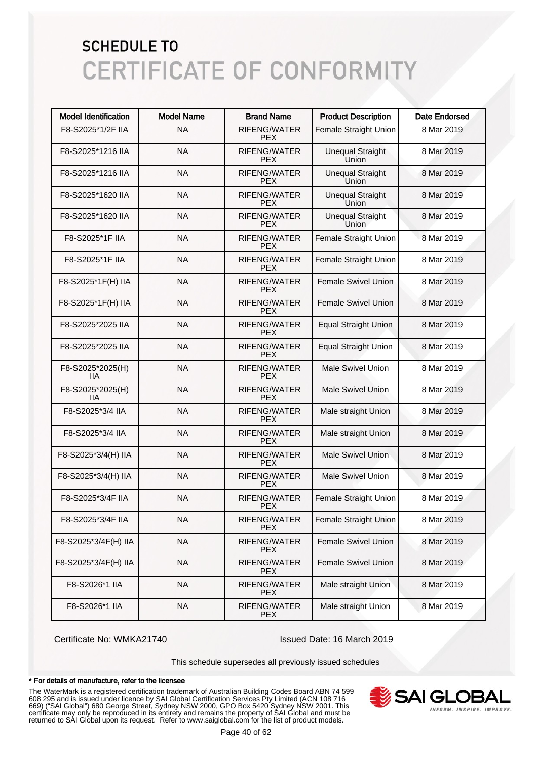| <b>Model Identification</b> | <b>Model Name</b> | <b>Brand Name</b>                 | <b>Product Description</b>       | <b>Date Endorsed</b> |
|-----------------------------|-------------------|-----------------------------------|----------------------------------|----------------------|
| F8-S2025*1/2F IIA           | <b>NA</b>         | <b>RIFENG/WATER</b><br><b>PEX</b> | Female Straight Union            | 8 Mar 2019           |
| F8-S2025*1216 IIA           | <b>NA</b>         | RIFENG/WATER<br><b>PFX</b>        | <b>Unequal Straight</b><br>Union | 8 Mar 2019           |
| F8-S2025*1216 IIA           | <b>NA</b>         | <b>RIFENG/WATER</b><br><b>PEX</b> | <b>Unequal Straight</b><br>Union | 8 Mar 2019           |
| F8-S2025*1620 IIA           | <b>NA</b>         | <b>RIFENG/WATER</b><br><b>PEX</b> | <b>Unequal Straight</b><br>Union | 8 Mar 2019           |
| F8-S2025*1620 IIA           | <b>NA</b>         | <b>RIFENG/WATER</b><br><b>PEX</b> | <b>Unequal Straight</b><br>Union | 8 Mar 2019           |
| F8-S2025*1F IIA             | <b>NA</b>         | <b>RIFENG/WATER</b><br><b>PEX</b> | Female Straight Union            | 8 Mar 2019           |
| F8-S2025*1F IIA             | <b>NA</b>         | <b>RIFENG/WATER</b><br><b>PEX</b> | Female Straight Union            | 8 Mar 2019           |
| F8-S2025*1F(H) IIA          | <b>NA</b>         | <b>RIFENG/WATER</b><br><b>PEX</b> | Female Swivel Union              | 8 Mar 2019           |
| F8-S2025*1F(H) IIA          | <b>NA</b>         | <b>RIFENG/WATER</b><br><b>PEX</b> | Female Swivel Union              | 8 Mar 2019           |
| F8-S2025*2025 IIA           | <b>NA</b>         | <b>RIFENG/WATER</b><br><b>PEX</b> | <b>Equal Straight Union</b>      | 8 Mar 2019           |
| F8-S2025*2025 IIA           | <b>NA</b>         | <b>RIFENG/WATER</b><br><b>PEX</b> | <b>Equal Straight Union</b>      | 8 Mar 2019           |
| F8-S2025*2025(H)<br>11A     | <b>NA</b>         | <b>RIFENG/WATER</b><br><b>PEX</b> | Male Swivel Union                | 8 Mar 2019           |
| F8-S2025*2025(H)<br>IIА     | <b>NA</b>         | <b>RIFENG/WATER</b><br><b>PEX</b> | <b>Male Swivel Union</b>         | 8 Mar 2019           |
| F8-S2025*3/4 IIA            | <b>NA</b>         | <b>RIFENG/WATER</b><br><b>PEX</b> | Male straight Union              | 8 Mar 2019           |
| F8-S2025*3/4 IIA            | <b>NA</b>         | <b>RIFENG/WATER</b><br><b>PEX</b> | Male straight Union              | 8 Mar 2019           |
| F8-S2025*3/4(H) IIA         | <b>NA</b>         | <b>RIFENG/WATER</b><br><b>PEX</b> | <b>Male Swivel Union</b>         | 8 Mar 2019           |
| F8-S2025*3/4(H) IIA         | <b>NA</b>         | <b>RIFENG/WATER</b><br><b>PEX</b> | <b>Male Swivel Union</b>         | 8 Mar 2019           |
| F8-S2025*3/4F IIA           | <b>NA</b>         | <b>RIFENG/WATER</b><br><b>PEX</b> | Female Straight Union            | 8 Mar 2019           |
| F8-S2025*3/4F IIA           | <b>NA</b>         | RIFENG/WATER<br><b>PFX</b>        | Female Straight Union            | 8 Mar 2019           |
| F8-S2025*3/4F(H) IIA        | <b>NA</b>         | RIFENG/WATER<br><b>PEX</b>        | <b>Female Swivel Union</b>       | 8 Mar 2019           |
| F8-S2025*3/4F(H) IIA        | <b>NA</b>         | RIFENG/WATER<br><b>PEX</b>        | <b>Female Swivel Union</b>       | 8 Mar 2019           |
| F8-S2026*1 IIA              | <b>NA</b>         | RIFENG/WATER<br><b>PEX</b>        | Male straight Union              | 8 Mar 2019           |
| F8-S2026*1 IIA              | <b>NA</b>         | RIFENG/WATER<br><b>PEX</b>        | Male straight Union              | 8 Mar 2019           |

Certificate No: WMKA21740 Issued Date: 16 March 2019

This schedule supersedes all previously issued schedules

#### \* For details of manufacture, refer to the licensee

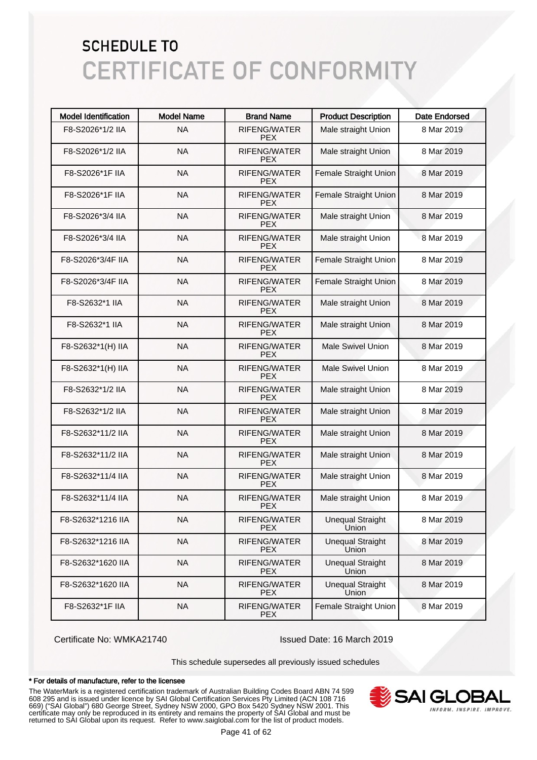| <b>Model Identification</b> | <b>Model Name</b> | <b>Brand Name</b>                 | <b>Product Description</b>       | <b>Date Endorsed</b> |
|-----------------------------|-------------------|-----------------------------------|----------------------------------|----------------------|
| F8-S2026*1/2 IIA            | <b>NA</b>         | RIFENG/WATER<br><b>PEX</b>        | Male straight Union              | 8 Mar 2019           |
| F8-S2026*1/2 IIA            | <b>NA</b>         | RIFENG/WATER<br><b>PEX</b>        | Male straight Union              | 8 Mar 2019           |
| F8-S2026*1F IIA             | <b>NA</b>         | <b>RIFENG/WATER</b><br><b>PEX</b> | Female Straight Union            | 8 Mar 2019           |
| F8-S2026*1F IIA             | <b>NA</b>         | <b>RIFENG/WATER</b><br><b>PEX</b> | Female Straight Union            | 8 Mar 2019           |
| F8-S2026*3/4 IIA            | <b>NA</b>         | <b>RIFENG/WATER</b><br><b>PEX</b> | Male straight Union              | 8 Mar 2019           |
| F8-S2026*3/4 IIA            | <b>NA</b>         | <b>RIFENG/WATER</b><br><b>PEX</b> | Male straight Union              | 8 Mar 2019           |
| F8-S2026*3/4F IIA           | <b>NA</b>         | <b>RIFENG/WATER</b><br><b>PEX</b> | Female Straight Union            | 8 Mar 2019           |
| F8-S2026*3/4F IIA           | <b>NA</b>         | <b>RIFENG/WATER</b><br><b>PEX</b> | Female Straight Union            | 8 Mar 2019           |
| F8-S2632*1 IIA              | <b>NA</b>         | <b>RIFENG/WATER</b><br><b>PEX</b> | Male straight Union              | 8 Mar 2019           |
| F8-S2632*1 IIA              | <b>NA</b>         | <b>RIFENG/WATER</b><br><b>PEX</b> | Male straight Union              | 8 Mar 2019           |
| F8-S2632*1(H) IIA           | <b>NA</b>         | <b>RIFENG/WATER</b><br><b>PEX</b> | <b>Male Swivel Union</b>         | 8 Mar 2019           |
| F8-S2632*1(H) IIA           | <b>NA</b>         | <b>RIFENG/WATER</b><br><b>PEX</b> | <b>Male Swivel Union</b>         | 8 Mar 2019           |
| F8-S2632*1/2 IIA            | <b>NA</b>         | <b>RIFENG/WATER</b><br><b>PEX</b> | Male straight Union              | 8 Mar 2019           |
| F8-S2632*1/2 IIA            | <b>NA</b>         | <b>RIFENG/WATER</b><br><b>PEX</b> | Male straight Union              | 8 Mar 2019           |
| F8-S2632*11/2 IIA           | <b>NA</b>         | <b>RIFENG/WATER</b><br><b>PEX</b> | Male straight Union              | 8 Mar 2019           |
| F8-S2632*11/2 IIA           | <b>NA</b>         | <b>RIFENG/WATER</b><br><b>PEX</b> | Male straight Union              | 8 Mar 2019           |
| F8-S2632*11/4 IIA           | <b>NA</b>         | RIFENG/WATER<br><b>PEX</b>        | Male straight Union              | 8 Mar 2019           |
| F8-S2632*11/4 IIA           | <b>NA</b>         | RIFENG/WATER<br><b>PEX</b>        | Male straight Union              | 8 Mar 2019           |
| F8-S2632*1216 IIA           | <b>NA</b>         | RIFENG/WATER<br>PEX.              | <b>Unequal Straight</b><br>Union | 8 Mar 2019           |
| F8-S2632*1216 IIA           | <b>NA</b>         | RIFENG/WATER<br><b>PEX</b>        | <b>Unequal Straight</b><br>Union | 8 Mar 2019           |
| F8-S2632*1620 IIA           | <b>NA</b>         | RIFENG/WATER<br><b>PEX</b>        | <b>Unequal Straight</b><br>Union | 8 Mar 2019           |
| F8-S2632*1620 IIA           | <b>NA</b>         | RIFENG/WATER<br><b>PEX</b>        | <b>Unequal Straight</b><br>Union | 8 Mar 2019           |
| F8-S2632*1F IIA             | <b>NA</b>         | RIFENG/WATER<br><b>PEX</b>        | Female Straight Union            | 8 Mar 2019           |

Certificate No: WMKA21740 Issued Date: 16 March 2019

This schedule supersedes all previously issued schedules

#### \* For details of manufacture, refer to the licensee

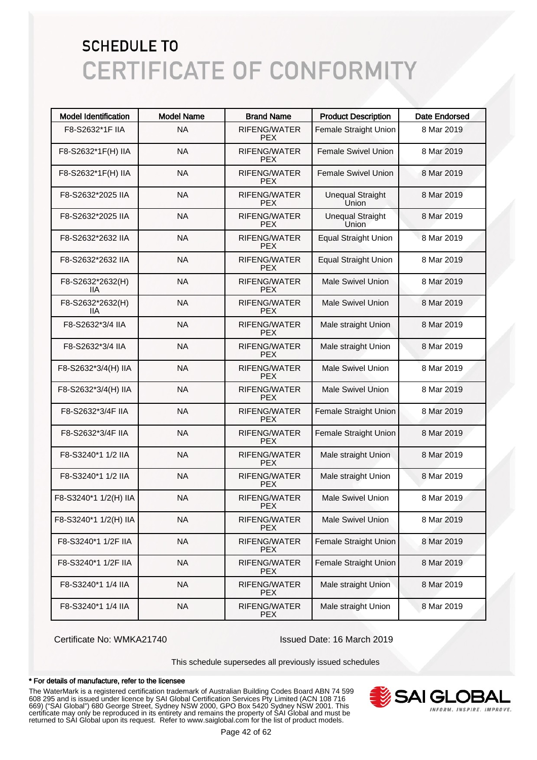| <b>Model Identification</b> | <b>Model Name</b> | <b>Brand Name</b>                 | <b>Product Description</b>       | <b>Date Endorsed</b> |
|-----------------------------|-------------------|-----------------------------------|----------------------------------|----------------------|
| F8-S2632*1F IIA             | <b>NA</b>         | RIFENG/WATER<br><b>PEX</b>        | Female Straight Union            | 8 Mar 2019           |
| F8-S2632*1F(H) IIA          | <b>NA</b>         | RIFENG/WATER<br><b>PFX</b>        | <b>Female Swivel Union</b>       | 8 Mar 2019           |
| F8-S2632*1F(H) IIA          | <b>NA</b>         | <b>RIFENG/WATER</b><br><b>PEX</b> | <b>Female Swivel Union</b>       | 8 Mar 2019           |
| F8-S2632*2025 IIA           | <b>NA</b>         | <b>RIFENG/WATER</b><br><b>PEX</b> | <b>Unequal Straight</b><br>Union | 8 Mar 2019           |
| F8-S2632*2025 IIA           | <b>NA</b>         | <b>RIFENG/WATER</b><br><b>PEX</b> | <b>Unequal Straight</b><br>Union | 8 Mar 2019           |
| F8-S2632*2632 IIA           | <b>NA</b>         | <b>RIFENG/WATER</b><br><b>PEX</b> | <b>Equal Straight Union</b>      | 8 Mar 2019           |
| F8-S2632*2632 IIA           | <b>NA</b>         | <b>RIFENG/WATER</b><br><b>PEX</b> | <b>Equal Straight Union</b>      | 8 Mar 2019           |
| F8-S2632*2632(H)<br>IIА     | <b>NA</b>         | RIFENG/WATER<br><b>PEX</b>        | <b>Male Swivel Union</b>         | 8 Mar 2019           |
| F8-S2632*2632(H)<br>IIА     | <b>NA</b>         | <b>RIFENG/WATER</b><br><b>PEX</b> | <b>Male Swivel Union</b>         | 8 Mar 2019           |
| F8-S2632*3/4 IIA            | <b>NA</b>         | <b>RIFENG/WATER</b><br><b>PEX</b> | Male straight Union              | 8 Mar 2019           |
| F8-S2632*3/4 IIA            | <b>NA</b>         | <b>RIFENG/WATER</b><br><b>PEX</b> | Male straight Union              | 8 Mar 2019           |
| F8-S2632*3/4(H) IIA         | <b>NA</b>         | <b>RIFENG/WATER</b><br><b>PEX</b> | <b>Male Swivel Union</b>         | 8 Mar 2019           |
| F8-S2632*3/4(H) IIA         | <b>NA</b>         | <b>RIFENG/WATER</b><br><b>PEX</b> | <b>Male Swivel Union</b>         | 8 Mar 2019           |
| F8-S2632*3/4F IIA           | <b>NA</b>         | <b>RIFENG/WATER</b><br><b>PEX</b> | Female Straight Union            | 8 Mar 2019           |
| F8-S2632*3/4F IIA           | <b>NA</b>         | <b>RIFENG/WATER</b><br><b>PEX</b> | Female Straight Union            | 8 Mar 2019           |
| F8-S3240*1 1/2 IIA          | <b>NA</b>         | <b>RIFENG/WATER</b><br><b>PEX</b> | Male straight Union              | 8 Mar 2019           |
| F8-S3240*1 1/2 IIA          | <b>NA</b>         | <b>RIFENG/WATER</b><br><b>PEX</b> | Male straight Union              | 8 Mar 2019           |
| F8-S3240*1 1/2(H) IIA       | <b>NA</b>         | RIFENG/WATER<br><b>PEX</b>        | <b>Male Swivel Union</b>         | 8 Mar 2019           |
| F8-S3240*1 1/2(H) IIA       | <b>NA</b>         | RIFENG/WATER<br><b>PFX</b>        | <b>Male Swivel Union</b>         | 8 Mar 2019           |
| F8-S3240*1 1/2F IIA         | <b>NA</b>         | RIFENG/WATER<br><b>PEX</b>        | Female Straight Union            | 8 Mar 2019           |
| F8-S3240*1 1/2F IIA         | <b>NA</b>         | RIFENG/WATER<br><b>PEX</b>        | Female Straight Union            | 8 Mar 2019           |
| F8-S3240*1 1/4 IIA          | <b>NA</b>         | RIFENG/WATER<br><b>PEX</b>        | Male straight Union              | 8 Mar 2019           |
| F8-S3240*1 1/4 IIA          | <b>NA</b>         | RIFENG/WATER<br><b>PEX</b>        | Male straight Union              | 8 Mar 2019           |

Certificate No: WMKA21740 Issued Date: 16 March 2019

This schedule supersedes all previously issued schedules

#### \* For details of manufacture, refer to the licensee

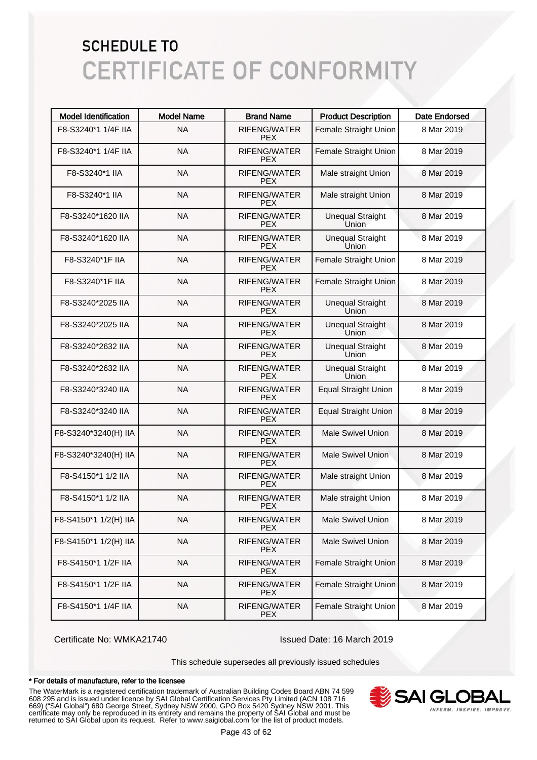| <b>Model Identification</b> | <b>Model Name</b> | <b>Brand Name</b>                 | <b>Product Description</b>       | <b>Date Endorsed</b> |
|-----------------------------|-------------------|-----------------------------------|----------------------------------|----------------------|
| F8-S3240*1 1/4F IIA         | <b>NA</b>         | RIFENG/WATER<br><b>PFX</b>        | Female Straight Union            | 8 Mar 2019           |
| F8-S3240*1 1/4F IIA         | <b>NA</b>         | RIFENG/WATER<br>PEX.              | Female Straight Union            | 8 Mar 2019           |
| F8-S3240*1 IIA              | <b>NA</b>         | <b>RIFENG/WATER</b><br>PEX.       | Male straight Union              | 8 Mar 2019           |
| F8-S3240*1 IIA              | <b>NA</b>         | <b>RIFENG/WATER</b><br><b>PFX</b> | Male straight Union              | 8 Mar 2019           |
| F8-S3240*1620 IIA           | <b>NA</b>         | <b>RIFENG/WATER</b><br><b>PFX</b> | <b>Unequal Straight</b><br>Union | 8 Mar 2019           |
| F8-S3240*1620 IIA           | <b>NA</b>         | RIFENG/WATER<br>PEX.              | <b>Unequal Straight</b><br>Union | 8 Mar 2019           |
| F8-S3240*1F IIA             | <b>NA</b>         | RIFENG/WATER<br>PEX.              | Female Straight Union            | 8 Mar 2019           |
| F8-S3240*1F IIA             | <b>NA</b>         | RIFENG/WATER<br><b>PFX</b>        | Female Straight Union            | 8 Mar 2019           |
| F8-S3240*2025 IIA           | <b>NA</b>         | <b>RIFENG/WATER</b><br><b>PFX</b> | <b>Unequal Straight</b><br>Union | 8 Mar 2019           |
| F8-S3240*2025 IIA           | <b>NA</b>         | <b>RIFENG/WATER</b><br><b>PFX</b> | <b>Unequal Straight</b><br>Union | 8 Mar 2019           |
| F8-S3240*2632 IIA           | <b>NA</b>         | <b>RIFENG/WATER</b><br>PEX.       | <b>Unequal Straight</b><br>Union | 8 Mar 2019           |
| F8-S3240*2632 IIA           | <b>NA</b>         | RIFENG/WATER<br>PEX.              | <b>Unequal Straight</b><br>Union | 8 Mar 2019           |
| F8-S3240*3240 IIA           | <b>NA</b>         | <b>RIFENG/WATER</b><br>PEX.       | <b>Equal Straight Union</b>      | 8 Mar 2019           |
| F8-S3240*3240 IIA           | <b>NA</b>         | <b>RIFENG/WATER</b><br>PEX.       | <b>Equal Straight Union</b>      | 8 Mar 2019           |
| F8-S3240*3240(H) IIA        | <b>NA</b>         | <b>RIFENG/WATER</b><br>PEX.       | <b>Male Swivel Union</b>         | 8 Mar 2019           |
| F8-S3240*3240(H) IIA        | <b>NA</b>         | <b>RIFENG/WATER</b><br><b>PEX</b> | <b>Male Swivel Union</b>         | 8 Mar 2019           |
| F8-S4150*1 1/2 IIA          | <b>NA</b>         | RIFENG/WATER<br><b>PEX</b>        | Male straight Union              | 8 Mar 2019           |
| F8-S4150*1 1/2 IIA          | <b>NA</b>         | <b>RIFENG/WATER</b><br><b>PEX</b> | Male straight Union              | 8 Mar 2019           |
| F8-S4150*1 1/2(H) IIA       | <b>NA</b>         | RIFENG/WATER<br><b>PEX</b>        | <b>Male Swivel Union</b>         | 8 Mar 2019           |
| F8-S4150*1 1/2(H) IIA       | <b>NA</b>         | RIFENG/WATER<br><b>PEX</b>        | <b>Male Swivel Union</b>         | 8 Mar 2019           |
| F8-S4150*1 1/2F IIA         | <b>NA</b>         | RIFENG/WATER<br><b>PEX</b>        | Female Straight Union            | 8 Mar 2019           |
| F8-S4150*1 1/2F IIA         | <b>NA</b>         | RIFENG/WATER<br><b>PEX</b>        | Female Straight Union            | 8 Mar 2019           |
| F8-S4150*1 1/4F IIA         | <b>NA</b>         | RIFENG/WATER<br><b>PEX</b>        | Female Straight Union            | 8 Mar 2019           |

Certificate No: WMKA21740 Issued Date: 16 March 2019

This schedule supersedes all previously issued schedules

#### \* For details of manufacture, refer to the licensee

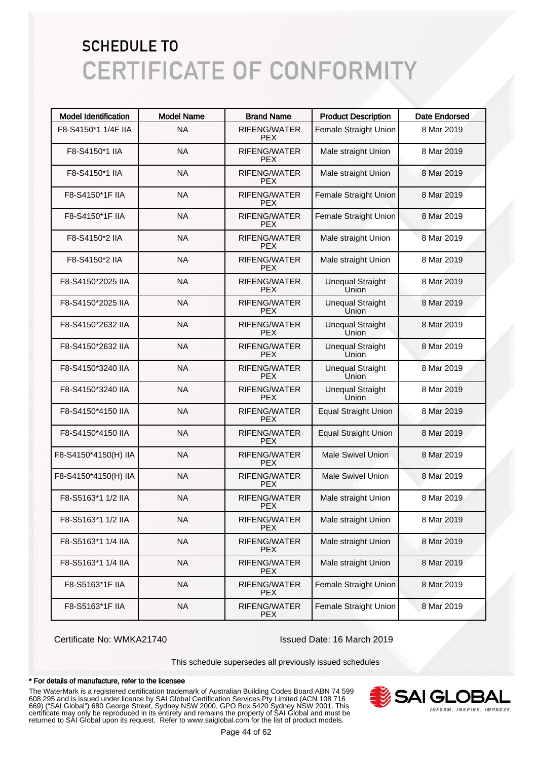| <b>Model Identification</b> | <b>Model Name</b> | <b>Brand Name</b>                 | <b>Product Description</b>       | <b>Date Endorsed</b> |
|-----------------------------|-------------------|-----------------------------------|----------------------------------|----------------------|
| F8-S4150*1 1/4F IIA         | <b>NA</b>         | RIFENG/WATER<br><b>PEX</b>        | Female Straight Union            | 8 Mar 2019           |
| F8-S4150*1 IIA              | <b>NA</b>         | <b>RIFENG/WATER</b><br><b>PEX</b> | Male straight Union              | 8 Mar 2019           |
| F8-S4150*1 IIA              | <b>NA</b>         | <b>RIFENG/WATER</b><br><b>PEX</b> | Male straight Union              | 8 Mar 2019           |
| F8-S4150*1F IIA             | <b>NA</b>         | <b>RIFENG/WATER</b><br><b>PEX</b> | Female Straight Union            | 8 Mar 2019           |
| F8-S4150*1F IIA             | <b>NA</b>         | <b>RIFENG/WATER</b><br><b>PEX</b> | Female Straight Union            | 8 Mar 2019           |
| F8-S4150*2 IIA              | <b>NA</b>         | <b>RIFENG/WATER</b><br><b>PEX</b> | Male straight Union              | 8 Mar 2019           |
| F8-S4150*2 IIA              | <b>NA</b>         | <b>RIFENG/WATER</b><br><b>PEX</b> | Male straight Union              | 8 Mar 2019           |
| F8-S4150*2025 IIA           | <b>NA</b>         | <b>RIFENG/WATER</b><br><b>PEX</b> | <b>Unequal Straight</b><br>Union | 8 Mar 2019           |
| F8-S4150*2025 IIA           | <b>NA</b>         | <b>RIFENG/WATER</b><br><b>PEX</b> | <b>Unequal Straight</b><br>Union | 8 Mar 2019           |
| F8-S4150*2632 IIA           | <b>NA</b>         | <b>RIFENG/WATER</b><br><b>PEX</b> | <b>Unequal Straight</b><br>Union | 8 Mar 2019           |
| F8-S4150*2632 IIA           | <b>NA</b>         | <b>RIFENG/WATER</b><br><b>PEX</b> | <b>Unequal Straight</b><br>Union | 8 Mar 2019           |
| F8-S4150*3240 IIA           | <b>NA</b>         | <b>RIFENG/WATER</b><br><b>PEX</b> | <b>Unequal Straight</b><br>Union | 8 Mar 2019           |
| F8-S4150*3240 IIA           | <b>NA</b>         | <b>RIFENG/WATER</b><br><b>PEX</b> | <b>Unequal Straight</b><br>Union | 8 Mar 2019           |
| F8-S4150*4150 IIA           | <b>NA</b>         | <b>RIFENG/WATER</b><br><b>PEX</b> | <b>Equal Straight Union</b>      | 8 Mar 2019           |
| F8-S4150*4150 IIA           | <b>NA</b>         | <b>RIFENG/WATER</b><br><b>PEX</b> | <b>Equal Straight Union</b>      | 8 Mar 2019           |
| F8-S4150*4150(H) IIA        | <b>NA</b>         | <b>RIFENG/WATER</b><br><b>PEX</b> | <b>Male Swivel Union</b>         | 8 Mar 2019           |
| F8-S4150*4150(H) IIA        | <b>NA</b>         | <b>RIFENG/WATER</b><br><b>PEX</b> | <b>Male Swivel Union</b>         | 8 Mar 2019           |
| F8-S5163*1 1/2 IIA          | <b>NA</b>         | <b>RIFENG/WATER</b><br><b>PEX</b> | Male straight Union              | 8 Mar 2019           |
| F8-S5163*1 1/2 IIA          | <b>NA</b>         | RIFENG/WATER<br>PEX.              | Male straight Union              | 8 Mar 2019           |
| F8-S5163*1 1/4 IIA          | <b>NA</b>         | RIFENG/WATER<br><b>PEX</b>        | Male straight Union              | 8 Mar 2019           |
| F8-S5163*1 1/4 IIA          | <b>NA</b>         | RIFENG/WATER<br><b>PEX</b>        | Male straight Union              | 8 Mar 2019           |
| F8-S5163*1F IIA             | <b>NA</b>         | RIFENG/WATER<br><b>PEX</b>        | Female Straight Union            | 8 Mar 2019           |
| F8-S5163*1F IIA             | <b>NA</b>         | RIFENG/WATER<br><b>PEX</b>        | Female Straight Union            | 8 Mar 2019           |

Certificate No: WMKA21740 Issued Date: 16 March 2019

This schedule supersedes all previously issued schedules

#### \* For details of manufacture, refer to the licensee

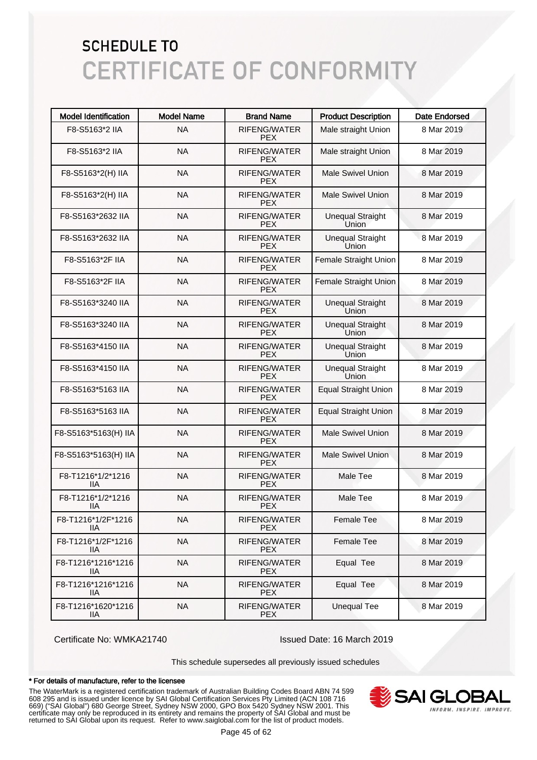| <b>Model Identification</b> | <b>Model Name</b> | <b>Brand Name</b>                 | <b>Product Description</b>       | <b>Date Endorsed</b> |
|-----------------------------|-------------------|-----------------------------------|----------------------------------|----------------------|
| F8-S5163*2 IIA              | <b>NA</b>         | <b>RIFENG/WATER</b><br><b>PEX</b> | Male straight Union              | 8 Mar 2019           |
| F8-S5163*2 IIA              | <b>NA</b>         | <b>RIFENG/WATER</b><br><b>PFX</b> | Male straight Union              | 8 Mar 2019           |
| F8-S5163*2(H) IIA           | <b>NA</b>         | <b>RIFENG/WATER</b><br><b>PEX</b> | <b>Male Swivel Union</b>         | 8 Mar 2019           |
| F8-S5163*2(H) IIA           | <b>NA</b>         | <b>RIFENG/WATER</b><br><b>PEX</b> | <b>Male Swivel Union</b>         | 8 Mar 2019           |
| F8-S5163*2632 IIA           | <b>NA</b>         | <b>RIFENG/WATER</b><br><b>PEX</b> | <b>Unequal Straight</b><br>Union | 8 Mar 2019           |
| F8-S5163*2632 IIA           | <b>NA</b>         | <b>RIFENG/WATER</b><br><b>PEX</b> | <b>Unequal Straight</b><br>Union | 8 Mar 2019           |
| F8-S5163*2F IIA             | <b>NA</b>         | <b>RIFENG/WATER</b><br><b>PEX</b> | Female Straight Union            | 8 Mar 2019           |
| F8-S5163*2F IIA             | <b>NA</b>         | <b>RIFENG/WATER</b><br><b>PEX</b> | Female Straight Union            | 8 Mar 2019           |
| F8-S5163*3240 IIA           | <b>NA</b>         | <b>RIFENG/WATER</b><br><b>PEX</b> | <b>Unequal Straight</b><br>Union | 8 Mar 2019           |
| F8-S5163*3240 IIA           | <b>NA</b>         | <b>RIFENG/WATER</b><br><b>PEX</b> | <b>Unequal Straight</b><br>Union | 8 Mar 2019           |
| F8-S5163*4150 IIA           | <b>NA</b>         | <b>RIFENG/WATER</b><br><b>PEX</b> | <b>Unequal Straight</b><br>Union | 8 Mar 2019           |
| F8-S5163*4150 IIA           | <b>NA</b>         | <b>RIFENG/WATER</b><br><b>PEX</b> | <b>Unequal Straight</b><br>Union | 8 Mar 2019           |
| F8-S5163*5163 IIA           | <b>NA</b>         | <b>RIFENG/WATER</b><br><b>PEX</b> | <b>Equal Straight Union</b>      | 8 Mar 2019           |
| F8-S5163*5163 IIA           | <b>NA</b>         | <b>RIFENG/WATER</b><br><b>PEX</b> | <b>Equal Straight Union</b>      | 8 Mar 2019           |
| F8-S5163*5163(H) IIA        | <b>NA</b>         | <b>RIFENG/WATER</b><br><b>PEX</b> | <b>Male Swivel Union</b>         | 8 Mar 2019           |
| F8-S5163*5163(H) IIA        | <b>NA</b>         | <b>RIFENG/WATER</b><br><b>PEX</b> | Male Swivel Union                | 8 Mar 2019           |
| F8-T1216*1/2*1216<br>IIА    | <b>NA</b>         | <b>RIFENG/WATER</b><br><b>PEX</b> | Male Tee                         | 8 Mar 2019           |
| F8-T1216*1/2*1216<br>ШA     | <b>NA</b>         | <b>RIFENG/WATER</b><br><b>PEX</b> | Male Tee                         | 8 Mar 2019           |
| F8-T1216*1/2F*1216<br>IIA   | <b>NA</b>         | RIFENG/WATER<br><b>PEX</b>        | Female Tee                       | 8 Mar 2019           |
| F8-T1216*1/2F*1216<br>11A   | <b>NA</b>         | <b>RIFENG/WATER</b><br><b>PEX</b> | Female Tee                       | 8 Mar 2019           |
| F8-T1216*1216*1216<br>llА   | <b>NA</b>         | RIFENG/WATER<br><b>PEX</b>        | Equal Tee                        | 8 Mar 2019           |
| F8-T1216*1216*1216<br>llА   | <b>NA</b>         | RIFENG/WATER<br><b>PEX</b>        | Equal Tee                        | 8 Mar 2019           |
| F8-T1216*1620*1216<br>11A   | <b>NA</b>         | RIFENG/WATER<br><b>PEX</b>        | <b>Unequal Tee</b>               | 8 Mar 2019           |

Certificate No: WMKA21740 Issued Date: 16 March 2019

This schedule supersedes all previously issued schedules

#### \* For details of manufacture, refer to the licensee

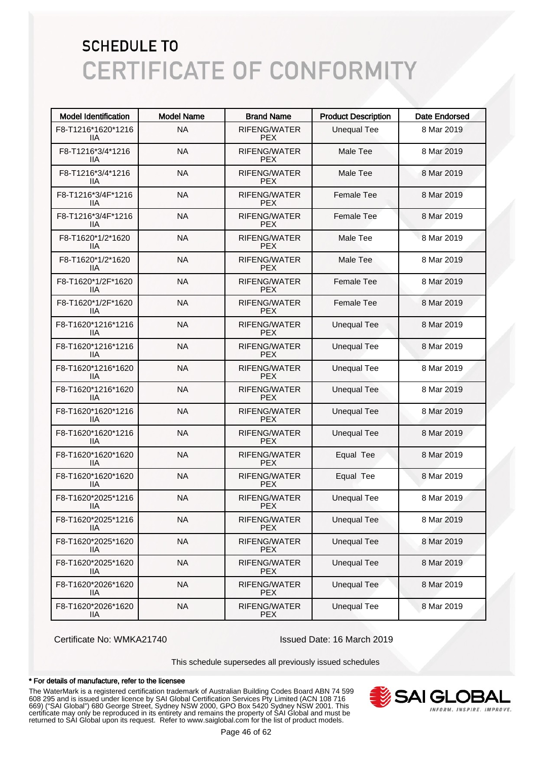| <b>Model Identification</b>      | <b>Model Name</b> | <b>Brand Name</b>                 | <b>Product Description</b> | <b>Date Endorsed</b> |
|----------------------------------|-------------------|-----------------------------------|----------------------------|----------------------|
| F8-T1216*1620*1216<br>ШA         | <b>NA</b>         | RIFENG/WATER<br><b>PEX</b>        | <b>Unequal Tee</b>         | 8 Mar 2019           |
| F8-T1216*3/4*1216<br>ШA          | <b>NA</b>         | RIFENG/WATER<br><b>PEX</b>        | Male Tee                   | 8 Mar 2019           |
| F8-T1216*3/4*1216<br>11A         | <b>NA</b>         | RIFENG/WATER<br><b>PEX</b>        | Male Tee                   | 8 Mar 2019           |
| F8-T1216*3/4F*1216<br>ШA         | <b>NA</b>         | RIFENG/WATER<br><b>PEX</b>        | <b>Female Tee</b>          | 8 Mar 2019           |
| F8-T1216*3/4F*1216<br>ШA         | <b>NA</b>         | <b>RIFENG/WATER</b><br><b>PEX</b> | <b>Female Tee</b>          | 8 Mar 2019           |
| F8-T1620*1/2*1620<br>ШA          | <b>NA</b>         | RIFENG/WATER<br><b>PEX</b>        | Male Tee                   | 8 Mar 2019           |
| F8-T1620*1/2*1620<br>ШA          | <b>NA</b>         | RIFENG/WATER<br><b>PEX</b>        | Male Tee                   | 8 Mar 2019           |
| F8-T1620*1/2F*1620<br>ШA         | <b>NA</b>         | RIFENG/WATER<br><b>PEX</b>        | <b>Female Tee</b>          | 8 Mar 2019           |
| F8-T1620*1/2F*1620<br>ШA         | <b>NA</b>         | RIFENG/WATER<br><b>PEX</b>        | <b>Female Tee</b>          | 8 Mar 2019           |
| F8-T1620*1216*1216<br>ШA         | <b>NA</b>         | RIFENG/WATER<br><b>PEX</b>        | <b>Unequal Tee</b>         | 8 Mar 2019           |
| F8-T1620*1216*1216<br>ШA         | <b>NA</b>         | <b>RIFENG/WATER</b><br><b>PEX</b> | <b>Unequal Tee</b>         | 8 Mar 2019           |
| F8-T1620*1216*1620<br>ШA         | <b>NA</b>         | RIFENG/WATER<br><b>PEX</b>        | <b>Unequal Tee</b>         | 8 Mar 2019           |
| F8-T1620*1216*1620<br>ШA         | <b>NA</b>         | RIFENG/WATER<br><b>PEX</b>        | <b>Unequal Tee</b>         | 8 Mar 2019           |
| F8-T1620*1620*1216<br>ШA         | <b>NA</b>         | RIFENG/WATER<br><b>PEX</b>        | <b>Unequal Tee</b>         | 8 Mar 2019           |
| F8-T1620*1620*1216<br>ШA         | <b>NA</b>         | RIFENG/WATER<br><b>PEX</b>        | <b>Unequal Tee</b>         | 8 Mar 2019           |
| F8-T1620*1620*1620<br>ШA         | <b>NA</b>         | RIFENG/WATER<br><b>PEX</b>        | Equal Tee                  | 8 Mar 2019           |
| F8-T1620*1620*1620<br>IIA        | <b>NA</b>         | RIFENG/WATER<br><b>PEX</b>        | Equal Tee                  | 8 Mar 2019           |
| F8-T1620*2025*1216<br>ШA         | <b>NA</b>         | RIFENG/WATER<br><b>PEX</b>        | <b>Unequal Tee</b>         | 8 Mar 2019           |
| F8-T1620*2025*1216<br>IIA        | <b>NA</b>         | RIFENG/WATER<br><b>PEX</b>        | <b>Unequal Tee</b>         | 8 Mar 2019           |
| F8-T1620*2025*1620<br>IIА        | <b>NA</b>         | RIFENG/WATER<br><b>PEX</b>        | <b>Unequal Tee</b>         | 8 Mar 2019           |
| F8-T1620*2025*1620<br><b>IIA</b> | <b>NA</b>         | RIFENG/WATER<br><b>PEX</b>        | <b>Unequal Tee</b>         | 8 Mar 2019           |
| F8-T1620*2026*1620<br><b>IIA</b> | <b>NA</b>         | RIFENG/WATER<br><b>PEX</b>        | <b>Unequal Tee</b>         | 8 Mar 2019           |
| F8-T1620*2026*1620<br>IIA        | <b>NA</b>         | RIFENG/WATER<br><b>PEX</b>        | <b>Unequal Tee</b>         | 8 Mar 2019           |

Certificate No: WMKA21740 Issued Date: 16 March 2019

This schedule supersedes all previously issued schedules

#### \* For details of manufacture, refer to the licensee

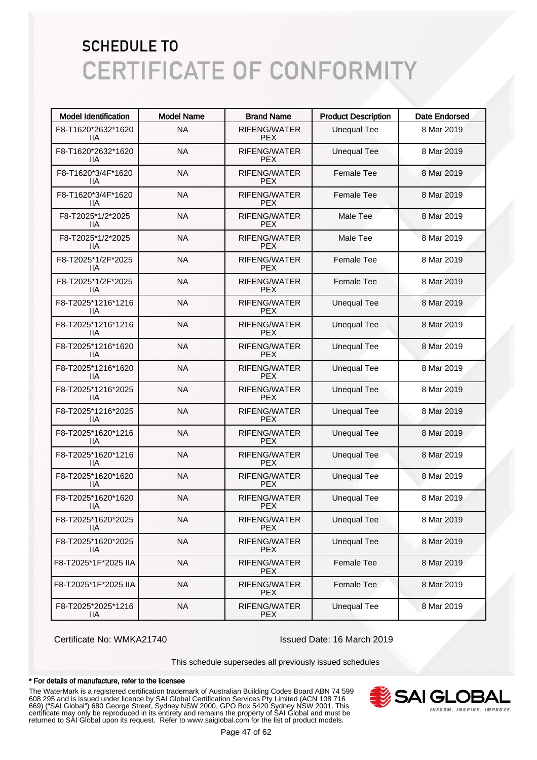| <b>Model Identification</b> | <b>Model Name</b> | <b>Brand Name</b>                 | <b>Product Description</b> | <b>Date Endorsed</b> |
|-----------------------------|-------------------|-----------------------------------|----------------------------|----------------------|
| F8-T1620*2632*1620<br>ШA    | <b>NA</b>         | RIFENG/WATER<br><b>PEX</b>        | <b>Unequal Tee</b>         | 8 Mar 2019           |
| F8-T1620*2632*1620<br>ШA    | <b>NA</b>         | RIFENG/WATER<br><b>PEX</b>        | <b>Unequal Tee</b>         | 8 Mar 2019           |
| F8-T1620*3/4F*1620<br>ШA    | <b>NA</b>         | RIFENG/WATER<br><b>PEX</b>        | <b>Female Tee</b>          | 8 Mar 2019           |
| F8-T1620*3/4F*1620<br>ШA    | <b>NA</b>         | RIFENG/WATER<br><b>PEX</b>        | <b>Female Tee</b>          | 8 Mar 2019           |
| F8-T2025*1/2*2025<br>ШA     | <b>NA</b>         | RIFENG/WATER<br><b>PEX</b>        | Male Tee                   | 8 Mar 2019           |
| F8-T2025*1/2*2025<br>ШA     | <b>NA</b>         | RIFENG/WATER<br><b>PEX</b>        | Male Tee                   | 8 Mar 2019           |
| F8-T2025*1/2F*2025<br>ШA    | <b>NA</b>         | RIFENG/WATER<br><b>PEX</b>        | <b>Female Tee</b>          | 8 Mar 2019           |
| F8-T2025*1/2F*2025<br>ШA    | <b>NA</b>         | RIFENG/WATER<br><b>PEX</b>        | <b>Female Tee</b>          | 8 Mar 2019           |
| F8-T2025*1216*1216<br>ШA    | <b>NA</b>         | <b>RIFENG/WATER</b><br><b>PEX</b> | <b>Unequal Tee</b>         | 8 Mar 2019           |
| F8-T2025*1216*1216<br>ШA    | <b>NA</b>         | RIFENG/WATER<br><b>PEX</b>        | <b>Unequal Tee</b>         | 8 Mar 2019           |
| F8-T2025*1216*1620<br>ШA    | <b>NA</b>         | <b>RIFENG/WATER</b><br><b>PEX</b> | <b>Unequal Tee</b>         | 8 Mar 2019           |
| F8-T2025*1216*1620<br>ШA    | <b>NA</b>         | RIFENG/WATER<br><b>PEX</b>        | <b>Unequal Tee</b>         | 8 Mar 2019           |
| F8-T2025*1216*2025<br>ШA    | <b>NA</b>         | <b>RIFENG/WATER</b><br><b>PEX</b> | <b>Unequal Tee</b>         | 8 Mar 2019           |
| F8-T2025*1216*2025<br>ШA    | <b>NA</b>         | RIFENG/WATER<br><b>PEX</b>        | <b>Unequal Tee</b>         | 8 Mar 2019           |
| F8-T2025*1620*1216<br>ШA    | <b>NA</b>         | RIFENG/WATER<br><b>PEX</b>        | <b>Unequal Tee</b>         | 8 Mar 2019           |
| F8-T2025*1620*1216<br>ШA    | <b>NA</b>         | RIFENG/WATER<br><b>PEX</b>        | <b>Unequal Tee</b>         | 8 Mar 2019           |
| F8-T2025*1620*1620<br>ШA    | <b>NA</b>         | RIFENG/WATER<br><b>PEX</b>        | <b>Unequal Tee</b>         | 8 Mar 2019           |
| F8-T2025*1620*1620<br>ШA    | <b>NA</b>         | RIFENG/WATER<br><b>PEX</b>        | <b>Unequal Tee</b>         | 8 Mar 2019           |
| F8-T2025*1620*2025<br>IIА   | <b>NA</b>         | RIFENG/WATER<br><b>PEX</b>        | <b>Unequal Tee</b>         | 8 Mar 2019           |
| F8-T2025*1620*2025<br>IIА   | <b>NA</b>         | RIFENG/WATER<br><b>PEX</b>        | <b>Unequal Tee</b>         | 8 Mar 2019           |
| F8-T2025*1F*2025 IIA        | <b>NA</b>         | RIFENG/WATER<br><b>PEX</b>        | Female Tee                 | 8 Mar 2019           |
| F8-T2025*1F*2025 IIA        | <b>NA</b>         | RIFENG/WATER<br><b>PEX</b>        | Female Tee                 | 8 Mar 2019           |
| F8-T2025*2025*1216<br>IIА   | <b>NA</b>         | RIFENG/WATER<br><b>PEX</b>        | <b>Unequal Tee</b>         | 8 Mar 2019           |

Certificate No: WMKA21740 Issued Date: 16 March 2019

This schedule supersedes all previously issued schedules

#### \* For details of manufacture, refer to the licensee

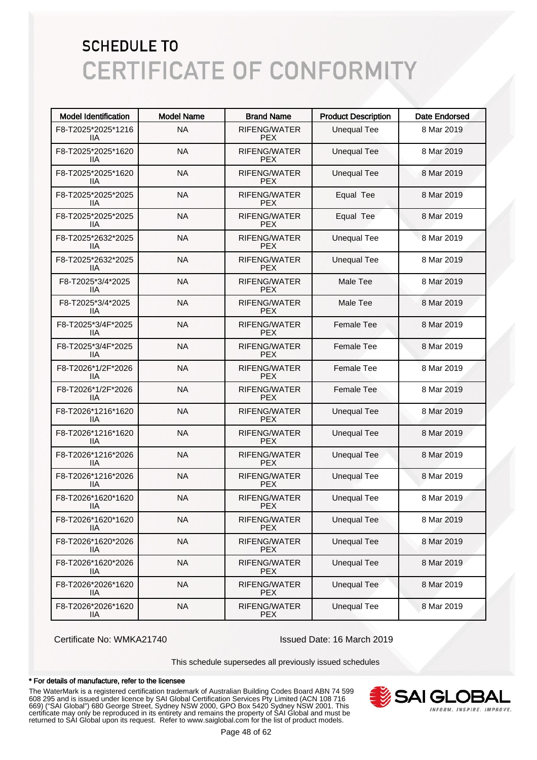| <b>Model Identification</b> | <b>Model Name</b> | <b>Brand Name</b>                 | <b>Product Description</b> | <b>Date Endorsed</b> |
|-----------------------------|-------------------|-----------------------------------|----------------------------|----------------------|
| F8-T2025*2025*1216<br>ШA    | <b>NA</b>         | RIFENG/WATER<br><b>PEX</b>        | <b>Unequal Tee</b>         | 8 Mar 2019           |
| F8-T2025*2025*1620<br>ШA    | <b>NA</b>         | RIFENG/WATER<br><b>PEX</b>        | <b>Unequal Tee</b>         | 8 Mar 2019           |
| F8-T2025*2025*1620<br>ШA    | <b>NA</b>         | RIFENG/WATER<br><b>PEX</b>        | <b>Unequal Tee</b>         | 8 Mar 2019           |
| F8-T2025*2025*2025<br>ШA    | <b>NA</b>         | RIFENG/WATER<br><b>PEX</b>        | Equal Tee                  | 8 Mar 2019           |
| F8-T2025*2025*2025<br>ШA    | <b>NA</b>         | <b>RIFENG/WATER</b><br><b>PEX</b> | Equal Tee                  | 8 Mar 2019           |
| F8-T2025*2632*2025<br>ШA    | <b>NA</b>         | <b>RIFENG/WATER</b><br><b>PEX</b> | <b>Unequal Tee</b>         | 8 Mar 2019           |
| F8-T2025*2632*2025<br>ШA    | <b>NA</b>         | RIFENG/WATER<br><b>PEX</b>        | <b>Unequal Tee</b>         | 8 Mar 2019           |
| F8-T2025*3/4*2025<br>ШA     | <b>NA</b>         | RIFENG/WATER<br><b>PEX</b>        | Male Tee                   | 8 Mar 2019           |
| F8-T2025*3/4*2025<br>ШA     | <b>NA</b>         | <b>RIFENG/WATER</b><br><b>PEX</b> | Male Tee                   | 8 Mar 2019           |
| F8-T2025*3/4F*2025<br>ШA    | <b>NA</b>         | RIFENG/WATER<br><b>PEX</b>        | Female Tee                 | 8 Mar 2019           |
| F8-T2025*3/4F*2025<br>ШA    | <b>NA</b>         | RIFENG/WATER<br><b>PEX</b>        | <b>Female Tee</b>          | 8 Mar 2019           |
| F8-T2026*1/2F*2026<br>ШA    | <b>NA</b>         | RIFENG/WATER<br><b>PEX</b>        | <b>Female Tee</b>          | 8 Mar 2019           |
| F8-T2026*1/2F*2026<br>ШA    | <b>NA</b>         | RIFENG/WATER<br><b>PEX</b>        | <b>Female Tee</b>          | 8 Mar 2019           |
| F8-T2026*1216*1620<br>ШA    | <b>NA</b>         | RIFENG/WATER<br><b>PEX</b>        | <b>Unequal Tee</b>         | 8 Mar 2019           |
| F8-T2026*1216*1620<br>ШA    | <b>NA</b>         | RIFENG/WATER<br><b>PEX</b>        | <b>Unequal Tee</b>         | 8 Mar 2019           |
| F8-T2026*1216*2026<br>ШA    | <b>NA</b>         | RIFENG/WATER<br><b>PEX</b>        | <b>Unequal Tee</b>         | 8 Mar 2019           |
| F8-T2026*1216*2026<br>ШA    | <b>NA</b>         | RIFENG/WATER<br><b>PEX</b>        | <b>Unequal Tee</b>         | 8 Mar 2019           |
| F8-T2026*1620*1620<br>ШA    | <b>NA</b>         | RIFENG/WATER<br><b>PEX</b>        | <b>Unequal Tee</b>         | 8 Mar 2019           |
| F8-T2026*1620*1620<br>IIА   | <b>NA</b>         | RIFENG/WATER<br><b>PEX</b>        | <b>Unequal Tee</b>         | 8 Mar 2019           |
| F8-T2026*1620*2026<br>IIА   | <b>NA</b>         | RIFENG/WATER<br><b>PEX</b>        | <b>Unequal Tee</b>         | 8 Mar 2019           |
| F8-T2026*1620*2026<br>IIА   | <b>NA</b>         | RIFENG/WATER<br><b>PEX</b>        | <b>Unequal Tee</b>         | 8 Mar 2019           |
| F8-T2026*2026*1620<br>IIА   | <b>NA</b>         | RIFENG/WATER<br><b>PEX</b>        | <b>Unequal Tee</b>         | 8 Mar 2019           |
| F8-T2026*2026*1620<br>IIA   | <b>NA</b>         | RIFENG/WATER<br><b>PEX</b>        | <b>Unequal Tee</b>         | 8 Mar 2019           |

Certificate No: WMKA21740 Issued Date: 16 March 2019

This schedule supersedes all previously issued schedules

#### \* For details of manufacture, refer to the licensee

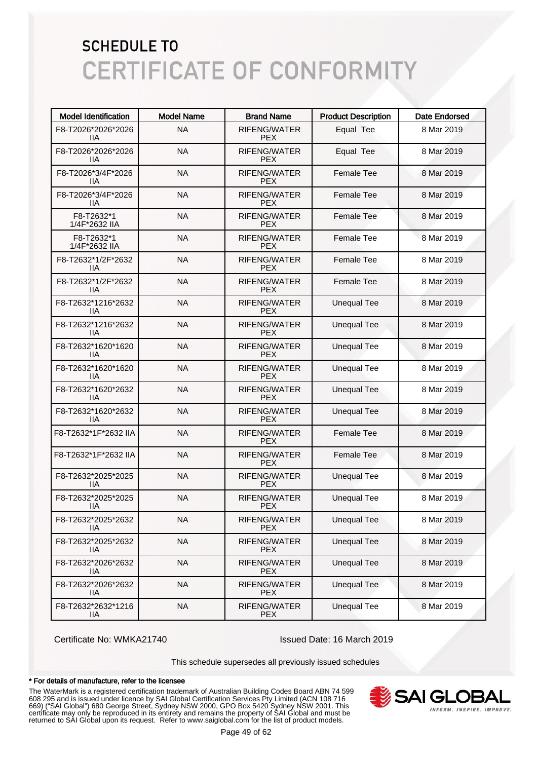| <b>Model Identification</b>      | <b>Model Name</b> | <b>Brand Name</b>                 | <b>Product Description</b> | <b>Date Endorsed</b> |
|----------------------------------|-------------------|-----------------------------------|----------------------------|----------------------|
| F8-T2026*2026*2026<br>liа        | <b>NA</b>         | RIFENG/WATER<br><b>PEX</b>        | Equal Tee                  | 8 Mar 2019           |
| F8-T2026*2026*2026<br>IIА        | <b>NA</b>         | RIFENG/WATER<br><b>PEX</b>        | Equal Tee                  | 8 Mar 2019           |
| F8-T2026*3/4F*2026<br><b>IIA</b> | <b>NA</b>         | RIFENG/WATER<br><b>PEX</b>        | <b>Female Tee</b>          | 8 Mar 2019           |
| F8-T2026*3/4F*2026<br>ШA         | <b>NA</b>         | RIFENG/WATER<br><b>PEX</b>        | <b>Female Tee</b>          | 8 Mar 2019           |
| F8-T2632*1<br>1/4F*2632 IIA      | <b>NA</b>         | RIFENG/WATER<br><b>PEX</b>        | <b>Female Tee</b>          | 8 Mar 2019           |
| F8-T2632*1<br>1/4F*2632 IIA      | <b>NA</b>         | RIFENG/WATER<br><b>PEX</b>        | <b>Female Tee</b>          | 8 Mar 2019           |
| F8-T2632*1/2F*2632<br>liа        | <b>NA</b>         | RIFENG/WATER<br><b>PEX</b>        | <b>Female Tee</b>          | 8 Mar 2019           |
| F8-T2632*1/2F*2632<br>IIА        | <b>NA</b>         | RIFENG/WATER<br><b>PEX</b>        | <b>Female Tee</b>          | 8 Mar 2019           |
| F8-T2632*1216*2632<br>ШA         | <b>NA</b>         | <b>RIFENG/WATER</b><br><b>PEX</b> | <b>Unequal Tee</b>         | 8 Mar 2019           |
| F8-T2632*1216*2632<br>liа        | <b>NA</b>         | <b>RIFENG/WATER</b><br><b>PEX</b> | <b>Unequal Tee</b>         | 8 Mar 2019           |
| F8-T2632*1620*1620<br>liа        | <b>NA</b>         | <b>RIFENG/WATER</b><br><b>PEX</b> | <b>Unequal Tee</b>         | 8 Mar 2019           |
| F8-T2632*1620*1620<br>liа        | <b>NA</b>         | <b>RIFENG/WATER</b><br><b>PEX</b> | <b>Unequal Tee</b>         | 8 Mar 2019           |
| F8-T2632*1620*2632<br>liа        | <b>NA</b>         | RIFENG/WATER<br><b>PEX</b>        | <b>Unequal Tee</b>         | 8 Mar 2019           |
| F8-T2632*1620*2632<br>ШA         | <b>NA</b>         | RIFENG/WATER<br><b>PEX</b>        | <b>Unequal Tee</b>         | 8 Mar 2019           |
| F8-T2632*1F*2632 IIA             | <b>NA</b>         | RIFENG/WATER<br><b>PEX</b>        | <b>Female Tee</b>          | 8 Mar 2019           |
| F8-T2632*1F*2632 IIA             | <b>NA</b>         | RIFENG/WATER<br><b>PEX</b>        | <b>Female Tee</b>          | 8 Mar 2019           |
| F8-T2632*2025*2025<br>ШA         | <b>NA</b>         | RIFENG/WATER<br><b>PEX</b>        | <b>Unequal Tee</b>         | 8 Mar 2019           |
| F8-T2632*2025*2025<br>ШA         | <b>NA</b>         | RIFENG/WATER<br><b>PEX</b>        | <b>Unequal Tee</b>         | 8 Mar 2019           |
| F8-T2632*2025*2632<br>11A        | <b>NA</b>         | RIFENG/WATER<br><b>PEX</b>        | <b>Unequal Tee</b>         | 8 Mar 2019           |
| F8-T2632*2025*2632<br>11A        | <b>NA</b>         | RIFENG/WATER<br><b>PEX</b>        | <b>Unequal Tee</b>         | 8 Mar 2019           |
| F8-T2632*2026*2632<br>11A        | <b>NA</b>         | RIFENG/WATER<br><b>PEX</b>        | <b>Unequal Tee</b>         | 8 Mar 2019           |
| F8-T2632*2026*2632<br>11A        | <b>NA</b>         | RIFENG/WATER<br><b>PEX</b>        | <b>Unequal Tee</b>         | 8 Mar 2019           |
| F8-T2632*2632*1216<br><b>IIA</b> | <b>NA</b>         | RIFENG/WATER<br><b>PEX</b>        | <b>Unequal Tee</b>         | 8 Mar 2019           |

Certificate No: WMKA21740 Issued Date: 16 March 2019

This schedule supersedes all previously issued schedules

#### \* For details of manufacture, refer to the licensee

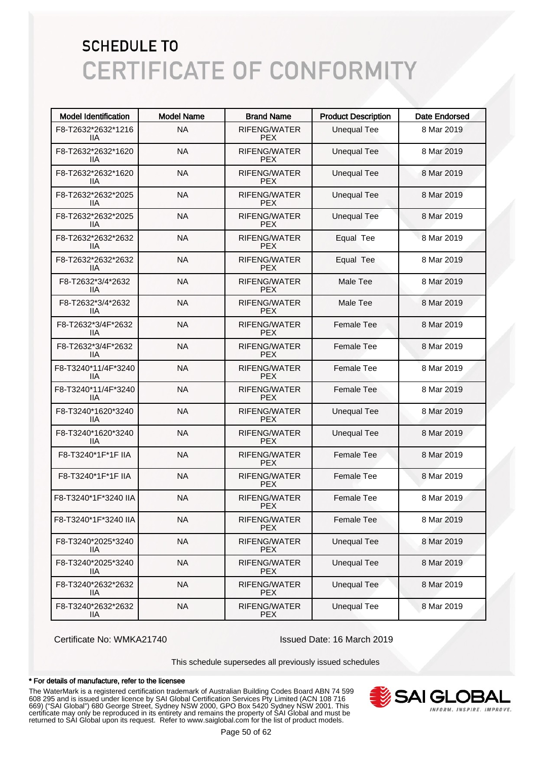| <b>Model Identification</b> | <b>Model Name</b> | <b>Brand Name</b>                 | <b>Product Description</b> | <b>Date Endorsed</b> |
|-----------------------------|-------------------|-----------------------------------|----------------------------|----------------------|
| F8-T2632*2632*1216<br>11A   | <b>NA</b>         | RIFENG/WATER<br><b>PEX</b>        | <b>Unequal Tee</b>         | 8 Mar 2019           |
| F8-T2632*2632*1620<br>ШA    | <b>NA</b>         | RIFENG/WATER<br><b>PEX</b>        | <b>Unequal Tee</b>         | 8 Mar 2019           |
| F8-T2632*2632*1620<br>ШA    | <b>NA</b>         | RIFENG/WATER<br><b>PEX</b>        | <b>Unequal Tee</b>         | 8 Mar 2019           |
| F8-T2632*2632*2025<br>ШA    | <b>NA</b>         | <b>RIFENG/WATER</b><br><b>PEX</b> | <b>Unequal Tee</b>         | 8 Mar 2019           |
| F8-T2632*2632*2025<br>ШA    | <b>NA</b>         | <b>RIFENG/WATER</b><br><b>PEX</b> | <b>Unequal Tee</b>         | 8 Mar 2019           |
| F8-T2632*2632*2632<br>ШA    | <b>NA</b>         | <b>RIFENG/WATER</b><br><b>PEX</b> | Equal Tee                  | 8 Mar 2019           |
| F8-T2632*2632*2632<br>ШA    | <b>NA</b>         | <b>RIFENG/WATER</b><br><b>PEX</b> | Equal Tee                  | 8 Mar 2019           |
| F8-T2632*3/4*2632<br>ШA     | <b>NA</b>         | RIFENG/WATER<br><b>PEX</b>        | Male Tee                   | 8 Mar 2019           |
| F8-T2632*3/4*2632<br>ШA     | <b>NA</b>         | <b>RIFENG/WATER</b><br><b>PEX</b> | Male Tee                   | 8 Mar 2019           |
| F8-T2632*3/4F*2632<br>ШA    | <b>NA</b>         | RIFENG/WATER<br><b>PEX</b>        | <b>Female Tee</b>          | 8 Mar 2019           |
| F8-T2632*3/4F*2632<br>ШA    | <b>NA</b>         | <b>RIFENG/WATER</b><br><b>PEX</b> | <b>Female Tee</b>          | 8 Mar 2019           |
| F8-T3240*11/4F*3240<br>ШA   | <b>NA</b>         | RIFENG/WATER<br><b>PEX</b>        | <b>Female Tee</b>          | 8 Mar 2019           |
| F8-T3240*11/4F*3240<br>ШA   | <b>NA</b>         | <b>RIFENG/WATER</b><br><b>PEX</b> | <b>Female Tee</b>          | 8 Mar 2019           |
| F8-T3240*1620*3240<br>ШA    | <b>NA</b>         | RIFENG/WATER<br><b>PEX</b>        | <b>Unequal Tee</b>         | 8 Mar 2019           |
| F8-T3240*1620*3240<br>11A   | <b>NA</b>         | RIFENG/WATER<br><b>PEX</b>        | <b>Unequal Tee</b>         | 8 Mar 2019           |
| F8-T3240*1F*1F IIA          | <b>NA</b>         | RIFENG/WATER<br><b>PEX</b>        | <b>Female Tee</b>          | 8 Mar 2019           |
| F8-T3240*1F*1F IIA          | <b>NA</b>         | RIFENG/WATER<br><b>PEX</b>        | <b>Female Tee</b>          | 8 Mar 2019           |
| F8-T3240*1F*3240 IIA        | <b>NA</b>         | RIFENG/WATER<br><b>PEX</b>        | <b>Female Tee</b>          | 8 Mar 2019           |
| F8-T3240*1F*3240 IIA        | <b>NA</b>         | RIFENG/WATER<br><b>PEX</b>        | Female Tee                 | 8 Mar 2019           |
| F8-T3240*2025*3240<br>11A   | <b>NA</b>         | RIFENG/WATER<br><b>PEX</b>        | <b>Unequal Tee</b>         | 8 Mar 2019           |
| F8-T3240*2025*3240<br>IIА   | <b>NA</b>         | RIFENG/WATER<br><b>PEX</b>        | <b>Unequal Tee</b>         | 8 Mar 2019           |
| F8-T3240*2632*2632<br>IIА   | <b>NA</b>         | RIFENG/WATER<br><b>PEX</b>        | <b>Unequal Tee</b>         | 8 Mar 2019           |
| F8-T3240*2632*2632<br>IIA   | <b>NA</b>         | RIFENG/WATER<br><b>PEX</b>        | <b>Unequal Tee</b>         | 8 Mar 2019           |

Certificate No: WMKA21740 Issued Date: 16 March 2019

This schedule supersedes all previously issued schedules

#### \* For details of manufacture, refer to the licensee

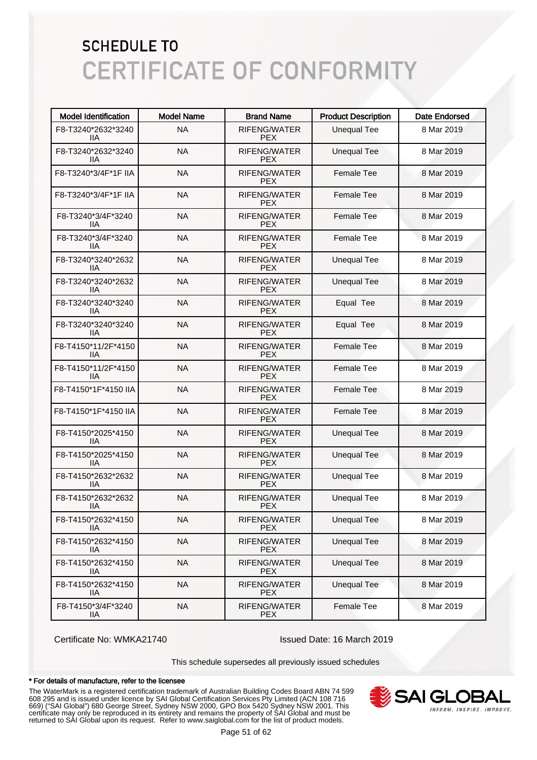| <b>Model Identification</b>      | <b>Model Name</b> | <b>Brand Name</b>                 | <b>Product Description</b> | <b>Date Endorsed</b> |
|----------------------------------|-------------------|-----------------------------------|----------------------------|----------------------|
| F8-T3240*2632*3240<br>11A        | <b>NA</b>         | RIFENG/WATER<br><b>PEX</b>        | <b>Unequal Tee</b>         | 8 Mar 2019           |
| F8-T3240*2632*3240<br>ШA         | <b>NA</b>         | RIFENG/WATER<br><b>PEX</b>        | <b>Unequal Tee</b>         | 8 Mar 2019           |
| F8-T3240*3/4F*1F IIA             | <b>NA</b>         | RIFENG/WATER<br><b>PEX</b>        | <b>Female Tee</b>          | 8 Mar 2019           |
| F8-T3240*3/4F*1F IIA             | <b>NA</b>         | <b>RIFENG/WATER</b><br><b>PEX</b> | <b>Female Tee</b>          | 8 Mar 2019           |
| F8-T3240*3/4F*3240<br>11A        | <b>NA</b>         | <b>RIFENG/WATER</b><br><b>PEX</b> | <b>Female Tee</b>          | 8 Mar 2019           |
| F8-T3240*3/4F*3240<br>ШA         | <b>NA</b>         | <b>RIFENG/WATER</b><br><b>PEX</b> | <b>Female Tee</b>          | 8 Mar 2019           |
| F8-T3240*3240*2632<br>ШA         | <b>NA</b>         | <b>RIFENG/WATER</b><br><b>PEX</b> | <b>Unequal Tee</b>         | 8 Mar 2019           |
| F8-T3240*3240*2632<br>ШA         | <b>NA</b>         | RIFENG/WATER<br><b>PEX</b>        | <b>Unequal Tee</b>         | 8 Mar 2019           |
| F8-T3240*3240*3240<br>ШA         | <b>NA</b>         | RIFENG/WATER<br><b>PEX</b>        | Equal Tee                  | 8 Mar 2019           |
| F8-T3240*3240*3240<br>ШA         | <b>NA</b>         | RIFENG/WATER<br><b>PEX</b>        | Equal Tee                  | 8 Mar 2019           |
| F8-T4150*11/2F*4150<br>ШA        | <b>NA</b>         | <b>RIFENG/WATER</b><br><b>PEX</b> | <b>Female Tee</b>          | 8 Mar 2019           |
| F8-T4150*11/2F*4150<br>11A       | <b>NA</b>         | <b>RIFENG/WATER</b><br><b>PEX</b> | <b>Female Tee</b>          | 8 Mar 2019           |
| F8-T4150*1F*4150 IIA             | <b>NA</b>         | RIFENG/WATER<br><b>PEX</b>        | <b>Female Tee</b>          | 8 Mar 2019           |
| F8-T4150*1F*4150 IIA             | <b>NA</b>         | RIFENG/WATER<br><b>PEX</b>        | <b>Female Tee</b>          | 8 Mar 2019           |
| F8-T4150*2025*4150<br>ШA         | <b>NA</b>         | RIFENG/WATER<br><b>PEX</b>        | <b>Unequal Tee</b>         | 8 Mar 2019           |
| F8-T4150*2025*4150<br>ШA         | <b>NA</b>         | RIFENG/WATER<br><b>PEX</b>        | <b>Unequal Tee</b>         | 8 Mar 2019           |
| F8-T4150*2632*2632<br>ШA         | <b>NA</b>         | RIFENG/WATER<br><b>PEX</b>        | <b>Unequal Tee</b>         | 8 Mar 2019           |
| F8-T4150*2632*2632<br>ШA         | <b>NA</b>         | RIFENG/WATER<br><b>PEX</b>        | <b>Unequal Tee</b>         | 8 Mar 2019           |
| F8-T4150*2632*4150<br>11A        | <b>NA</b>         | RIFENG/WATER<br><b>PEX</b>        | <b>Unequal Tee</b>         | 8 Mar 2019           |
| F8-T4150*2632*4150<br><b>IIA</b> | <b>NA</b>         | RIFENG/WATER<br><b>PEX</b>        | <b>Unequal Tee</b>         | 8 Mar 2019           |
| F8-T4150*2632*4150<br>IIA        | <b>NA</b>         | RIFENG/WATER<br><b>PEX</b>        | <b>Unequal Tee</b>         | 8 Mar 2019           |
| F8-T4150*2632*4150<br>IIА        | <b>NA</b>         | RIFENG/WATER<br><b>PEX</b>        | <b>Unequal Tee</b>         | 8 Mar 2019           |
| F8-T4150*3/4F*3240<br><b>IIA</b> | <b>NA</b>         | RIFENG/WATER<br><b>PEX</b>        | Female Tee                 | 8 Mar 2019           |

Certificate No: WMKA21740 Issued Date: 16 March 2019

This schedule supersedes all previously issued schedules

#### \* For details of manufacture, refer to the licensee

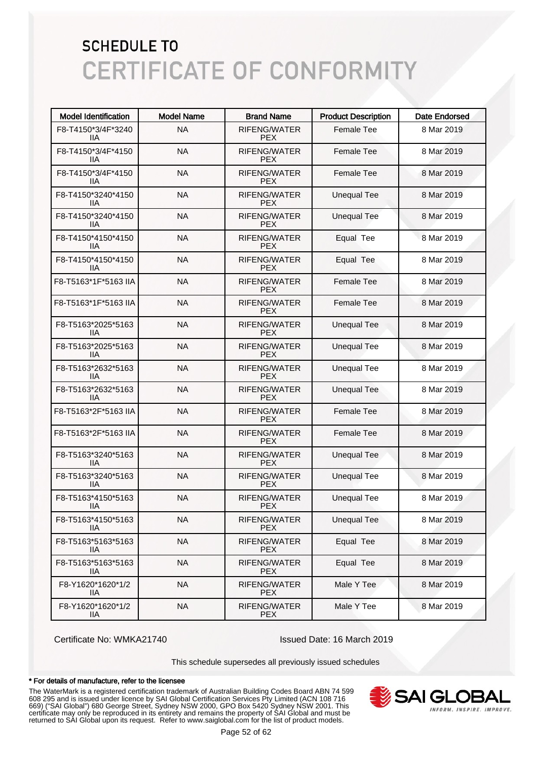| <b>Model Identification</b>     | <b>Model Name</b> | <b>Brand Name</b>                 | <b>Product Description</b> | <b>Date Endorsed</b> |
|---------------------------------|-------------------|-----------------------------------|----------------------------|----------------------|
| F8-T4150*3/4F*3240<br>ШA        | <b>NA</b>         | RIFENG/WATER<br><b>PEX</b>        | <b>Female Tee</b>          | 8 Mar 2019           |
| F8-T4150*3/4F*4150<br>ШA        | <b>NA</b>         | RIFENG/WATER<br><b>PEX</b>        | <b>Female Tee</b>          | 8 Mar 2019           |
| F8-T4150*3/4F*4150<br>ШA        | <b>NA</b>         | RIFENG/WATER<br><b>PEX</b>        | <b>Female Tee</b>          | 8 Mar 2019           |
| F8-T4150*3240*4150<br>ШA        | <b>NA</b>         | <b>RIFENG/WATER</b><br><b>PEX</b> | <b>Unequal Tee</b>         | 8 Mar 2019           |
| F8-T4150*3240*4150<br>ШA        | <b>NA</b>         | <b>RIFENG/WATER</b><br><b>PEX</b> | <b>Unequal Tee</b>         | 8 Mar 2019           |
| F8-T4150*4150*4150<br>ШA        | <b>NA</b>         | <b>RIFENG/WATER</b><br><b>PEX</b> | Equal Tee                  | 8 Mar 2019           |
| F8-T4150*4150*4150<br>11A       | <b>NA</b>         | RIFENG/WATER<br><b>PEX</b>        | Equal Tee                  | 8 Mar 2019           |
| F8-T5163*1F*5163 IIA            | <b>NA</b>         | RIFENG/WATER<br><b>PEX</b>        | <b>Female Tee</b>          | 8 Mar 2019           |
| F8-T5163*1F*5163 IIA            | <b>NA</b>         | <b>RIFENG/WATER</b><br><b>PEX</b> | <b>Female Tee</b>          | 8 Mar 2019           |
| F8-T5163*2025*5163<br>ШA        | <b>NA</b>         | RIFENG/WATER<br><b>PEX</b>        | <b>Unequal Tee</b>         | 8 Mar 2019           |
| F8-T5163*2025*5163<br>ШA        | <b>NA</b>         | <b>RIFENG/WATER</b><br><b>PEX</b> | <b>Unequal Tee</b>         | 8 Mar 2019           |
| F8-T5163*2632*5163<br>ШA        | <b>NA</b>         | <b>RIFENG/WATER</b><br><b>PEX</b> | <b>Unequal Tee</b>         | 8 Mar 2019           |
| F8-T5163*2632*5163<br>11A       | <b>NA</b>         | RIFENG/WATER<br><b>PEX</b>        | <b>Unequal Tee</b>         | 8 Mar 2019           |
| F8-T5163*2F*5163 IIA            | <b>NA</b>         | RIFENG/WATER<br><b>PEX</b>        | <b>Female Tee</b>          | 8 Mar 2019           |
| F8-T5163*2F*5163 IIA            | <b>NA</b>         | RIFENG/WATER<br><b>PEX</b>        | <b>Female Tee</b>          | 8 Mar 2019           |
| F8-T5163*3240*5163<br>ШA        | <b>NA</b>         | RIFENG/WATER<br><b>PEX</b>        | <b>Unequal Tee</b>         | 8 Mar 2019           |
| F8-T5163*3240*5163<br>IIA       | <b>NA</b>         | <b>RIFENG/WATER</b><br><b>PEX</b> | <b>Unequal Tee</b>         | 8 Mar 2019           |
| F8-T5163*4150*5163<br>ШA        | <b>NA</b>         | RIFENG/WATER<br><b>PEX</b>        | <b>Unequal Tee</b>         | 8 Mar 2019           |
| F8-T5163*4150*5163<br>IIА       | <b>NA</b>         | RIFENG/WATER<br><b>PEX</b>        | <b>Unequal Tee</b>         | 8 Mar 2019           |
| F8-T5163*5163*5163<br>IIA       | <b>NA</b>         | RIFENG/WATER<br><b>PEX</b>        | Equal Tee                  | 8 Mar 2019           |
| F8-T5163*5163*5163<br>IIА       | <b>NA</b>         | RIFENG/WATER<br><b>PEX</b>        | Equal Tee                  | 8 Mar 2019           |
| F8-Y1620*1620*1/2<br>IIA        | <b>NA</b>         | RIFENG/WATER<br><b>PEX</b>        | Male Y Tee                 | 8 Mar 2019           |
| F8-Y1620*1620*1/2<br><b>IIA</b> | <b>NA</b>         | RIFENG/WATER<br><b>PEX</b>        | Male Y Tee                 | 8 Mar 2019           |

Certificate No: WMKA21740 Issued Date: 16 March 2019

This schedule supersedes all previously issued schedules

#### \* For details of manufacture, refer to the licensee

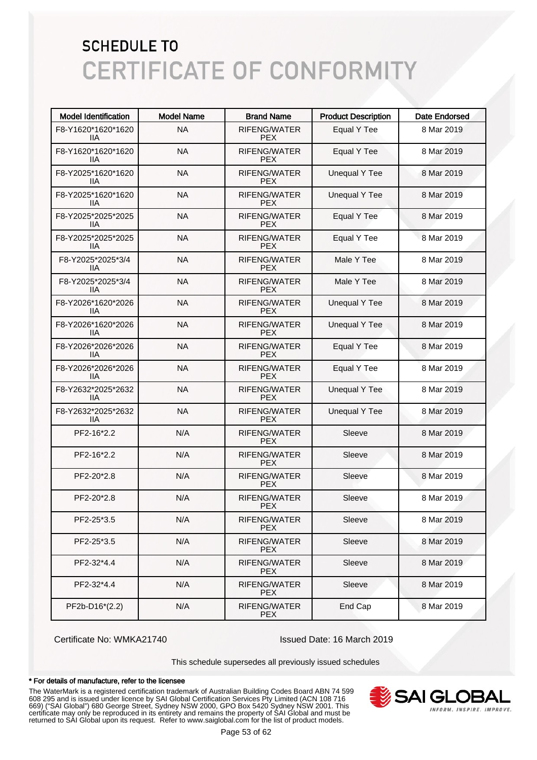| <b>Model Identification</b> | <b>Model Name</b> | <b>Brand Name</b>                 | <b>Product Description</b> | <b>Date Endorsed</b> |
|-----------------------------|-------------------|-----------------------------------|----------------------------|----------------------|
| F8-Y1620*1620*1620<br>11A   | <b>NA</b>         | RIFENG/WATER<br><b>PEX</b>        | <b>Equal Y Tee</b>         | 8 Mar 2019           |
| F8-Y1620*1620*1620<br>ШA    | <b>NA</b>         | RIFENG/WATER<br><b>PEX</b>        | Equal Y Tee                | 8 Mar 2019           |
| F8-Y2025*1620*1620<br>ШA    | <b>NA</b>         | RIFENG/WATER<br><b>PEX</b>        | <b>Unequal Y Tee</b>       | 8 Mar 2019           |
| F8-Y2025*1620*1620<br>ШA    | <b>NA</b>         | <b>RIFENG/WATER</b><br><b>PEX</b> | <b>Unequal Y Tee</b>       | 8 Mar 2019           |
| F8-Y2025*2025*2025<br>ШA    | <b>NA</b>         | <b>RIFENG/WATER</b><br><b>PEX</b> | Equal Y Tee                | 8 Mar 2019           |
| F8-Y2025*2025*2025<br>ШA    | <b>NA</b>         | <b>RIFENG/WATER</b><br><b>PEX</b> | Equal Y Tee                | 8 Mar 2019           |
| F8-Y2025*2025*3/4<br>ШA     | <b>NA</b>         | RIFENG/WATER<br><b>PEX</b>        | Male Y Tee                 | 8 Mar 2019           |
| F8-Y2025*2025*3/4<br>ШA     | <b>NA</b>         | RIFENG/WATER<br><b>PEX</b>        | Male Y Tee                 | 8 Mar 2019           |
| F8-Y2026*1620*2026<br>ШA    | <b>NA</b>         | <b>RIFENG/WATER</b><br><b>PEX</b> | <b>Unequal Y Tee</b>       | 8 Mar 2019           |
| F8-Y2026*1620*2026<br>ШA    | <b>NA</b>         | RIFENG/WATER<br><b>PEX</b>        | <b>Unequal Y Tee</b>       | 8 Mar 2019           |
| F8-Y2026*2026*2026<br>ШA    | <b>NA</b>         | <b>RIFENG/WATER</b><br><b>PEX</b> | Equal Y Tee                | 8 Mar 2019           |
| F8-Y2026*2026*2026<br>ШA    | <b>NA</b>         | <b>RIFENG/WATER</b><br><b>PEX</b> | Equal Y Tee                | 8 Mar 2019           |
| F8-Y2632*2025*2632<br>ШA    | <b>NA</b>         | RIFENG/WATER<br><b>PEX</b>        | <b>Unequal Y Tee</b>       | 8 Mar 2019           |
| F8-Y2632*2025*2632<br>11A   | <b>NA</b>         | RIFENG/WATER<br><b>PEX</b>        | <b>Unequal Y Tee</b>       | 8 Mar 2019           |
| PF2-16*2.2                  | N/A               | RIFENG/WATER<br><b>PEX</b>        | Sleeve                     | 8 Mar 2019           |
| PF2-16*2.2                  | N/A               | RIFENG/WATER<br><b>PEX</b>        | Sleeve                     | 8 Mar 2019           |
| PF2-20*2.8                  | N/A               | RIFENG/WATER<br><b>PEX</b>        | Sleeve                     | 8 Mar 2019           |
| PF2-20*2.8                  | N/A               | <b>RIFENG/WATER</b><br><b>PEX</b> | Sleeve                     | 8 Mar 2019           |
| PF2-25*3.5                  | N/A               | RIFENG/WATER<br><b>PEX</b>        | Sleeve                     | 8 Mar 2019           |
| PF2-25*3.5                  | N/A               | RIFENG/WATER<br><b>PEX</b>        | Sleeve                     | 8 Mar 2019           |
| PF2-32*4.4                  | N/A               | RIFENG/WATER<br><b>PEX</b>        | Sleeve                     | 8 Mar 2019           |
| PF2-32*4.4                  | N/A               | RIFENG/WATER<br><b>PEX</b>        | Sleeve                     | 8 Mar 2019           |
| PF2b-D16*(2.2)              | N/A               | RIFENG/WATER<br><b>PEX</b>        | End Cap                    | 8 Mar 2019           |

Certificate No: WMKA21740 Issued Date: 16 March 2019

This schedule supersedes all previously issued schedules

#### \* For details of manufacture, refer to the licensee

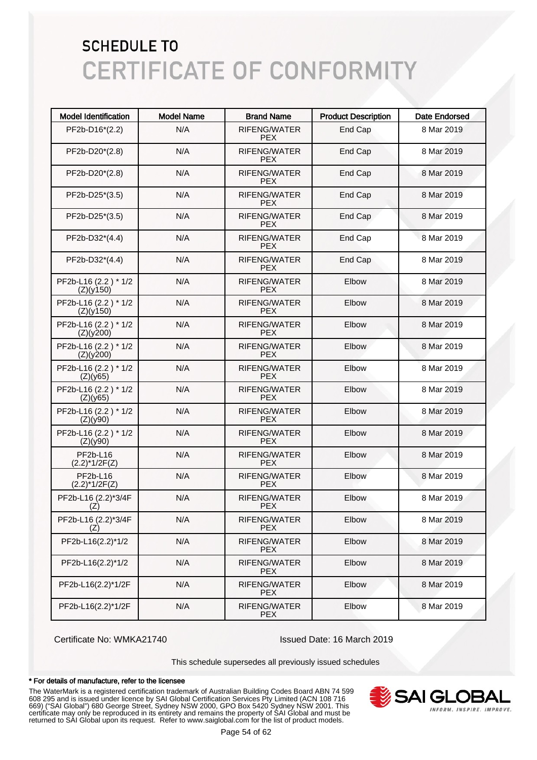| <b>Model Identification</b>       | <b>Model Name</b> | <b>Brand Name</b>                 | <b>Product Description</b> | Date Endorsed |
|-----------------------------------|-------------------|-----------------------------------|----------------------------|---------------|
| PF2b-D16*(2.2)                    | N/A               | <b>RIFENG/WATER</b><br><b>PEX</b> | End Cap                    | 8 Mar 2019    |
| PF2b-D20*(2.8)                    | N/A               | <b>RIFENG/WATER</b><br><b>PEX</b> | End Cap                    | 8 Mar 2019    |
| PF2b-D20*(2.8)                    | N/A               | <b>RIFENG/WATER</b><br><b>PEX</b> | End Cap                    | 8 Mar 2019    |
| PF2b-D25*(3.5)                    | N/A               | <b>RIFENG/WATER</b><br><b>PEX</b> | End Cap                    | 8 Mar 2019    |
| PF2b-D25*(3.5)                    | N/A               | <b>RIFENG/WATER</b><br><b>PEX</b> | End Cap                    | 8 Mar 2019    |
| PF2b-D32*(4.4)                    | N/A               | <b>RIFENG/WATER</b><br><b>PEX</b> | End Cap                    | 8 Mar 2019    |
| PF2b-D32*(4.4)                    | N/A               | RIFENG/WATER<br><b>PEX</b>        | End Cap                    | 8 Mar 2019    |
| PF2b-L16 (2.2) * 1/2<br>(Z)(y150) | N/A               | RIFENG/WATER<br><b>PEX</b>        | Elbow                      | 8 Mar 2019    |
| PF2b-L16 (2.2) * 1/2<br>(Z)(y150) | N/A               | RIFENG/WATER<br><b>PEX</b>        | Elbow                      | 8 Mar 2019    |
| PF2b-L16 (2.2) * 1/2<br>(Z)(y200) | N/A               | RIFENG/WATER<br><b>PEX</b>        | Elbow                      | 8 Mar 2019    |
| PF2b-L16 (2.2) * 1/2<br>(Z)(y200) | N/A               | RIFENG/WATER<br><b>PEX</b>        | Elbow                      | 8 Mar 2019    |
| PF2b-L16 (2.2) * 1/2<br>(Z)(y65)  | N/A               | RIFENG/WATER<br><b>PEX</b>        | Elbow                      | 8 Mar 2019    |
| PF2b-L16 (2.2) * 1/2<br>(Z)(y65)  | N/A               | RIFENG/WATER<br><b>PEX</b>        | Elbow                      | 8 Mar 2019    |
| PF2b-L16 (2.2) * 1/2<br>(Z)(y90)  | N/A               | RIFENG/WATER<br><b>PEX</b>        | Elbow                      | 8 Mar 2019    |
| PF2b-L16 (2.2) * 1/2<br>(Z)(y90)  | N/A               | RIFENG/WATER<br><b>PEX</b>        | Elbow                      | 8 Mar 2019    |
| PF2b-L16<br>$(2.2)^*1/2F(Z)$      | N/A               | RIFENG/WATER<br><b>PEX</b>        | Elbow                      | 8 Mar 2019    |
| PF2b-L16<br>$(2.2)^*1/2F(Z)$      | N/A               | RIFENG/WATER<br><b>PEX</b>        | Elbow                      | 8 Mar 2019    |
| PF2b-L16 (2.2)*3/4F<br>(Z)        | N/A               | RIFENG/WATER<br><b>PEX</b>        | Elbow                      | 8 Mar 2019    |
| PF2b-L16 (2.2)*3/4F<br>(Z)        | N/A               | RIFENG/WATER<br><b>PEX</b>        | Elbow                      | 8 Mar 2019    |
| PF2b-L16(2.2)*1/2                 | N/A               | RIFENG/WATER<br><b>PEX</b>        | Elbow                      | 8 Mar 2019    |
| PF2b-L16(2.2)*1/2                 | N/A               | RIFENG/WATER<br><b>PEX</b>        | Elbow                      | 8 Mar 2019    |
| PF2b-L16(2.2)*1/2F                | N/A               | <b>RIFENG/WATER</b><br><b>PEX</b> | Elbow                      | 8 Mar 2019    |
| PF2b-L16(2.2)*1/2F                | N/A               | RIFENG/WATER<br><b>PEX</b>        | Elbow                      | 8 Mar 2019    |

Certificate No: WMKA21740 Issued Date: 16 March 2019

This schedule supersedes all previously issued schedules

#### \* For details of manufacture, refer to the licensee

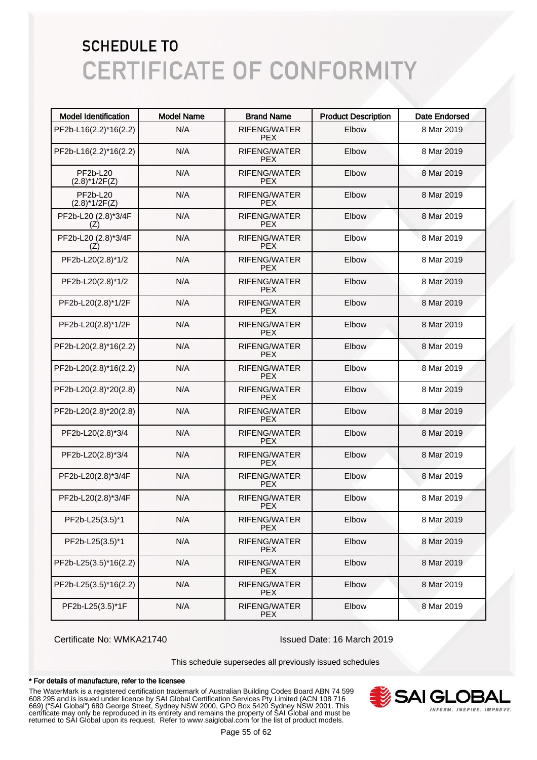| <b>Model Identification</b>         | <b>Model Name</b> | <b>Brand Name</b>          | <b>Product Description</b> | <b>Date Endorsed</b> |
|-------------------------------------|-------------------|----------------------------|----------------------------|----------------------|
| PF2b-L16(2.2)*16(2.2)               | N/A               | RIFENG/WATER<br><b>PEX</b> | Elbow                      | 8 Mar 2019           |
| PF2b-L16(2.2)*16(2.2)               | N/A               | RIFENG/WATER<br><b>PEX</b> | Elbow                      | 8 Mar 2019           |
| <b>PF2b-L20</b><br>$(2.8)^*1/2F(Z)$ | N/A               | RIFENG/WATER<br><b>PEX</b> | Elbow                      | 8 Mar 2019           |
| <b>PF2b-L20</b><br>$(2.8)^*1/2F(Z)$ | N/A               | RIFENG/WATER<br><b>PEX</b> | Elbow                      | 8 Mar 2019           |
| PF2b-L20 (2.8)*3/4F<br>(Z)          | N/A               | RIFENG/WATER<br><b>PEX</b> | Elbow                      | 8 Mar 2019           |
| PF2b-L20 (2.8)*3/4F<br>(Z)          | N/A               | RIFENG/WATER<br><b>PEX</b> | Elbow                      | 8 Mar 2019           |
| PF2b-L20(2.8)*1/2                   | N/A               | RIFENG/WATER<br><b>PEX</b> | Elbow                      | 8 Mar 2019           |
| PF2b-L20(2.8)*1/2                   | N/A               | RIFENG/WATER<br><b>PEX</b> | Elbow                      | 8 Mar 2019           |
| PF2b-L20(2.8)*1/2F                  | N/A               | RIFENG/WATER<br><b>PEX</b> | Elbow                      | 8 Mar 2019           |
| PF2b-L20(2.8)*1/2F                  | N/A               | RIFENG/WATER<br><b>PEX</b> | Elbow                      | 8 Mar 2019           |
| PF2b-L20(2.8)*16(2.2)               | N/A               | RIFENG/WATER<br><b>PEX</b> | Elbow                      | 8 Mar 2019           |
| PF2b-L20(2.8)*16(2.2)               | N/A               | RIFENG/WATER<br><b>PEX</b> | Elbow                      | 8 Mar 2019           |
| PF2b-L20(2.8)*20(2.8)               | N/A               | RIFENG/WATER<br><b>PEX</b> | Elbow                      | 8 Mar 2019           |
| PF2b-L20(2.8)*20(2.8)               | N/A               | RIFENG/WATER<br><b>PEX</b> | Elbow                      | 8 Mar 2019           |
| PF2b-L20(2.8)*3/4                   | N/A               | RIFENG/WATER<br><b>PEX</b> | Elbow                      | 8 Mar 2019           |
| PF2b-L20(2.8)*3/4                   | N/A               | RIFENG/WATER<br><b>PEX</b> | Elbow                      | 8 Mar 2019           |
| PF2b-L20(2.8)*3/4F                  | N/A               | RIFENG/WATER<br><b>PEX</b> | Elbow                      | 8 Mar 2019           |
| PF2b-L20(2.8)*3/4F                  | N/A               | RIFENG/WATER<br><b>PEX</b> | Elbow                      | 8 Mar 2019           |
| PF2b-L25(3.5)*1                     | N/A               | RIFENG/WATER<br><b>PEX</b> | Elbow                      | 8 Mar 2019           |
| PF2b-L25(3.5)*1                     | N/A               | RIFENG/WATER<br><b>PEX</b> | Elbow                      | 8 Mar 2019           |
| PF2b-L25(3.5)*16(2.2)               | N/A               | RIFENG/WATER<br><b>PEX</b> | Elbow                      | 8 Mar 2019           |
| PF2b-L25(3.5)*16(2.2)               | N/A               | RIFENG/WATER<br><b>PEX</b> | Elbow                      | 8 Mar 2019           |
| PF2b-L25(3.5)*1F                    | N/A               | RIFENG/WATER<br><b>PEX</b> | Elbow                      | 8 Mar 2019           |

Certificate No: WMKA21740 Issued Date: 16 March 2019

This schedule supersedes all previously issued schedules

#### \* For details of manufacture, refer to the licensee

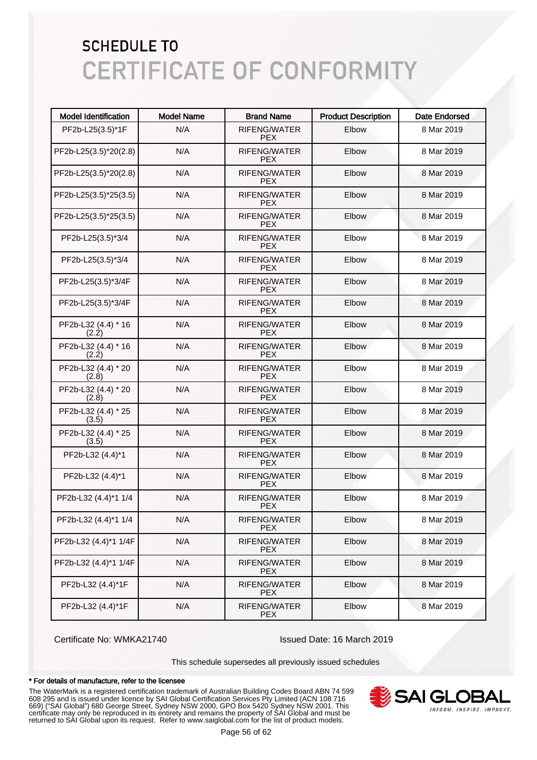| <b>Model Identification</b>  | <b>Model Name</b> | <b>Brand Name</b>                 | <b>Product Description</b> | <b>Date Endorsed</b> |
|------------------------------|-------------------|-----------------------------------|----------------------------|----------------------|
| PF2b-L25(3.5)*1F             | N/A               | <b>RIFENG/WATER</b><br><b>PEX</b> | Elbow                      | 8 Mar 2019           |
| PF2b-L25(3.5)*20(2.8)        | N/A               | RIFENG/WATER<br><b>PEX</b>        | Elbow                      | 8 Mar 2019           |
| PF2b-L25(3.5)*20(2.8)        | N/A               | RIFENG/WATER<br><b>PEX</b>        | Elbow                      | 8 Mar 2019           |
| PF2b-L25(3.5)*25(3.5)        | N/A               | <b>RIFENG/WATER</b><br><b>PEX</b> | Elbow                      | 8 Mar 2019           |
| PF2b-L25(3.5)*25(3.5)        | N/A               | <b>RIFENG/WATER</b><br><b>PEX</b> | Elbow                      | 8 Mar 2019           |
| PF2b-L25(3.5)*3/4            | N/A               | <b>RIFENG/WATER</b><br><b>PEX</b> | Elbow                      | 8 Mar 2019           |
| PF2b-L25(3.5)*3/4            | N/A               | <b>RIFENG/WATER</b><br><b>PEX</b> | Elbow                      | 8 Mar 2019           |
| PF2b-L25(3.5)*3/4F           | N/A               | <b>RIFENG/WATER</b><br><b>PEX</b> | Elbow                      | 8 Mar 2019           |
| PF2b-L25(3.5)*3/4F           | N/A               | <b>RIFENG/WATER</b><br><b>PEX</b> | Elbow                      | 8 Mar 2019           |
| PF2b-L32 (4.4) * 16<br>(2.2) | N/A               | <b>RIFENG/WATER</b><br><b>PEX</b> | Elbow                      | 8 Mar 2019           |
| PF2b-L32 (4.4) * 16<br>(2.2) | N/A               | <b>RIFENG/WATER</b><br><b>PEX</b> | Elbow                      | 8 Mar 2019           |
| PF2b-L32 (4.4) * 20<br>(2.8) | N/A               | <b>RIFENG/WATER</b><br><b>PEX</b> | Elbow                      | 8 Mar 2019           |
| PF2b-L32 (4.4) * 20<br>(2.8) | N/A               | <b>RIFENG/WATER</b><br><b>PEX</b> | Elbow                      | 8 Mar 2019           |
| PF2b-L32 (4.4) * 25<br>(3.5) | N/A               | <b>RIFENG/WATER</b><br><b>PEX</b> | Elbow                      | 8 Mar 2019           |
| PF2b-L32 (4.4) * 25<br>(3.5) | N/A               | <b>RIFENG/WATER</b><br><b>PEX</b> | Elbow                      | 8 Mar 2019           |
| PF2b-L32 (4.4)*1             | N/A               | <b>RIFENG/WATER</b><br><b>PEX</b> | Elbow                      | 8 Mar 2019           |
| PF2b-L32 (4.4)*1             | N/A               | RIFENG/WATER<br><b>PEX</b>        | Elbow                      | 8 Mar 2019           |
| PF2b-L32 (4.4)*1 1/4         | N/A               | RIFENG/WATER<br><b>PEX</b>        | Elbow                      | 8 Mar 2019           |
| PF2b-L32 (4.4)*1 1/4         | N/A               | RIFENG/WATER<br><b>PEX</b>        | Elbow                      | 8 Mar 2019           |
| PF2b-L32 (4.4)*1 1/4F        | N/A               | RIFENG/WATER<br><b>PEX</b>        | Elbow                      | 8 Mar 2019           |
| PF2b-L32 (4.4)*1 1/4F        | N/A               | RIFENG/WATER<br><b>PEX</b>        | Elbow                      | 8 Mar 2019           |
| PF2b-L32 (4.4)*1F            | N/A               | RIFENG/WATER<br><b>PEX</b>        | Elbow                      | 8 Mar 2019           |
| PF2b-L32 (4.4)*1F            | N/A               | RIFENG/WATER<br><b>PEX</b>        | Elbow                      | 8 Mar 2019           |

Certificate No: WMKA21740 Issued Date: 16 March 2019

This schedule supersedes all previously issued schedules

#### \* For details of manufacture, refer to the licensee

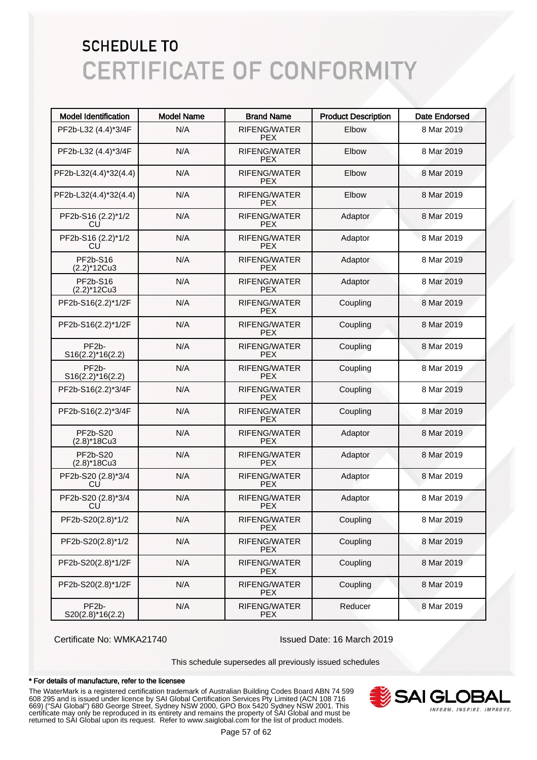| <b>Model Identification</b>              | <b>Model Name</b> | <b>Brand Name</b>                 | <b>Product Description</b> | <b>Date Endorsed</b> |
|------------------------------------------|-------------------|-----------------------------------|----------------------------|----------------------|
| PF2b-L32 (4.4)*3/4F                      | N/A               | <b>RIFENG/WATER</b><br><b>PEX</b> | Elbow                      | 8 Mar 2019           |
| PF2b-L32 (4.4)*3/4F                      | N/A               | RIFENG/WATER<br><b>PEX</b>        | Elbow                      | 8 Mar 2019           |
| PF2b-L32(4.4)*32(4.4)                    | N/A               | RIFENG/WATER<br><b>PEX</b>        | Elbow                      | 8 Mar 2019           |
| PF2b-L32(4.4)*32(4.4)                    | N/A               | RIFENG/WATER<br><b>PEX</b>        | Elbow                      | 8 Mar 2019           |
| PF2b-S16 (2.2)*1/2<br>CU                 | N/A               | RIFENG/WATER<br><b>PEX</b>        | Adaptor                    | 8 Mar 2019           |
| PF2b-S16 (2.2)*1/2<br>CU                 | N/A               | RIFENG/WATER<br><b>PEX</b>        | Adaptor                    | 8 Mar 2019           |
| PF2b-S16<br>$(2.2)$ <sup>*</sup> 12Cu3   | N/A               | RIFENG/WATER<br><b>PEX</b>        | Adaptor                    | 8 Mar 2019           |
| PF2b-S16<br>$(2.2)$ *12Cu3               | N/A               | RIFENG/WATER<br><b>PEX</b>        | Adaptor                    | 8 Mar 2019           |
| PF2b-S16(2.2)*1/2F                       | N/A               | RIFENG/WATER<br><b>PEX</b>        | Coupling                   | 8 Mar 2019           |
| PF2b-S16(2.2)*1/2F                       | N/A               | RIFENG/WATER<br><b>PEX</b>        | Coupling                   | 8 Mar 2019           |
| PF <sub>2</sub> b-<br>$S16(2.2)*16(2.2)$ | N/A               | RIFENG/WATER<br><b>PEX</b>        | Coupling                   | 8 Mar 2019           |
| PF <sub>2</sub> b-<br>$S16(2.2)*16(2.2)$ | N/A               | RIFENG/WATER<br><b>PEX</b>        | Coupling                   | 8 Mar 2019           |
| PF2b-S16(2.2)*3/4F                       | N/A               | RIFENG/WATER<br><b>PEX</b>        | Coupling                   | 8 Mar 2019           |
| PF2b-S16(2.2)*3/4F                       | N/A               | RIFENG/WATER<br><b>PEX</b>        | Coupling                   | 8 Mar 2019           |
| PF2b-S20<br>$(2.8)$ *18Cu3               | N/A               | RIFENG/WATER<br><b>PEX</b>        | Adaptor                    | 8 Mar 2019           |
| <b>PF2b-S20</b><br>$(2.8)$ *18Cu3        | N/A               | RIFENG/WATER<br><b>PEX</b>        | Adaptor                    | 8 Mar 2019           |
| PF2b-S20 (2.8)*3/4<br>CU                 | N/A               | RIFENG/WATER<br><b>PEX</b>        | Adaptor                    | 8 Mar 2019           |
| PF2b-S20 (2.8)*3/4<br>CU                 | N/A               | RIFENG/WATER<br><b>PEX</b>        | Adaptor                    | 8 Mar 2019           |
| PF2b-S20(2.8)*1/2                        | N/A               | RIFENG/WATER<br><b>PEX</b>        | Coupling                   | 8 Mar 2019           |
| PF2b-S20(2.8)*1/2                        | N/A               | RIFENG/WATER<br><b>PEX</b>        | Coupling                   | 8 Mar 2019           |
| PF2b-S20(2.8)*1/2F                       | N/A               | RIFENG/WATER<br><b>PEX</b>        | Coupling                   | 8 Mar 2019           |
| PF2b-S20(2.8)*1/2F                       | N/A               | RIFENG/WATER<br><b>PEX</b>        | Coupling                   | 8 Mar 2019           |
| PF <sub>2</sub> b-<br>$S20(2.8)*16(2.2)$ | N/A               | RIFENG/WATER<br><b>PEX</b>        | Reducer                    | 8 Mar 2019           |

Certificate No: WMKA21740 Issued Date: 16 March 2019

This schedule supersedes all previously issued schedules

#### \* For details of manufacture, refer to the licensee

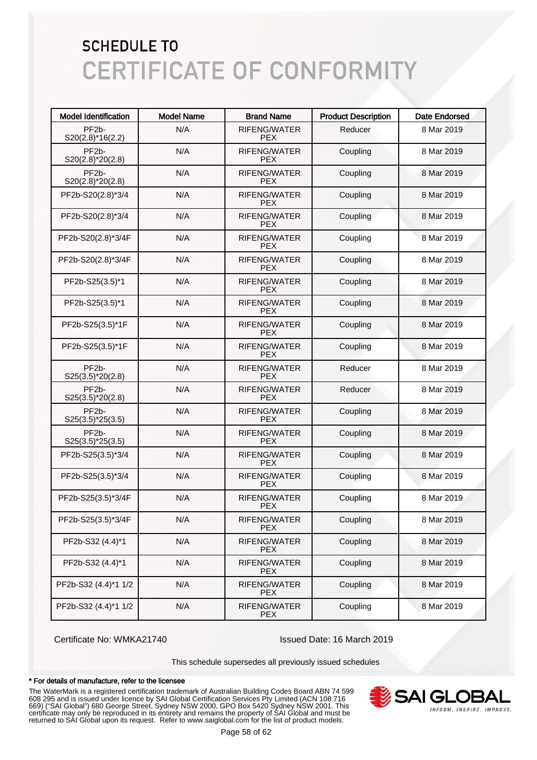| <b>Model Identification</b>               | <b>Model Name</b> | <b>Brand Name</b>                 | <b>Product Description</b> | <b>Date Endorsed</b> |
|-------------------------------------------|-------------------|-----------------------------------|----------------------------|----------------------|
| PF <sub>2</sub> b-<br>$S20(2.8)*16(2.2)$  | N/A               | <b>RIFENG/WATER</b><br><b>PEX</b> | Reducer                    | 8 Mar 2019           |
| PF <sub>2</sub> b-<br>$S20(2.8)^*20(2.8)$ | N/A               | <b>RIFENG/WATER</b><br><b>PEX</b> | Coupling                   | 8 Mar 2019           |
| PF <sub>2</sub> b-<br>$S20(2.8)^*20(2.8)$ | N/A               | <b>RIFENG/WATER</b><br><b>PEX</b> | Coupling                   | 8 Mar 2019           |
| PF2b-S20(2.8)*3/4                         | N/A               | <b>RIFENG/WATER</b><br><b>PEX</b> | Coupling                   | 8 Mar 2019           |
| PF2b-S20(2.8)*3/4                         | N/A               | <b>RIFENG/WATER</b><br><b>PEX</b> | Coupling                   | 8 Mar 2019           |
| PF2b-S20(2.8)*3/4F                        | N/A               | <b>RIFENG/WATER</b><br><b>PEX</b> | Coupling                   | 8 Mar 2019           |
| PF2b-S20(2.8)*3/4F                        | N/A               | <b>RIFENG/WATER</b><br><b>PEX</b> | Coupling                   | 8 Mar 2019           |
| PF2b-S25(3.5)*1                           | N/A               | <b>RIFENG/WATER</b><br><b>PEX</b> | Coupling                   | 8 Mar 2019           |
| PF2b-S25(3.5)*1                           | N/A               | <b>RIFENG/WATER</b><br><b>PEX</b> | Coupling                   | 8 Mar 2019           |
| PF2b-S25(3.5)*1F                          | N/A               | <b>RIFENG/WATER</b><br><b>PEX</b> | Coupling                   | 8 Mar 2019           |
| PF2b-S25(3.5)*1F                          | N/A               | <b>RIFENG/WATER</b><br><b>PEX</b> | Coupling                   | 8 Mar 2019           |
| PF <sub>2</sub> b-<br>$S25(3.5)^*20(2.8)$ | N/A               | <b>RIFENG/WATER</b><br><b>PEX</b> | Reducer                    | 8 Mar 2019           |
| PF <sub>2</sub> b-<br>$S25(3.5)^*20(2.8)$ | N/A               | <b>RIFENG/WATER</b><br><b>PEX</b> | Reducer                    | 8 Mar 2019           |
| PF <sub>2</sub> b-<br>$S25(3.5)^*25(3.5)$ | N/A               | <b>RIFENG/WATER</b><br><b>PEX</b> | Coupling                   | 8 Mar 2019           |
| PF <sub>2</sub> b-<br>$S25(3.5)^*25(3.5)$ | N/A               | <b>RIFENG/WATER</b><br><b>PEX</b> | Coupling                   | 8 Mar 2019           |
| PF2b-S25(3.5)*3/4                         | N/A               | <b>RIFENG/WATER</b><br><b>PEX</b> | Coupling                   | 8 Mar 2019           |
| PF2b-S25(3.5)*3/4                         | N/A               | RIFENG/WATER<br><b>PEX</b>        | Coupling                   | 8 Mar 2019           |
| PF2b-S25(3.5)*3/4F                        | N/A               | <b>RIFENG/WATER</b><br><b>PEX</b> | Coupling                   | 8 Mar 2019           |
| PF2b-S25(3.5)*3/4F                        | N/A               | RIFENG/WATER<br><b>PEX</b>        | Coupling                   | 8 Mar 2019           |
| PF2b-S32 (4.4)*1                          | N/A               | RIFENG/WATER<br><b>PEX</b>        | Coupling                   | 8 Mar 2019           |
| PF2b-S32 (4.4)*1                          | N/A               | RIFENG/WATER<br><b>PEX</b>        | Coupling                   | 8 Mar 2019           |
| PF2b-S32 (4.4)*1 1/2                      | N/A               | <b>RIFENG/WATER</b><br><b>PEX</b> | Coupling                   | 8 Mar 2019           |
| PF2b-S32 (4.4)*1 1/2                      | N/A               | RIFENG/WATER<br><b>PEX</b>        | Coupling                   | 8 Mar 2019           |

Certificate No: WMKA21740 Issued Date: 16 March 2019

This schedule supersedes all previously issued schedules

#### \* For details of manufacture, refer to the licensee

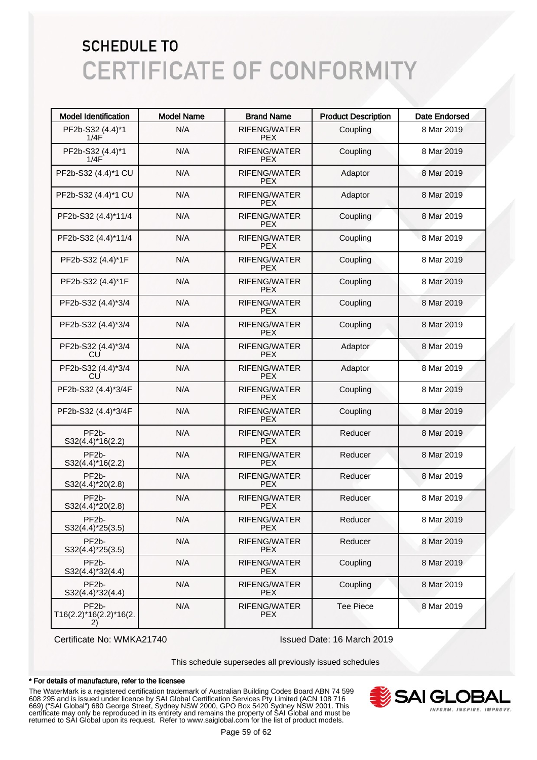| <b>Model Identification</b>                        | <b>Model Name</b> | <b>Brand Name</b>                 | <b>Product Description</b> | <b>Date Endorsed</b> |
|----------------------------------------------------|-------------------|-----------------------------------|----------------------------|----------------------|
| PF2b-S32 (4.4)*1<br>1/4F                           | N/A               | RIFENG/WATER<br><b>PEX</b>        | Coupling                   | 8 Mar 2019           |
| PF2b-S32 (4.4)*1<br>1/4F                           | N/A               | RIFENG/WATER<br><b>PEX</b>        | Coupling                   | 8 Mar 2019           |
| PF2b-S32 (4.4)*1 CU                                | N/A               | RIFENG/WATER<br><b>PEX</b>        | Adaptor                    | 8 Mar 2019           |
| PF2b-S32 (4.4)*1 CU                                | N/A               | RIFENG/WATER<br><b>PEX</b>        | Adaptor                    | 8 Mar 2019           |
| PF2b-S32 (4.4)*11/4                                | N/A               | <b>RIFENG/WATER</b><br><b>PEX</b> | Coupling                   | 8 Mar 2019           |
| PF2b-S32 (4.4)*11/4                                | N/A               | <b>RIFENG/WATER</b><br><b>PEX</b> | Coupling                   | 8 Mar 2019           |
| PF2b-S32 (4.4)*1F                                  | N/A               | RIFENG/WATER<br><b>PEX</b>        | Coupling                   | 8 Mar 2019           |
| PF2b-S32 (4.4)*1F                                  | N/A               | RIFENG/WATER<br><b>PEX</b>        | Coupling                   | 8 Mar 2019           |
| PF2b-S32 (4.4)*3/4                                 | N/A               | RIFENG/WATER<br><b>PEX</b>        | Coupling                   | 8 Mar 2019           |
| PF2b-S32 (4.4)*3/4                                 | N/A               | RIFENG/WATER<br><b>PEX</b>        | Coupling                   | 8 Mar 2019           |
| PF2b-S32 (4.4)*3/4<br>CU                           | N/A               | RIFENG/WATER<br><b>PEX</b>        | Adaptor                    | 8 Mar 2019           |
| PF2b-S32 (4.4)*3/4<br>CU                           | N/A               | <b>RIFENG/WATER</b><br><b>PEX</b> | Adaptor                    | 8 Mar 2019           |
| PF2b-S32 (4.4)*3/4F                                | N/A               | <b>RIFENG/WATER</b><br><b>PEX</b> | Coupling                   | 8 Mar 2019           |
| PF2b-S32 (4.4)*3/4F                                | N/A               | RIFENG/WATER<br><b>PEX</b>        | Coupling                   | 8 Mar 2019           |
| PF <sub>2</sub> b-<br>$S32(4.4)*16(2.2)$           | N/A               | RIFENG/WATER<br><b>PEX</b>        | Reducer                    | 8 Mar 2019           |
| PF <sub>2</sub> b-<br>$S32(4.4)*16(2.2)$           | N/A               | <b>RIFENG/WATER</b><br><b>PEX</b> | Reducer                    | 8 Mar 2019           |
| PF <sub>2</sub> b-<br>$S32(4.4)^*20(2.8)$          | N/A               | <b>RIFENG/WATER</b><br><b>PEX</b> | Reducer                    | 8 Mar 2019           |
| PF <sub>2</sub> b-<br>$S32(4.4)*20(2.8)$           | N/A               | RIFENG/WATER<br><b>PEX</b>        | Reducer                    | 8 Mar 2019           |
| PF <sub>2</sub> b-<br>$S32(4.4)*25(3.5)$           | N/A               | RIFENG/WATER<br><b>PEX</b>        | Reducer                    | 8 Mar 2019           |
| PF <sub>2</sub> b-<br>$S32(4.4)^*25(3.5)$          | N/A               | RIFENG/WATER<br><b>PEX</b>        | Reducer                    | 8 Mar 2019           |
| PF <sub>2</sub> b-<br>$S32(4.4)*32(4.4)$           | N/A               | RIFENG/WATER<br><b>PEX</b>        | Coupling                   | 8 Mar 2019           |
| PF <sub>2</sub> b-<br>$S32(4.4)*32(4.4)$           | N/A               | RIFENG/WATER<br><b>PEX</b>        | Coupling                   | 8 Mar 2019           |
| PF <sub>2</sub> b-<br>T16(2.2)*16(2.2)*16(2.<br>2) | N/A               | RIFENG/WATER<br><b>PEX</b>        | <b>Tee Piece</b>           | 8 Mar 2019           |

Certificate No: WMKA21740 Issued Date: 16 March 2019

This schedule supersedes all previously issued schedules

#### \* For details of manufacture, refer to the licensee

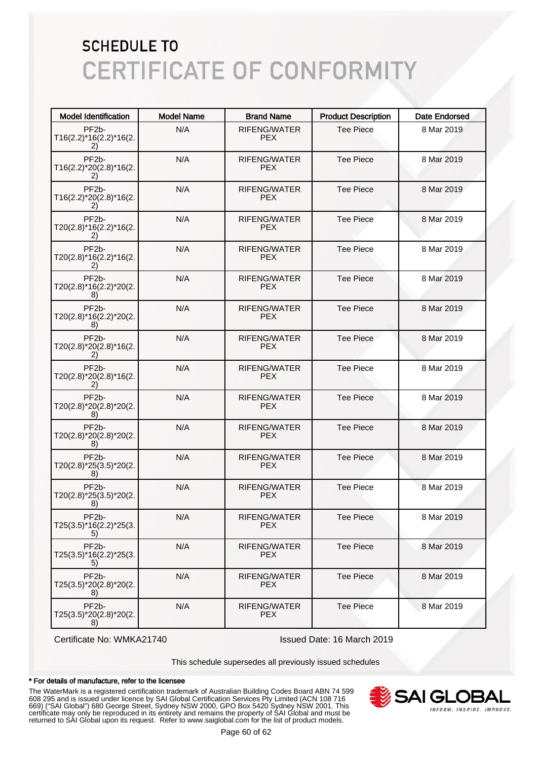| <b>Model Identification</b>                            | <b>Model Name</b> | <b>Brand Name</b>                 | <b>Product Description</b> | <b>Date Endorsed</b> |
|--------------------------------------------------------|-------------------|-----------------------------------|----------------------------|----------------------|
| PF <sub>2</sub> b-<br>T16(2.2)*16(2.2)*16(2.<br>2)     | N/A               | RIFENG/WATER<br><b>PEX</b>        | <b>Tee Piece</b>           | 8 Mar 2019           |
| PF <sub>2</sub> b-<br>T16(2.2)*20(2.8)*16(2.<br>21     | N/A               | RIFENG/WATER<br>PEX.              | <b>Tee Piece</b>           | 8 Mar 2019           |
| PF <sub>2</sub> b-<br>T16(2.2)*20(2.8)*16(2.<br>2)     | N/A               | RIFENG/WATER<br>PEX.              | <b>Tee Piece</b>           | 8 Mar 2019           |
| PF <sub>2</sub> b-<br>T20(2.8)*16(2.2)*16(2.<br>2)     | N/A               | <b>RIFENG/WATER</b><br><b>PEX</b> | <b>Tee Piece</b>           | 8 Mar 2019           |
| PF <sub>2</sub> b-<br>T20(2.8)*16(2.2)*16(2.<br>2)     | N/A               | <b>RIFENG/WATER</b><br>PEX.       | <b>Tee Piece</b>           | 8 Mar 2019           |
| PF <sub>2</sub> b-<br>T20(2.8)*16(2.2)*20(2.<br>8)     | N/A               | <b>RIFENG/WATER</b><br>PEX.       | <b>Tee Piece</b>           | 8 Mar 2019           |
| PF <sub>2</sub> b-<br>T20(2.8)*16(2.2)*20(2.<br>8)     | N/A               | RIFENG/WATER<br>PEX.              | <b>Tee Piece</b>           | 8 Mar 2019           |
| PF <sub>2</sub> b-<br>T20(2.8)*20(2.8)*16(2.<br>2)     | N/A               | RIFENG/WATER<br>PEX.              | <b>Tee Piece</b>           | 8 Mar 2019           |
| PF <sub>2</sub> b-<br>T20(2.8)*20(2.8)*16(2.<br>2)     | N/A               | RIFENG/WATER<br>PEX.              | <b>Tee Piece</b>           | 8 Mar 2019           |
| PF <sub>2</sub> b-<br>T20(2.8)*20(2.8)*20(2.<br>8)     | N/A               | RIFENG/WATER<br>PEX.              | <b>Tee Piece</b>           | 8 Mar 2019           |
| PF <sub>2</sub> b-<br>T20(2.8)*20(2.8)*20(2.<br>8)     | N/A               | RIFENG/WATER<br>PEX.              | <b>Tee Piece</b>           | 8 Mar 2019           |
| PF <sub>2</sub> b-<br>T20(2.8)*25(3.5)*20(2.<br>8)     | N/A               | RIFENG/WATER<br>PEX.              | <b>Tee Piece</b>           | 8 Mar 2019           |
| PF <sub>2</sub> b-<br>T20(2.8)*25(3.5)*20(2.<br>8)     | N/A               | RIFENG/WATER<br><b>PEX</b>        | <b>Tee Piece</b>           | 8 Mar 2019           |
| PF <sub>2</sub> b-<br>T25(3.5)*16(2.2)*25(3.<br>5)     | N/A               | RIFENG/WATER<br>PEX.              | Tee Piece                  | 8 Mar 2019           |
| PF <sub>2</sub> b-<br>T25(3.5)*16(2.2)*25(3.<br>5)     | N/A               | RIFENG/WATER<br>PEX.              | <b>Tee Piece</b>           | 8 Mar 2019           |
| PF <sub>2</sub> b-<br>T25(3.5)*20(2.8)*20(2.<br>8)     | N/A               | <b>RIFENG/WATER</b><br><b>PEX</b> | <b>Tee Piece</b>           | 8 Mar 2019           |
| PF <sub>2</sub> b-<br>$T25(3.5)^*20(2.8)^*20(2.$<br>8) | N/A               | <b>RIFENG/WATER</b><br><b>PEX</b> | <b>Tee Piece</b>           | 8 Mar 2019           |

Certificate No: WMKA21740 Issued Date: 16 March 2019

This schedule supersedes all previously issued schedules

#### \* For details of manufacture, refer to the licensee

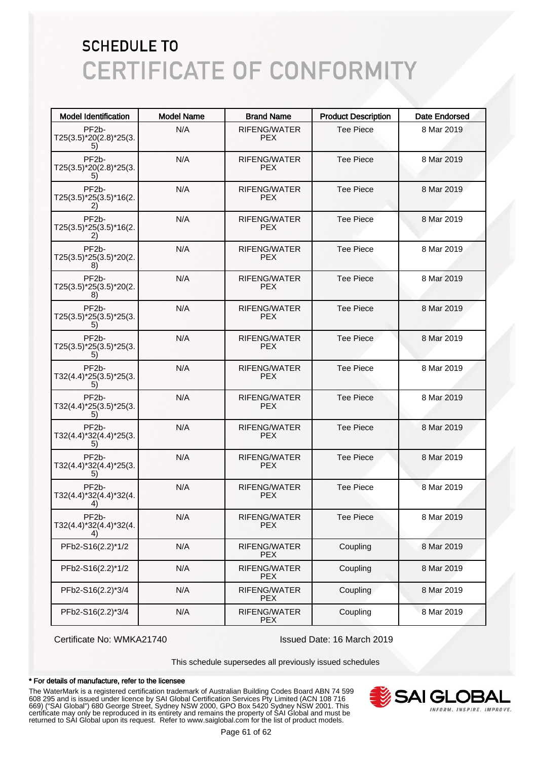| <b>Model Identification</b>                        | <b>Model Name</b> | <b>Brand Name</b>          | <b>Product Description</b> | <b>Date Endorsed</b> |
|----------------------------------------------------|-------------------|----------------------------|----------------------------|----------------------|
| PF <sub>2</sub> b-<br>T25(3.5)*20(2.8)*25(3.<br>5) | N/A               | RIFENG/WATER<br><b>PEX</b> | <b>Tee Piece</b>           | 8 Mar 2019           |
| PF <sub>2</sub> b-<br>T25(3.5)*20(2.8)*25(3.<br>5) | N/A               | RIFENG/WATER<br>PEX.       | <b>Tee Piece</b>           | 8 Mar 2019           |
| PF <sub>2</sub> b-<br>T25(3.5)*25(3.5)*16(2.<br>2) | N/A               | RIFENG/WATER<br>PEX.       | <b>Tee Piece</b>           | 8 Mar 2019           |
| PF <sub>2</sub> b-<br>T25(3.5)*25(3.5)*16(2.<br>2) | N/A               | RIFENG/WATER<br><b>PEX</b> | <b>Tee Piece</b>           | 8 Mar 2019           |
| PF <sub>2</sub> b-<br>T25(3.5)*25(3.5)*20(2.<br>8) | N/A               | RIFENG/WATER<br>PEX.       | <b>Tee Piece</b>           | 8 Mar 2019           |
| PF <sub>2</sub> b-<br>T25(3.5)*25(3.5)*20(2.<br>8) | N/A               | RIFENG/WATER<br>PEX.       | <b>Tee Piece</b>           | 8 Mar 2019           |
| PF <sub>2</sub> b-<br>T25(3.5)*25(3.5)*25(3.<br>5) | N/A               | RIFENG/WATER<br>PEX.       | <b>Tee Piece</b>           | 8 Mar 2019           |
| PF <sub>2</sub> b-<br>T25(3.5)*25(3.5)*25(3.<br>5) | N/A               | RIFENG/WATER<br><b>PEX</b> | <b>Tee Piece</b>           | 8 Mar 2019           |
| PF <sub>2</sub> b-<br>T32(4.4)*25(3.5)*25(3.<br>5) | N/A               | RIFENG/WATER<br>PEX.       | <b>Tee Piece</b>           | 8 Mar 2019           |
| PF <sub>2</sub> b-<br>T32(4.4)*25(3.5)*25(3.<br>5) | N/A               | RIFENG/WATER<br>PEX.       | <b>Tee Piece</b>           | 8 Mar 2019           |
| PF <sub>2</sub> b-<br>T32(4.4)*32(4.4)*25(3.<br>5) | N/A               | RIFENG/WATER<br>PEX.       | <b>Tee Piece</b>           | 8 Mar 2019           |
| PF <sub>2</sub> b-<br>T32(4.4)*32(4.4)*25(3.<br>5) | N/A               | RIFENG/WATER<br><b>PEX</b> | <b>Tee Piece</b>           | 8 Mar 2019           |
| PF <sub>2</sub> b-<br>T32(4.4)*32(4.4)*32(4.<br>4) | N/A               | RIFENG/WATER<br><b>PEX</b> | <b>Tee Piece</b>           | 8 Mar 2019           |
| PF <sub>2</sub> b-<br>T32(4.4)*32(4.4)*32(4.<br>4) | N/A               | RIFENG/WATER<br>PEX.       | <b>Tee Piece</b>           | 8 Mar 2019           |
| PFb2-S16(2.2)*1/2                                  | N/A               | RIFENG/WATER<br><b>PEX</b> | Coupling                   | 8 Mar 2019           |
| PFb2-S16(2.2)*1/2                                  | N/A               | RIFENG/WATER<br><b>PEX</b> | Coupling                   | 8 Mar 2019           |
| PFb2-S16(2.2)*3/4                                  | N/A               | RIFENG/WATER<br><b>PEX</b> | Coupling                   | 8 Mar 2019           |
| PFb2-S16(2.2)*3/4                                  | N/A               | RIFENG/WATER<br><b>PEX</b> | Coupling                   | 8 Mar 2019           |

Certificate No: WMKA21740 Issued Date: 16 March 2019

This schedule supersedes all previously issued schedules

#### \* For details of manufacture, refer to the licensee